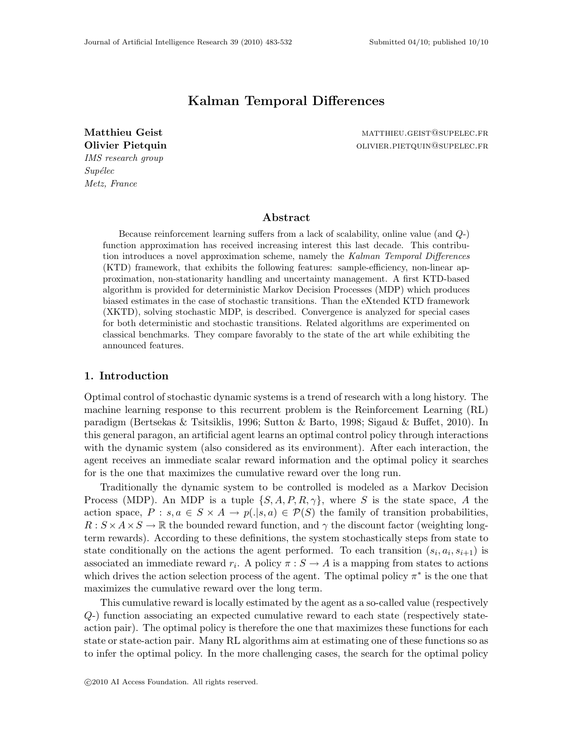# Kalman Temporal Differences

IMS research group  $Supélec$ Metz, France

Matthieu Geist matthieu.geist@supelec.fr Olivier Pietquin **Olivier.** PIETQUIN OLIVIER. PIETQUIN @SUPELEC.FR

## Abstract

Because reinforcement learning suffers from a lack of scalability, online value (and Q-) function approximation has received increasing interest this last decade. This contribution introduces a novel approximation scheme, namely the Kalman Temporal Differences (KTD) framework, that exhibits the following features: sample-efficiency, non-linear approximation, non-stationarity handling and uncertainty management. A first KTD-based algorithm is provided for deterministic Markov Decision Processes (MDP) which produces biased estimates in the case of stochastic transitions. Than the eXtended KTD framework (XKTD), solving stochastic MDP, is described. Convergence is analyzed for special cases for both deterministic and stochastic transitions. Related algorithms are experimented on classical benchmarks. They compare favorably to the state of the art while exhibiting the announced features.

## 1. Introduction

Optimal control of stochastic dynamic systems is a trend of research with a long history. The machine learning response to this recurrent problem is the Reinforcement Learning (RL) paradigm (Bertsekas & Tsitsiklis, 1996; Sutton & Barto, 1998; Sigaud & Buffet, 2010). In this general paragon, an artificial agent learns an optimal control policy through interactions with the dynamic system (also considered as its environment). After each interaction, the agent receives an immediate scalar reward information and the optimal policy it searches for is the one that maximizes the cumulative reward over the long run.

Traditionally the dynamic system to be controlled is modeled as a Markov Decision Process (MDP). An MDP is a tuple  $\{S, A, P, R, \gamma\}$ , where S is the state space, A the action space,  $P : s, a \in S \times A \rightarrow p(.|s,a) \in \mathcal{P}(S)$  the family of transition probabilities,  $R: S \times A \times S \to \mathbb{R}$  the bounded reward function, and  $\gamma$  the discount factor (weighting longterm rewards). According to these definitions, the system stochastically steps from state to state conditionally on the actions the agent performed. To each transition  $(s_i, a_i, s_{i+1})$  is associated an immediate reward  $r_i$ . A policy  $\pi : S \to A$  is a mapping from states to actions which drives the action selection process of the agent. The optimal policy  $\pi^*$  is the one that maximizes the cumulative reward over the long term.

This cumulative reward is locally estimated by the agent as a so-called value (respectively Q-) function associating an expected cumulative reward to each state (respectively stateaction pair). The optimal policy is therefore the one that maximizes these functions for each state or state-action pair. Many RL algorithms aim at estimating one of these functions so as to infer the optimal policy. In the more challenging cases, the search for the optimal policy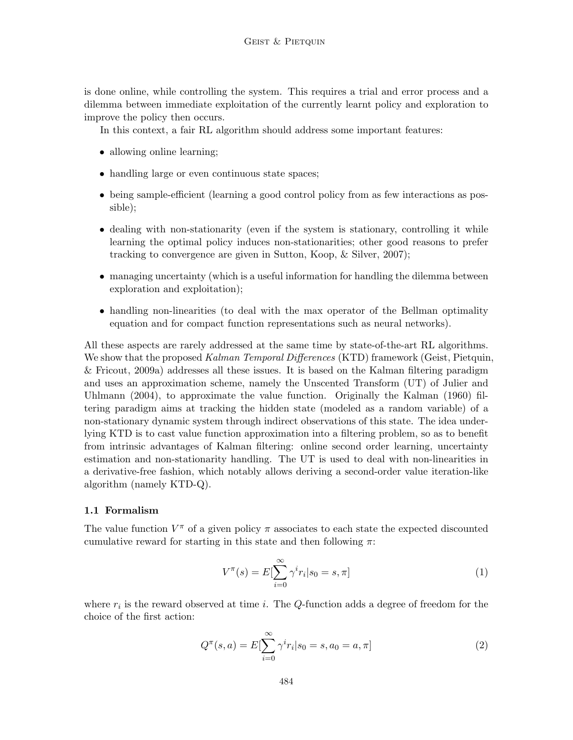is done online, while controlling the system. This requires a trial and error process and a dilemma between immediate exploitation of the currently learnt policy and exploration to improve the policy then occurs.

In this context, a fair RL algorithm should address some important features:

- allowing online learning;
- handling large or even continuous state spaces;
- being sample-efficient (learning a good control policy from as few interactions as possible);
- dealing with non-stationarity (even if the system is stationary, controlling it while learning the optimal policy induces non-stationarities; other good reasons to prefer tracking to convergence are given in Sutton, Koop, & Silver, 2007);
- managing uncertainty (which is a useful information for handling the dilemma between exploration and exploitation);
- handling non-linearities (to deal with the max operator of the Bellman optimality equation and for compact function representations such as neural networks).

All these aspects are rarely addressed at the same time by state-of-the-art RL algorithms. We show that the proposed Kalman Temporal Differences (KTD) framework (Geist, Pietquin, & Fricout, 2009a) addresses all these issues. It is based on the Kalman filtering paradigm and uses an approximation scheme, namely the Unscented Transform (UT) of Julier and Uhlmann (2004), to approximate the value function. Originally the Kalman (1960) filtering paradigm aims at tracking the hidden state (modeled as a random variable) of a non-stationary dynamic system through indirect observations of this state. The idea underlying KTD is to cast value function approximation into a filtering problem, so as to benefit from intrinsic advantages of Kalman filtering: online second order learning, uncertainty estimation and non-stationarity handling. The UT is used to deal with non-linearities in a derivative-free fashion, which notably allows deriving a second-order value iteration-like algorithm (namely KTD-Q).

### 1.1 Formalism

The value function  $V^{\pi}$  of a given policy  $\pi$  associates to each state the expected discounted cumulative reward for starting in this state and then following  $\pi$ :

$$
V^{\pi}(s) = E[\sum_{i=0}^{\infty} \gamma^{i} r_{i} | s_{0} = s, \pi]
$$
 (1)

where  $r_i$  is the reward observed at time *i*. The Q-function adds a degree of freedom for the choice of the first action:

$$
Q^{\pi}(s, a) = E[\sum_{i=0}^{\infty} \gamma^{i} r_{i} | s_{0} = s, a_{0} = a, \pi]
$$
\n(2)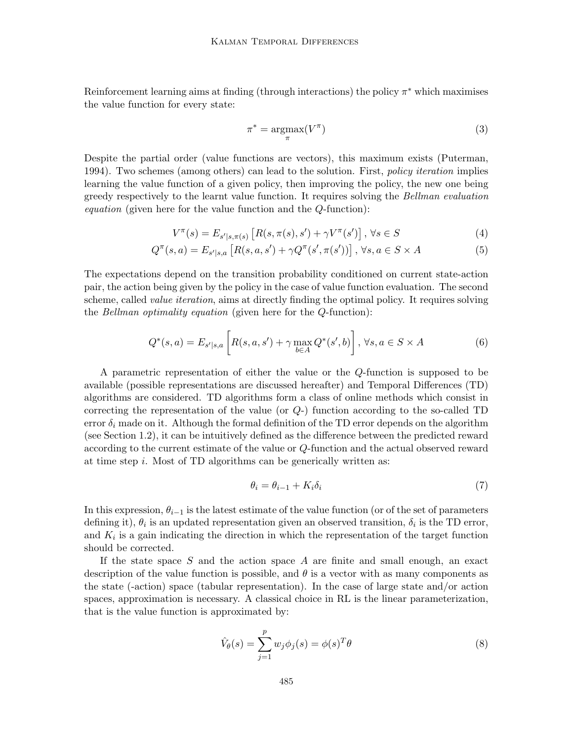Reinforcement learning aims at finding (through interactions) the policy  $\pi^*$  which maximises the value function for every state:

$$
\pi^* = \underset{\pi}{\text{argmax}} (V^{\pi}) \tag{3}
$$

Despite the partial order (value functions are vectors), this maximum exists (Puterman, 1994). Two schemes (among others) can lead to the solution. First, *policy iteration* implies learning the value function of a given policy, then improving the policy, the new one being greedy respectively to the learnt value function. It requires solving the Bellman evaluation equation (given here for the value function and the Q-function):

$$
V^{\pi}(s) = E_{s'|s,\pi(s)} \left[ R(s,\pi(s),s') + \gamma V^{\pi}(s') \right], \forall s \in S
$$
 (4)

$$
Q^{\pi}(s, a) = E_{s'|s, a} \left[ R(s, a, s') + \gamma Q^{\pi}(s', \pi(s')) \right], \forall s, a \in S \times A
$$
 (5)

The expectations depend on the transition probability conditioned on current state-action pair, the action being given by the policy in the case of value function evaluation. The second scheme, called *value iteration*, aims at directly finding the optimal policy. It requires solving the Bellman optimality equation (given here for the Q-function):

$$
Q^*(s, a) = E_{s'|s, a} \left[ R(s, a, s') + \gamma \max_{b \in A} Q^*(s', b) \right], \forall s, a \in S \times A
$$
 (6)

A parametric representation of either the value or the Q-function is supposed to be available (possible representations are discussed hereafter) and Temporal Differences (TD) algorithms are considered. TD algorithms form a class of online methods which consist in correcting the representation of the value (or  $Q$ -) function according to the so-called TD error  $\delta_i$  made on it. Although the formal definition of the TD error depends on the algorithm (see Section 1.2), it can be intuitively defined as the difference between the predicted reward according to the current estimate of the value or Q-function and the actual observed reward at time step  $i$ . Most of TD algorithms can be generically written as:

$$
\theta_i = \theta_{i-1} + K_i \delta_i \tag{7}
$$

In this expression,  $\theta_{i-1}$  is the latest estimate of the value function (or of the set of parameters defining it),  $\theta_i$  is an updated representation given an observed transition,  $\delta_i$  is the TD error, and  $K_i$  is a gain indicating the direction in which the representation of the target function should be corrected.

If the state space S and the action space A are finite and small enough, an exact description of the value function is possible, and  $\theta$  is a vector with as many components as the state (-action) space (tabular representation). In the case of large state and/or action spaces, approximation is necessary. A classical choice in RL is the linear parameterization, that is the value function is approximated by:

$$
\hat{V}_{\theta}(s) = \sum_{j=1}^{p} w_j \phi_j(s) = \phi(s)^T \theta
$$
\n(8)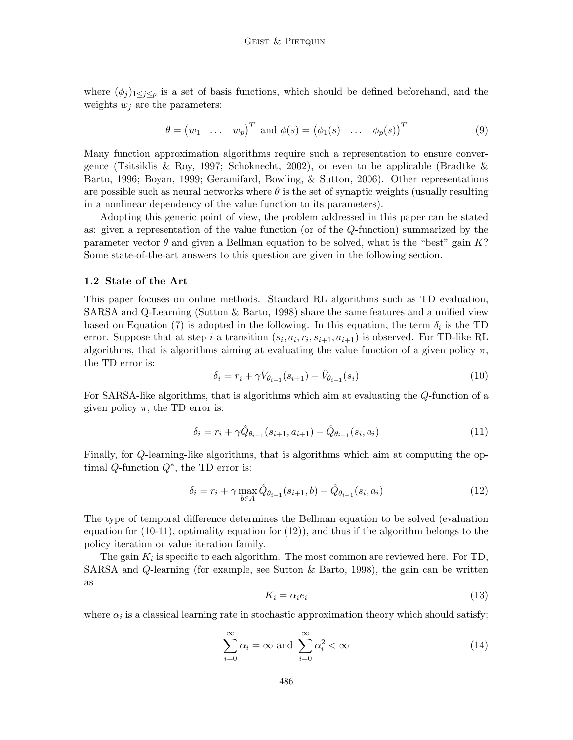where  $(\phi_i)_{1\leq i\leq p}$  is a set of basis functions, which should be defined beforehand, and the weights  $w_i$  are the parameters:

$$
\theta = (w_1 \quad \dots \quad w_p)^T \text{ and } \phi(s) = (\phi_1(s) \quad \dots \quad \phi_p(s))^T \tag{9}
$$

Many function approximation algorithms require such a representation to ensure convergence (Tsitsiklis & Roy, 1997; Schoknecht, 2002), or even to be applicable (Bradtke & Barto, 1996; Boyan, 1999; Geramifard, Bowling, & Sutton, 2006). Other representations are possible such as neural networks where  $\theta$  is the set of synaptic weights (usually resulting in a nonlinear dependency of the value function to its parameters).

Adopting this generic point of view, the problem addressed in this paper can be stated as: given a representation of the value function (or of the Q-function) summarized by the parameter vector  $\theta$  and given a Bellman equation to be solved, what is the "best" gain K? Some state-of-the-art answers to this question are given in the following section.

#### 1.2 State of the Art

This paper focuses on online methods. Standard RL algorithms such as TD evaluation, SARSA and Q-Learning (Sutton  $\&$  Barto, 1998) share the same features and a unified view based on Equation (7) is adopted in the following. In this equation, the term  $\delta_i$  is the TD error. Suppose that at step i a transition  $(s_i, a_i, r_i, s_{i+1}, a_{i+1})$  is observed. For TD-like RL algorithms, that is algorithms aiming at evaluating the value function of a given policy  $\pi$ , the TD error is:

$$
\delta_i = r_i + \gamma \hat{V}_{\theta_{i-1}}(s_{i+1}) - \hat{V}_{\theta_{i-1}}(s_i)
$$
\n(10)

For SARSA-like algorithms, that is algorithms which aim at evaluating the Q-function of a given policy  $\pi$ , the TD error is:

$$
\delta_i = r_i + \gamma \hat{Q}_{\theta_{i-1}}(s_{i+1}, a_{i+1}) - \hat{Q}_{\theta_{i-1}}(s_i, a_i)
$$
\n(11)

Finally, for Q-learning-like algorithms, that is algorithms which aim at computing the optimal  $Q$ -function  $Q^*$ , the TD error is:

$$
\delta_i = r_i + \gamma \max_{b \in A} \hat{Q}_{\theta_{i-1}}(s_{i+1}, b) - \hat{Q}_{\theta_{i-1}}(s_i, a_i)
$$
\n(12)

The type of temporal difference determines the Bellman equation to be solved (evaluation equation for (10-11), optimality equation for (12)), and thus if the algorithm belongs to the policy iteration or value iteration family.

The gain  $K_i$  is specific to each algorithm. The most common are reviewed here. For TD, SARSA and  $Q$ -learning (for example, see Sutton & Barto, 1998), the gain can be written as

$$
K_i = \alpha_i e_i \tag{13}
$$

where  $\alpha_i$  is a classical learning rate in stochastic approximation theory which should satisfy:

$$
\sum_{i=0}^{\infty} \alpha_i = \infty \text{ and } \sum_{i=0}^{\infty} \alpha_i^2 < \infty \tag{14}
$$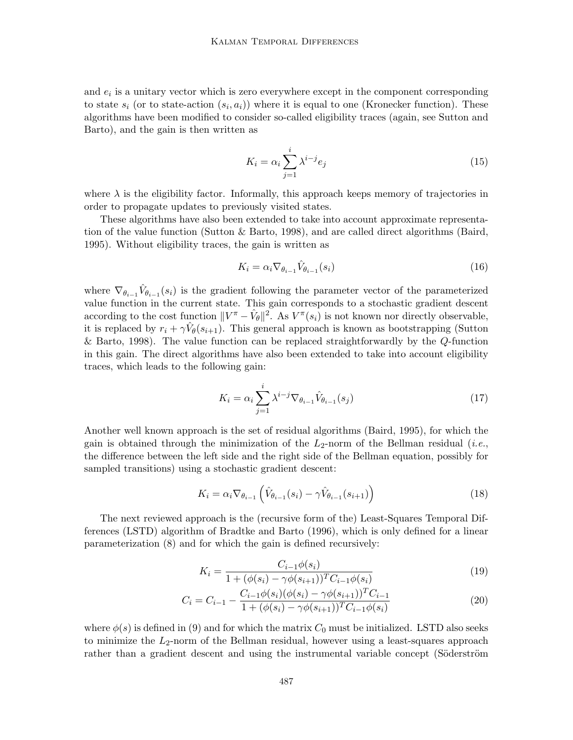and  $e_i$  is a unitary vector which is zero everywhere except in the component corresponding to state  $s_i$  (or to state-action  $(s_i, a_i)$ ) where it is equal to one (Kronecker function). These algorithms have been modified to consider so-called eligibility traces (again, see Sutton and Barto), and the gain is then written as

$$
K_i = \alpha_i \sum_{j=1}^i \lambda^{i-j} e_j \tag{15}
$$

where  $\lambda$  is the eligibility factor. Informally, this approach keeps memory of trajectories in order to propagate updates to previously visited states.

These algorithms have also been extended to take into account approximate representation of the value function (Sutton & Barto, 1998), and are called direct algorithms (Baird, 1995). Without eligibility traces, the gain is written as

$$
K_i = \alpha_i \nabla_{\theta_{i-1}} \hat{V}_{\theta_{i-1}}(s_i)
$$
\n(16)

where  $\nabla_{\theta_{i-1}} \hat{V}_{\theta_{i-1}}(s_i)$  is the gradient following the parameter vector of the parameterized value function in the current state. This gain corresponds to a stochastic gradient descent according to the cost function  $||V^{\pi} - \hat{V}_{\theta}||^2$ . As  $V^{\pi}(s_i)$  is not known nor directly observable, it is replaced by  $r_i + \gamma \hat{V}_{\theta}(s_{i+1})$ . This general approach is known as bootstrapping (Sutton & Barto, 1998). The value function can be replaced straightforwardly by the Q-function in this gain. The direct algorithms have also been extended to take into account eligibility traces, which leads to the following gain:

$$
K_i = \alpha_i \sum_{j=1}^i \lambda^{i-j} \nabla_{\theta_{i-1}} \hat{V}_{\theta_{i-1}}(s_j)
$$
\n(17)

Another well known approach is the set of residual algorithms (Baird, 1995), for which the gain is obtained through the minimization of the  $L_2$ -norm of the Bellman residual (*i.e.*, the difference between the left side and the right side of the Bellman equation, possibly for sampled transitions) using a stochastic gradient descent:

$$
K_i = \alpha_i \nabla_{\theta_{i-1}} \left( \hat{V}_{\theta_{i-1}}(s_i) - \gamma \hat{V}_{\theta_{i-1}}(s_{i+1}) \right) \tag{18}
$$

The next reviewed approach is the (recursive form of the) Least-Squares Temporal Differences (LSTD) algorithm of Bradtke and Barto (1996), which is only defined for a linear parameterization (8) and for which the gain is defined recursively:

$$
K_i = \frac{C_{i-1}\phi(s_i)}{1 + (\phi(s_i) - \gamma\phi(s_{i+1}))^T C_{i-1}\phi(s_i)}
$$
(19)

$$
C_i = C_{i-1} - \frac{C_{i-1}\phi(s_i)(\phi(s_i) - \gamma\phi(s_{i+1}))^T C_{i-1}}{1 + (\phi(s_i) - \gamma\phi(s_{i+1}))^T C_{i-1}\phi(s_i)}
$$
(20)

where  $\phi(s)$  is defined in (9) and for which the matrix  $C_0$  must be initialized. LSTD also seeks to minimize the  $L_2$ -norm of the Bellman residual, however using a least-squares approach rather than a gradient descent and using the instrumental variable concept (Söderström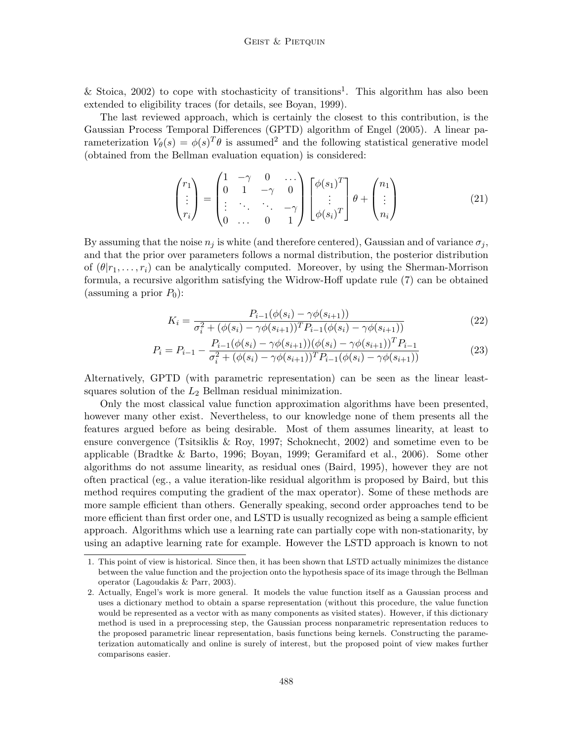& Stoica, 2002) to cope with stochasticity of transitions<sup>1</sup>. This algorithm has also been extended to eligibility traces (for details, see Boyan, 1999).

The last reviewed approach, which is certainly the closest to this contribution, is the Gaussian Process Temporal Differences (GPTD) algorithm of Engel (2005). A linear parameterization  $V_{\theta}(s) = \phi(s)^T \theta$  is assumed<sup>2</sup> and the following statistical generative model (obtained from the Bellman evaluation equation) is considered:

$$
\begin{pmatrix} r_1 \\ \vdots \\ r_i \end{pmatrix} = \begin{pmatrix} 1 & -\gamma & 0 & \cdots \\ 0 & 1 & -\gamma & 0 \\ \vdots & \ddots & \ddots & -\gamma \\ 0 & \cdots & 0 & 1 \end{pmatrix} \begin{bmatrix} \phi(s_1)^T \\ \vdots \\ \phi(s_i)^T \end{bmatrix} \theta + \begin{pmatrix} n_1 \\ \vdots \\ n_i \end{pmatrix}
$$
(21)

By assuming that the noise  $n_j$  is white (and therefore centered), Gaussian and of variance  $\sigma_j$ , and that the prior over parameters follows a normal distribution, the posterior distribution of  $(\theta | r_1, \ldots, r_i)$  can be analytically computed. Moreover, by using the Sherman-Morrison formula, a recursive algorithm satisfying the Widrow-Hoff update rule (7) can be obtained (assuming a prior  $P_0$ ):

$$
K_i = \frac{P_{i-1}(\phi(s_i) - \gamma \phi(s_{i+1}))}{\sigma_i^2 + (\phi(s_i) - \gamma \phi(s_{i+1}))^T P_{i-1}(\phi(s_i) - \gamma \phi(s_{i+1}))}
$$
(22)

$$
P_i = P_{i-1} - \frac{P_{i-1}(\phi(s_i) - \gamma\phi(s_{i+1}))(\phi(s_i) - \gamma\phi(s_{i+1}))^T P_{i-1}}{\sigma_i^2 + (\phi(s_i) - \gamma\phi(s_{i+1}))^T P_{i-1}(\phi(s_i) - \gamma\phi(s_{i+1}))}
$$
(23)

Alternatively, GPTD (with parametric representation) can be seen as the linear leastsquares solution of the  $L_2$  Bellman residual minimization.

Only the most classical value function approximation algorithms have been presented, however many other exist. Nevertheless, to our knowledge none of them presents all the features argued before as being desirable. Most of them assumes linearity, at least to ensure convergence (Tsitsiklis & Roy, 1997; Schoknecht, 2002) and sometime even to be applicable (Bradtke & Barto, 1996; Boyan, 1999; Geramifard et al., 2006). Some other algorithms do not assume linearity, as residual ones (Baird, 1995), however they are not often practical (eg., a value iteration-like residual algorithm is proposed by Baird, but this method requires computing the gradient of the max operator). Some of these methods are more sample efficient than others. Generally speaking, second order approaches tend to be more efficient than first order one, and LSTD is usually recognized as being a sample efficient approach. Algorithms which use a learning rate can partially cope with non-stationarity, by using an adaptive learning rate for example. However the LSTD approach is known to not

<sup>1.</sup> This point of view is historical. Since then, it has been shown that LSTD actually minimizes the distance between the value function and the projection onto the hypothesis space of its image through the Bellman operator (Lagoudakis & Parr, 2003).

<sup>2.</sup> Actually, Engel's work is more general. It models the value function itself as a Gaussian process and uses a dictionary method to obtain a sparse representation (without this procedure, the value function would be represented as a vector with as many components as visited states). However, if this dictionary method is used in a preprocessing step, the Gaussian process nonparametric representation reduces to the proposed parametric linear representation, basis functions being kernels. Constructing the parameterization automatically and online is surely of interest, but the proposed point of view makes further comparisons easier.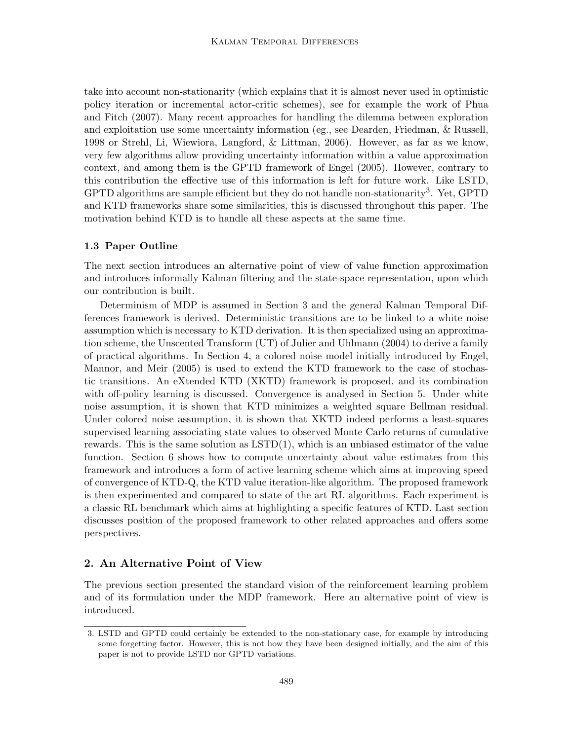take into account non-stationarity (which explains that it is almost never used in optimistic policy iteration or incremental actor-critic schemes), see for example the work of Phua and Fitch (2007). Many recent approaches for handling the dilemma between exploration and exploitation use some uncertainty information (eg., see Dearden, Friedman, & Russell, 1998 or Strehl, Li, Wiewiora, Langford, & Littman, 2006). However, as far as we know, very few algorithms allow providing uncertainty information within a value approximation context, and among them is the GPTD framework of Engel (2005). However, contrary to this contribution the effective use of this information is left for future work. Like LSTD, GPTD algorithms are sample efficient but they do not handle non-stationarity<sup>3</sup>. Yet, GPTD and KTD frameworks share some similarities, this is discussed throughout this paper. The motivation behind KTD is to handle all these aspects at the same time.

### 1.3 Paper Outline

The next section introduces an alternative point of view of value function approximation and introduces informally Kalman filtering and the state-space representation, upon which our contribution is built.

Determinism of MDP is assumed in Section 3 and the general Kalman Temporal Differences framework is derived. Deterministic transitions are to be linked to a white noise assumption which is necessary to KTD derivation. It is then specialized using an approximation scheme, the Unscented Transform (UT) of Julier and Uhlmann (2004) to derive a family of practical algorithms. In Section 4, a colored noise model initially introduced by Engel, Mannor, and Meir (2005) is used to extend the KTD framework to the case of stochastic transitions. An eXtended KTD (XKTD) framework is proposed, and its combination with off-policy learning is discussed. Convergence is analysed in Section 5. Under white noise assumption, it is shown that KTD minimizes a weighted square Bellman residual. Under colored noise assumption, it is shown that XKTD indeed performs a least-squares supervised learning associating state values to observed Monte Carlo returns of cumulative rewards. This is the same solution as  $\text{LSTD}(1)$ , which is an unbiased estimator of the value function. Section 6 shows how to compute uncertainty about value estimates from this framework and introduces a form of active learning scheme which aims at improving speed of convergence of KTD-Q, the KTD value iteration-like algorithm. The proposed framework is then experimented and compared to state of the art RL algorithms. Each experiment is a classic RL benchmark which aims at highlighting a specific features of KTD. Last section discusses position of the proposed framework to other related approaches and offers some perspectives.

## 2. An Alternative Point of View

The previous section presented the standard vision of the reinforcement learning problem and of its formulation under the MDP framework. Here an alternative point of view is introduced.

<sup>3.</sup> LSTD and GPTD could certainly be extended to the non-stationary case, for example by introducing some forgetting factor. However, this is not how they have been designed initially, and the aim of this paper is not to provide LSTD nor GPTD variations.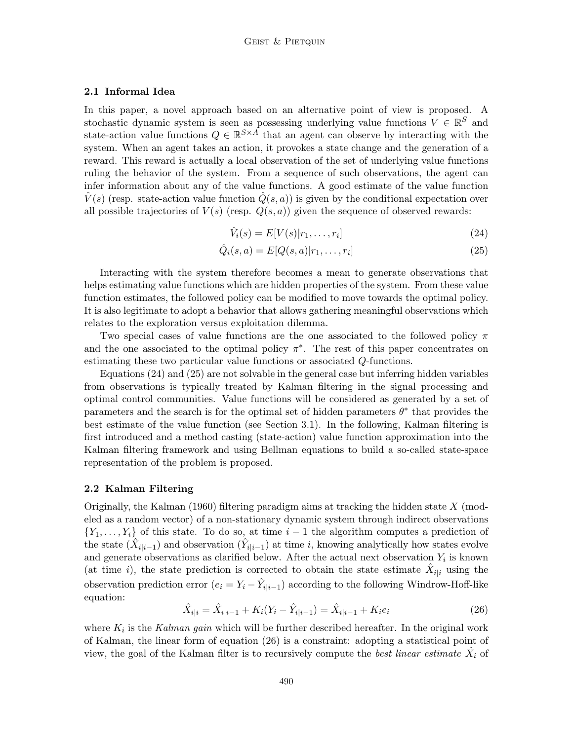## 2.1 Informal Idea

In this paper, a novel approach based on an alternative point of view is proposed. A stochastic dynamic system is seen as possessing underlying value functions  $V \in \mathbb{R}^S$  and state-action value functions  $Q \in \mathbb{R}^{S \times A}$  that an agent can observe by interacting with the system. When an agent takes an action, it provokes a state change and the generation of a reward. This reward is actually a local observation of the set of underlying value functions ruling the behavior of the system. From a sequence of such observations, the agent can infer information about any of the value functions. A good estimate of the value function  $\hat{V}(s)$  (resp. state-action value function  $\hat{Q}(s, a)$ ) is given by the conditional expectation over all possible trajectories of  $V(s)$  (resp.  $Q(s, a)$ ) given the sequence of observed rewards:

$$
\hat{V}_i(s) = E[V(s)|r_1, \dots, r_i]
$$
\n(24)

$$
\hat{Q}_i(s, a) = E[Q(s, a)|r_1, \dots, r_i]
$$
\n(25)

Interacting with the system therefore becomes a mean to generate observations that helps estimating value functions which are hidden properties of the system. From these value function estimates, the followed policy can be modified to move towards the optimal policy. It is also legitimate to adopt a behavior that allows gathering meaningful observations which relates to the exploration versus exploitation dilemma.

Two special cases of value functions are the one associated to the followed policy  $\pi$ and the one associated to the optimal policy  $\pi^*$ . The rest of this paper concentrates on estimating these two particular value functions or associated Q-functions.

Equations (24) and (25) are not solvable in the general case but inferring hidden variables from observations is typically treated by Kalman filtering in the signal processing and optimal control communities. Value functions will be considered as generated by a set of parameters and the search is for the optimal set of hidden parameters  $\theta^*$  that provides the best estimate of the value function (see Section 3.1). In the following, Kalman filtering is first introduced and a method casting (state-action) value function approximation into the Kalman filtering framework and using Bellman equations to build a so-called state-space representation of the problem is proposed.

## 2.2 Kalman Filtering

Originally, the Kalman (1960) filtering paradigm aims at tracking the hidden state  $X$  (modeled as a random vector) of a non-stationary dynamic system through indirect observations  ${Y_1, \ldots, Y_i}$  of this state. To do so, at time  $i-1$  the algorithm computes a prediction of the state  $(\hat{X}_{i|i-1})$  and observation  $(\hat{Y}_{i|i-1})$  at time i, knowing analytically how states evolve and generate observations as clarified below. After the actual next observation  $Y_i$  is known (at time i), the state prediction is corrected to obtain the state estimate  $\hat{X}_{i|i}$  using the observation prediction error  $(e_i = Y_i - \hat{Y}_{i|i-1})$  according to the following Windrow-Hoff-like equation:

$$
\hat{X}_{i|i} = \hat{X}_{i|i-1} + K_i(Y_i - \hat{Y}_{i|i-1}) = \hat{X}_{i|i-1} + K_i e_i
$$
\n(26)

where  $K_i$  is the Kalman gain which will be further described hereafter. In the original work of Kalman, the linear form of equation (26) is a constraint: adopting a statistical point of view, the goal of the Kalman filter is to recursively compute the *best linear estimate*  $\hat{X}_i$  of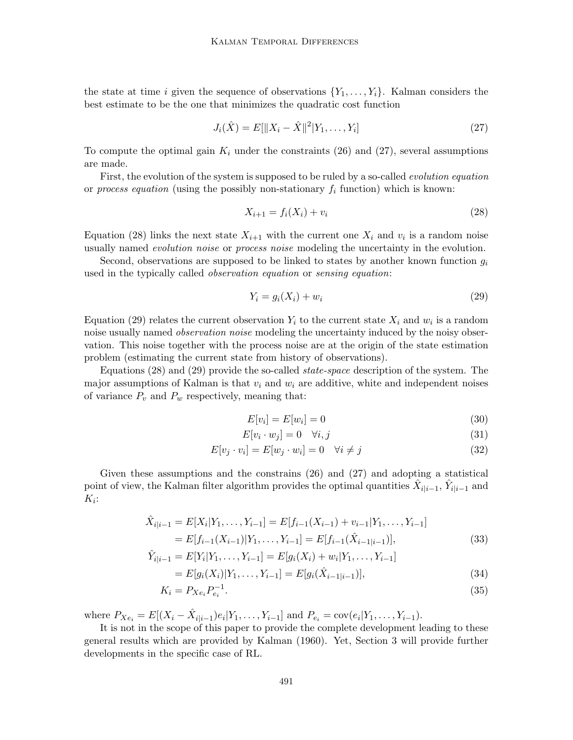the state at time i given the sequence of observations  $\{Y_1, \ldots, Y_i\}$ . Kalman considers the best estimate to be the one that minimizes the quadratic cost function

$$
J_i(\hat{X}) = E[\|X_i - \hat{X}\|^2 | Y_1, \dots, Y_i]
$$
\n(27)

To compute the optimal gain  $K_i$  under the constraints (26) and (27), several assumptions are made.

First, the evolution of the system is supposed to be ruled by a so-called evolution equation or process equation (using the possibly non-stationary  $f_i$  function) which is known:

$$
X_{i+1} = f_i(X_i) + v_i \tag{28}
$$

Equation (28) links the next state  $X_{i+1}$  with the current one  $X_i$  and  $v_i$  is a random noise usually named *evolution noise* or *process noise* modeling the uncertainty in the evolution.

Second, observations are supposed to be linked to states by another known function  $g_i$ used in the typically called *observation equation* or *sensing equation*:

$$
Y_i = g_i(X_i) + w_i \tag{29}
$$

Equation (29) relates the current observation  $Y_i$  to the current state  $X_i$  and  $w_i$  is a random noise usually named *observation noise* modeling the uncertainty induced by the noisy observation. This noise together with the process noise are at the origin of the state estimation problem (estimating the current state from history of observations).

Equations (28) and (29) provide the so-called state-space description of the system. The major assumptions of Kalman is that  $v_i$  and  $w_i$  are additive, white and independent noises of variance  $P_v$  and  $P_w$  respectively, meaning that:

$$
E[v_i] = E[w_i] = 0 \tag{30}
$$

$$
E[v_i \cdot w_j] = 0 \quad \forall i, j \tag{31}
$$

$$
E[v_j \cdot v_i] = E[w_j \cdot w_i] = 0 \quad \forall i \neq j \tag{32}
$$

Given these assumptions and the constrains (26) and (27) and adopting a statistical point of view, the Kalman filter algorithm provides the optimal quantities  $\hat{X}_{i|i-1}$ ,  $\hat{Y}_{i|i-1}$  and  $K_i$ :

$$
\hat{X}_{i|i-1} = E[X_i|Y_1,\dots,Y_{i-1}] = E[f_{i-1}(X_{i-1}) + v_{i-1}|Y_1,\dots,Y_{i-1}]
$$
  
=  $E[f_{i-1}(X_{i-1})|Y_1,\dots,Y_{i-1}] = E[f_{i-1}(\hat{X}_{i-1|i-1})],$  (33)

$$
\hat{Y}_{i|i-1} = E[Y_i|Y_1, \dots, Y_{i-1}] = E[g_i(X_i) + w_i|Y_1, \dots, Y_{i-1}]
$$
\n
$$
= E[g_i(X_i)|Y_1, \dots, Y_{i-1}] = E[g_i(\hat{X}_{i-1|i-1})],
$$
\n(34)

$$
K_i = P_{Xe_i} P_{e_i}^{-1}.
$$
\n(35)

where  $P_{Xe_i} = E[(X_i - \hat{X}_{i|i-1})e_i|Y_1, \ldots, Y_{i-1}]$  and  $P_{e_i} = cov(e_i|Y_1, \ldots, Y_{i-1})$ .

It is not in the scope of this paper to provide the complete development leading to these general results which are provided by Kalman (1960). Yet, Section 3 will provide further developments in the specific case of RL.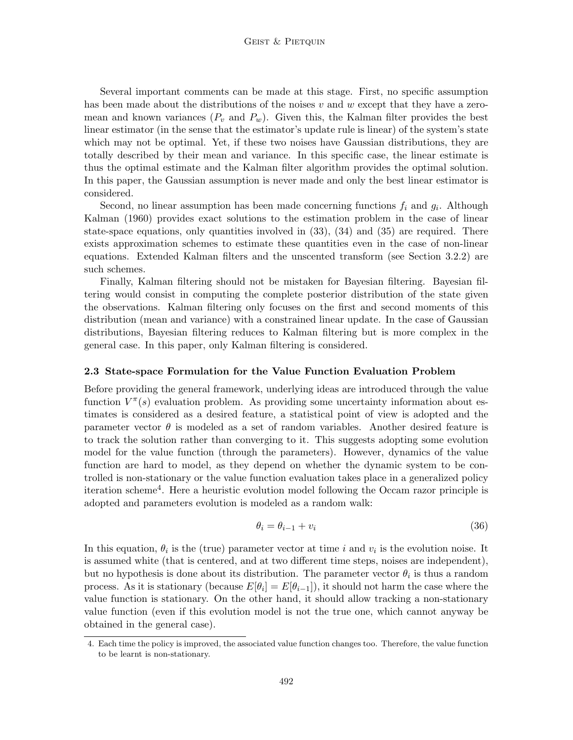Several important comments can be made at this stage. First, no specific assumption has been made about the distributions of the noises  $v$  and  $w$  except that they have a zeromean and known variances  $(P_v \text{ and } P_w)$ . Given this, the Kalman filter provides the best linear estimator (in the sense that the estimator's update rule is linear) of the system's state which may not be optimal. Yet, if these two noises have Gaussian distributions, they are totally described by their mean and variance. In this specific case, the linear estimate is thus the optimal estimate and the Kalman filter algorithm provides the optimal solution. In this paper, the Gaussian assumption is never made and only the best linear estimator is considered.

Second, no linear assumption has been made concerning functions  $f_i$  and  $g_i$ . Although Kalman (1960) provides exact solutions to the estimation problem in the case of linear state-space equations, only quantities involved in  $(33)$ ,  $(34)$  and  $(35)$  are required. There exists approximation schemes to estimate these quantities even in the case of non-linear equations. Extended Kalman filters and the unscented transform (see Section 3.2.2) are such schemes.

Finally, Kalman filtering should not be mistaken for Bayesian filtering. Bayesian filtering would consist in computing the complete posterior distribution of the state given the observations. Kalman filtering only focuses on the first and second moments of this distribution (mean and variance) with a constrained linear update. In the case of Gaussian distributions, Bayesian filtering reduces to Kalman filtering but is more complex in the general case. In this paper, only Kalman filtering is considered.

### 2.3 State-space Formulation for the Value Function Evaluation Problem

Before providing the general framework, underlying ideas are introduced through the value function  $V^{\pi}(s)$  evaluation problem. As providing some uncertainty information about estimates is considered as a desired feature, a statistical point of view is adopted and the parameter vector  $\theta$  is modeled as a set of random variables. Another desired feature is to track the solution rather than converging to it. This suggests adopting some evolution model for the value function (through the parameters). However, dynamics of the value function are hard to model, as they depend on whether the dynamic system to be controlled is non-stationary or the value function evaluation takes place in a generalized policy iteration scheme<sup>4</sup> . Here a heuristic evolution model following the Occam razor principle is adopted and parameters evolution is modeled as a random walk:

$$
\theta_i = \theta_{i-1} + v_i \tag{36}
$$

In this equation,  $\theta_i$  is the (true) parameter vector at time i and  $v_i$  is the evolution noise. It is assumed white (that is centered, and at two different time steps, noises are independent), but no hypothesis is done about its distribution. The parameter vector  $\theta_i$  is thus a random process. As it is stationary (because  $E[\theta_i] = E[\theta_{i-1}]$ ), it should not harm the case where the value function is stationary. On the other hand, it should allow tracking a non-stationary value function (even if this evolution model is not the true one, which cannot anyway be obtained in the general case).

<sup>4.</sup> Each time the policy is improved, the associated value function changes too. Therefore, the value function to be learnt is non-stationary.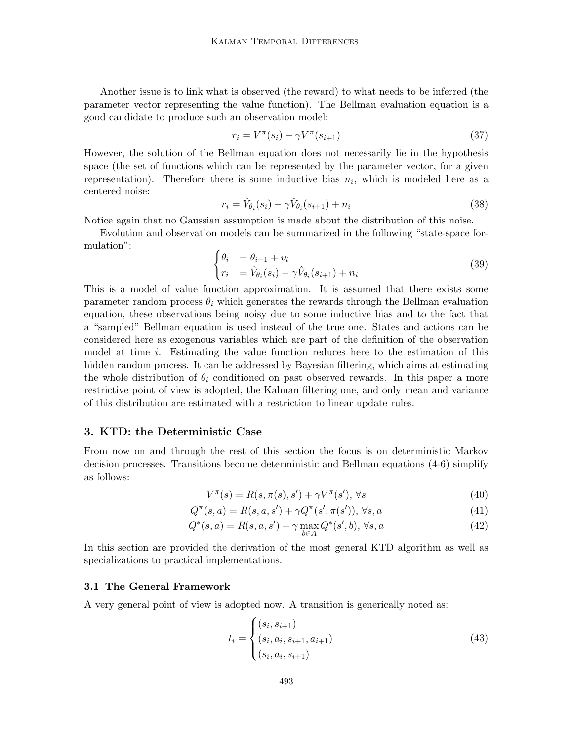Another issue is to link what is observed (the reward) to what needs to be inferred (the parameter vector representing the value function). The Bellman evaluation equation is a good candidate to produce such an observation model:

$$
r_i = V^{\pi}(s_i) - \gamma V^{\pi}(s_{i+1})
$$
\n
$$
(37)
$$

However, the solution of the Bellman equation does not necessarily lie in the hypothesis space (the set of functions which can be represented by the parameter vector, for a given representation). Therefore there is some inductive bias  $n_i$ , which is modeled here as a centered noise:

$$
r_i = \hat{V}_{\theta_i}(s_i) - \gamma \hat{V}_{\theta_i}(s_{i+1}) + n_i
$$
\n(38)

Notice again that no Gaussian assumption is made about the distribution of this noise.

Evolution and observation models can be summarized in the following "state-space formulation":

$$
\begin{cases} \theta_i &= \theta_{i-1} + v_i \\ r_i &= \hat{V}_{\theta_i}(s_i) - \gamma \hat{V}_{\theta_i}(s_{i+1}) + n_i \end{cases} \tag{39}
$$

This is a model of value function approximation. It is assumed that there exists some parameter random process  $\theta_i$  which generates the rewards through the Bellman evaluation equation, these observations being noisy due to some inductive bias and to the fact that a "sampled" Bellman equation is used instead of the true one. States and actions can be considered here as exogenous variables which are part of the definition of the observation model at time i. Estimating the value function reduces here to the estimation of this hidden random process. It can be addressed by Bayesian filtering, which aims at estimating the whole distribution of  $\theta_i$  conditioned on past observed rewards. In this paper a more restrictive point of view is adopted, the Kalman filtering one, and only mean and variance of this distribution are estimated with a restriction to linear update rules.

## 3. KTD: the Deterministic Case

From now on and through the rest of this section the focus is on deterministic Markov decision processes. Transitions become deterministic and Bellman equations (4-6) simplify as follows:

$$
V^{\pi}(s) = R(s, \pi(s), s') + \gamma V^{\pi}(s'), \forall s
$$
\n
$$
(40)
$$

$$
Q^{\pi}(s, a) = R(s, a, s') + \gamma Q^{\pi}(s', \pi(s')), \forall s, a
$$
\n(41)

$$
Q^*(s, a) = R(s, a, s') + \gamma \max_{b \in A} Q^*(s', b), \forall s, a
$$
 (42)

In this section are provided the derivation of the most general KTD algorithm as well as specializations to practical implementations.

#### 3.1 The General Framework

A very general point of view is adopted now. A transition is generically noted as:

$$
t_i = \begin{cases} (s_i, s_{i+1}) \\ (s_i, a_i, s_{i+1}, a_{i+1}) \\ (s_i, a_i, s_{i+1}) \end{cases}
$$
(43)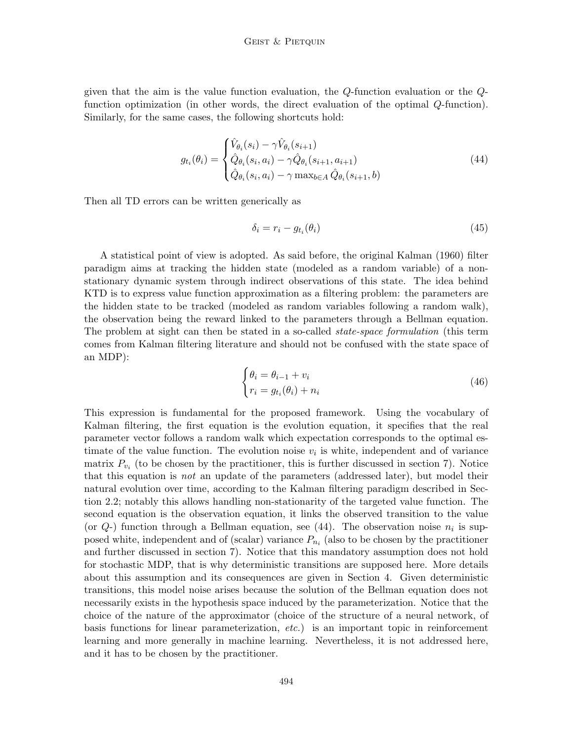given that the aim is the value function evaluation, the Q-function evaluation or the Qfunction optimization (in other words, the direct evaluation of the optimal Q-function). Similarly, for the same cases, the following shortcuts hold:

$$
g_{t_i}(\theta_i) = \begin{cases} \hat{V}_{\theta_i}(s_i) - \gamma \hat{V}_{\theta_i}(s_{i+1}) \\ \hat{Q}_{\theta_i}(s_i, a_i) - \gamma \hat{Q}_{\theta_i}(s_{i+1}, a_{i+1}) \\ \hat{Q}_{\theta_i}(s_i, a_i) - \gamma \max_{b \in A} \hat{Q}_{\theta_i}(s_{i+1}, b) \end{cases}
$$
(44)

Then all TD errors can be written generically as

$$
\delta_i = r_i - g_{t_i}(\theta_i) \tag{45}
$$

A statistical point of view is adopted. As said before, the original Kalman (1960) filter paradigm aims at tracking the hidden state (modeled as a random variable) of a nonstationary dynamic system through indirect observations of this state. The idea behind KTD is to express value function approximation as a filtering problem: the parameters are the hidden state to be tracked (modeled as random variables following a random walk), the observation being the reward linked to the parameters through a Bellman equation. The problem at sight can then be stated in a so-called *state-space formulation* (this term comes from Kalman filtering literature and should not be confused with the state space of an MDP):

$$
\begin{cases} \theta_i = \theta_{i-1} + v_i \\ r_i = g_{t_i}(\theta_i) + n_i \end{cases} \tag{46}
$$

This expression is fundamental for the proposed framework. Using the vocabulary of Kalman filtering, the first equation is the evolution equation, it specifies that the real parameter vector follows a random walk which expectation corresponds to the optimal estimate of the value function. The evolution noise  $v_i$  is white, independent and of variance matrix  $P_{v_i}$  (to be chosen by the practitioner, this is further discussed in section 7). Notice that this equation is not an update of the parameters (addressed later), but model their natural evolution over time, according to the Kalman filtering paradigm described in Section 2.2; notably this allows handling non-stationarity of the targeted value function. The second equation is the observation equation, it links the observed transition to the value (or  $Q$ -) function through a Bellman equation, see (44). The observation noise  $n_i$  is supposed white, independent and of (scalar) variance  $P_{n_i}$  (also to be chosen by the practitioner and further discussed in section 7). Notice that this mandatory assumption does not hold for stochastic MDP, that is why deterministic transitions are supposed here. More details about this assumption and its consequences are given in Section 4. Given deterministic transitions, this model noise arises because the solution of the Bellman equation does not necessarily exists in the hypothesis space induced by the parameterization. Notice that the choice of the nature of the approximator (choice of the structure of a neural network, of basis functions for linear parameterization, etc.) is an important topic in reinforcement learning and more generally in machine learning. Nevertheless, it is not addressed here, and it has to be chosen by the practitioner.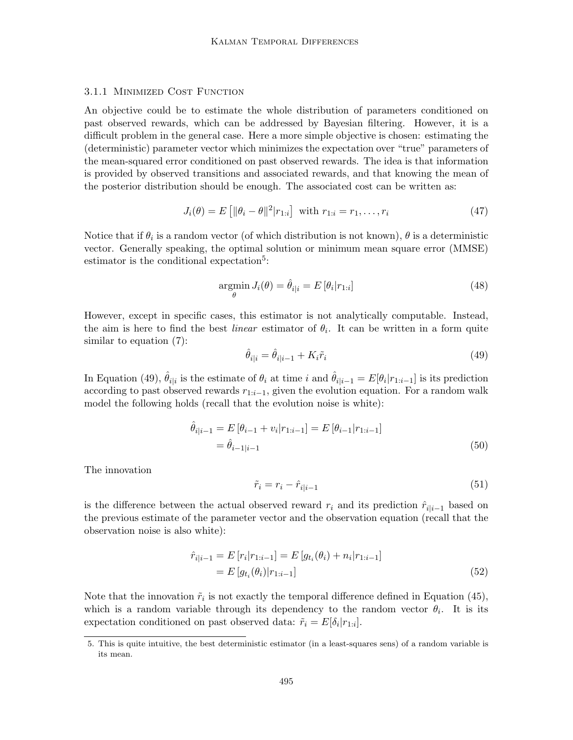### 3.1.1 Minimized Cost Function

An objective could be to estimate the whole distribution of parameters conditioned on past observed rewards, which can be addressed by Bayesian filtering. However, it is a difficult problem in the general case. Here a more simple objective is chosen: estimating the (deterministic) parameter vector which minimizes the expectation over "true" parameters of the mean-squared error conditioned on past observed rewards. The idea is that information is provided by observed transitions and associated rewards, and that knowing the mean of the posterior distribution should be enough. The associated cost can be written as:

$$
J_i(\theta) = E\left[ \|\theta_i - \theta\|^2 |r_{1:i} \right] \text{ with } r_{1:i} = r_1, \dots, r_i \tag{47}
$$

Notice that if  $\theta_i$  is a random vector (of which distribution is not known),  $\theta$  is a deterministic vector. Generally speaking, the optimal solution or minimum mean square error (MMSE) estimator is the conditional expectation<sup>5</sup>:

$$
\underset{\theta}{\operatorname{argmin}} J_i(\theta) = \hat{\theta}_{i|i} = E\left[\theta_i | r_{1:i}\right] \tag{48}
$$

However, except in specific cases, this estimator is not analytically computable. Instead, the aim is here to find the best *linear* estimator of  $\theta_i$ . It can be written in a form quite similar to equation (7):

$$
\hat{\theta}_{i|i} = \hat{\theta}_{i|i-1} + K_i \tilde{r}_i \tag{49}
$$

In Equation (49),  $\hat{\theta}_{i|i}$  is the estimate of  $\theta_i$  at time i and  $\hat{\theta}_{i|i-1} = E[\theta_i | r_{1:i-1}]$  is its prediction according to past observed rewards  $r_{1:i-1}$ , given the evolution equation. For a random walk model the following holds (recall that the evolution noise is white):

$$
\hat{\theta}_{i|i-1} = E\left[\theta_{i-1} + v_i | r_{1:i-1}\right] = E\left[\theta_{i-1} | r_{1:i-1}\right]
$$

$$
= \hat{\theta}_{i-1|i-1} \tag{50}
$$

The innovation

$$
\tilde{r}_i = r_i - \hat{r}_{i|i-1} \tag{51}
$$

is the difference between the actual observed reward  $r_i$  and its prediction  $\hat{r}_{i|i-1}$  based on the previous estimate of the parameter vector and the observation equation (recall that the observation noise is also white):

$$
\hat{r}_{i|i-1} = E[r_i|r_{1:i-1}] = E[g_{t_i}(\theta_i) + n_i|r_{1:i-1}] \n= E[g_{t_i}(\theta_i)|r_{1:i-1}]
$$
\n(52)

Note that the innovation  $\tilde{r}_i$  is not exactly the temporal difference defined in Equation (45), which is a random variable through its dependency to the random vector  $\theta_i$ . It is its expectation conditioned on past observed data:  $\tilde{r}_i = E[\delta_i | r_{1:i}]$ .

<sup>5.</sup> This is quite intuitive, the best deterministic estimator (in a least-squares sens) of a random variable is its mean.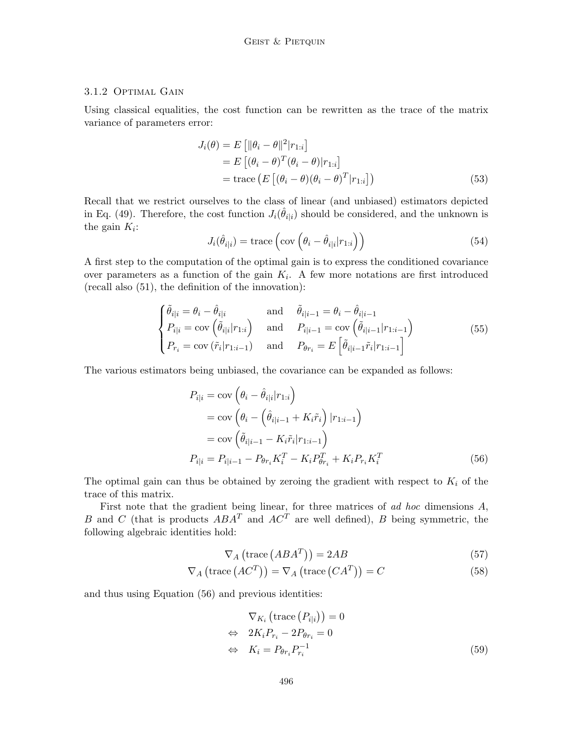## 3.1.2 Optimal Gain

Using classical equalities, the cost function can be rewritten as the trace of the matrix variance of parameters error:

$$
J_i(\theta) = E\left[ \|\theta_i - \theta\|^2 | r_{1:i} \right]
$$
  
= 
$$
E\left[ (\theta_i - \theta)^T (\theta_i - \theta) | r_{1:i} \right]
$$
  
= trace 
$$
\left( E\left[ (\theta_i - \theta) (\theta_i - \theta)^T | r_{1:i} \right] \right)
$$
 (53)

Recall that we restrict ourselves to the class of linear (and unbiased) estimators depicted in Eq. (49). Therefore, the cost function  $J_i(\hat{\theta}_{i|i})$  should be considered, and the unknown is the gain  $K_i$ :

$$
J_i(\hat{\theta}_{i|i}) = \text{trace}\left(\text{cov}\left(\theta_i - \hat{\theta}_{i|i}|r_{1:i}\right)\right) \tag{54}
$$

A first step to the computation of the optimal gain is to express the conditioned covariance over parameters as a function of the gain  $K_i$ . A few more notations are first introduced (recall also (51), the definition of the innovation):

$$
\begin{cases}\n\tilde{\theta}_{i|i} = \theta_i - \hat{\theta}_{i|i} & \text{and} \quad \tilde{\theta}_{i|i-1} = \theta_i - \hat{\theta}_{i|i-1} \\
P_{i|i} = \text{cov}\left(\tilde{\theta}_{i|i}|r_{1:i}\right) & \text{and} \quad P_{i|i-1} = \text{cov}\left(\tilde{\theta}_{i|i-1}|r_{1:i-1}\right) \\
P_{r_i} = \text{cov}\left(\tilde{r}_i|r_{1:i-1}\right) & \text{and} \quad P_{\theta r_i} = E\left[\tilde{\theta}_{i|i-1}\tilde{r}_i|r_{1:i-1}\right]\n\end{cases}
$$
\n(55)

The various estimators being unbiased, the covariance can be expanded as follows:

$$
P_{i|i} = \text{cov}\left(\theta_i - \hat{\theta}_{i|i}|r_{1:i}\right)
$$
  
=  $\text{cov}\left(\theta_i - \left(\hat{\theta}_{i|i-1} + K_i\tilde{r}_i\right)|r_{1:i-1}\right)$   
=  $\text{cov}\left(\tilde{\theta}_{i|i-1} - K_i\tilde{r}_i|r_{1:i-1}\right)$   

$$
P_{i|i} = P_{i|i-1} - P_{\theta r_i}K_i^T - K_iP_{\theta r_i}^T + K_iP_{r_i}K_i^T
$$
(56)

The optimal gain can thus be obtained by zeroing the gradient with respect to  $K_i$  of the trace of this matrix.

First note that the gradient being linear, for three matrices of ad hoc dimensions A, B and C (that is products  $ABA^T$  and  $AC^T$  are well defined), B being symmetric, the following algebraic identities hold:

$$
\nabla_A \left( \text{trace} \left( ABA^T \right) \right) = 2AB \tag{57}
$$

$$
\nabla_A \left( \text{trace} \left( AC^T \right) \right) = \nabla_A \left( \text{trace} \left( CA^T \right) \right) = C \tag{58}
$$

and thus using Equation (56) and previous identities:

$$
\nabla_{K_i} \left( \text{trace} \left( P_{i|i} \right) \right) = 0
$$
\n
$$
\Leftrightarrow 2K_i P_{r_i} - 2P_{\theta r_i} = 0
$$
\n
$$
\Leftrightarrow K_i = P_{\theta r_i} P_{r_i}^{-1} \tag{59}
$$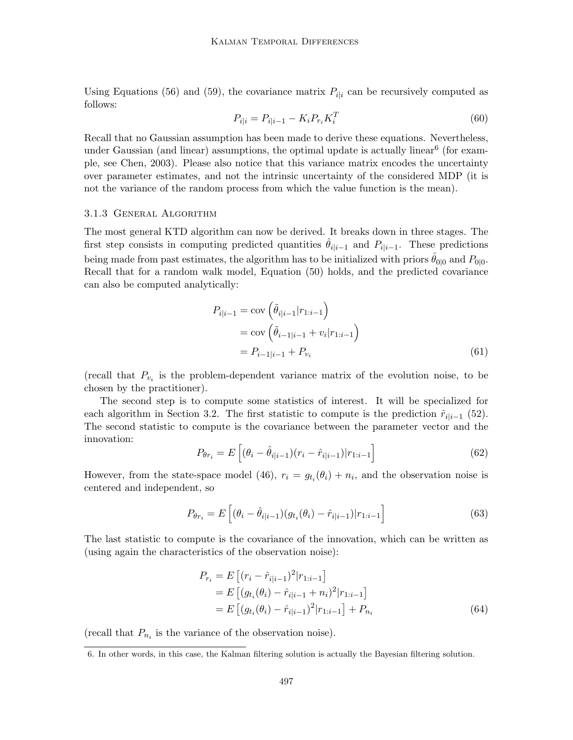Using Equations (56) and (59), the covariance matrix  $P_{i|i}$  can be recursively computed as follows:

$$
P_{i|i} = P_{i|i-1} - K_i P_{r_i} K_i^T
$$
\n(60)

Recall that no Gaussian assumption has been made to derive these equations. Nevertheless, under Gaussian (and linear) assumptions, the optimal update is actually linear<sup>6</sup> (for example, see Chen, 2003). Please also notice that this variance matrix encodes the uncertainty over parameter estimates, and not the intrinsic uncertainty of the considered MDP (it is not the variance of the random process from which the value function is the mean).

#### 3.1.3 General Algorithm

The most general KTD algorithm can now be derived. It breaks down in three stages. The first step consists in computing predicted quantities  $\hat{\theta}_{i|i-1}$  and  $P_{i|i-1}$ . These predictions being made from past estimates, the algorithm has to be initialized with priors  $\hat{\theta}_{0|0}$  and  $P_{0|0}$ . Recall that for a random walk model, Equation (50) holds, and the predicted covariance can also be computed analytically:

$$
P_{i|i-1} = \text{cov}\left(\tilde{\theta}_{i|i-1}|r_{1:i-1}\right)
$$
  
=  $\text{cov}\left(\tilde{\theta}_{i-1|i-1} + v_i|r_{1:i-1}\right)$   
=  $P_{i-1|i-1} + P_{v_i}$  (61)

(recall that  $P_{v_i}$  is the problem-dependent variance matrix of the evolution noise, to be chosen by the practitioner).

The second step is to compute some statistics of interest. It will be specialized for each algorithm in Section 3.2. The first statistic to compute is the prediction  $\hat{r}_{i|i-1}$  (52). The second statistic to compute is the covariance between the parameter vector and the innovation:

$$
P_{\theta r_i} = E\left[ (\theta_i - \hat{\theta}_{i|i-1})(r_i - \hat{r}_{i|i-1}) | r_{1:i-1} \right]
$$
(62)

However, from the state-space model (46),  $r_i = g_{t_i}(\theta_i) + n_i$ , and the observation noise is centered and independent, so

$$
P_{\theta r_i} = E\left[ (\theta_i - \hat{\theta}_{i|i-1}) (g_{t_i}(\theta_i) - \hat{r}_{i|i-1}) | r_{1:i-1} \right]
$$
(63)

The last statistic to compute is the covariance of the innovation, which can be written as (using again the characteristics of the observation noise):

$$
P_{r_i} = E\left[ (r_i - \hat{r}_{i|i-1})^2 | r_{1:i-1} \right]
$$
  
= 
$$
E\left[ (g_{t_i}(\theta_i) - \hat{r}_{i|i-1} + n_i)^2 | r_{1:i-1} \right]
$$
  
= 
$$
E\left[ (g_{t_i}(\theta_i) - \hat{r}_{i|i-1})^2 | r_{1:i-1} \right] + P_{n_i}
$$
 (64)

(recall that  $P_{n_i}$  is the variance of the observation noise).

<sup>6.</sup> In other words, in this case, the Kalman filtering solution is actually the Bayesian filtering solution.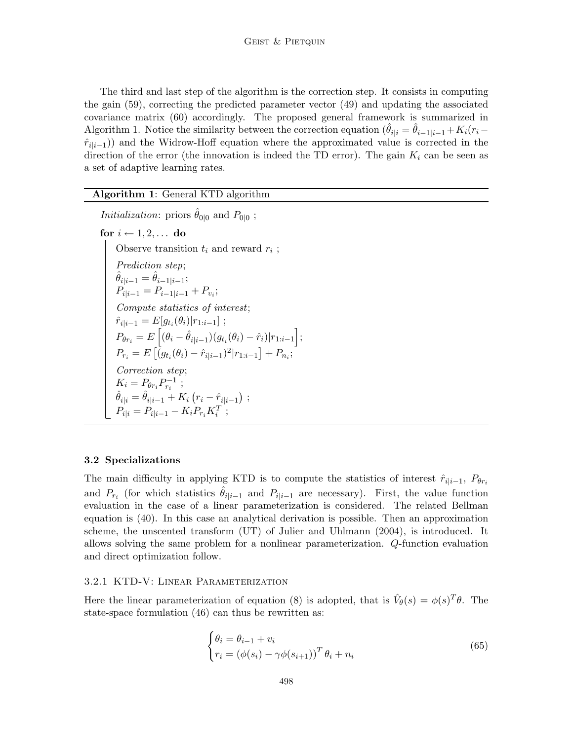The third and last step of the algorithm is the correction step. It consists in computing the gain (59), correcting the predicted parameter vector (49) and updating the associated covariance matrix (60) accordingly. The proposed general framework is summarized in Algorithm 1. Notice the similarity between the correction equation  $(\hat{\theta}_{i|i} = \hat{\theta}_{i-1|i-1} + K_i(r_i-\hat{\theta}_{i-1})$  $\hat{r}_{i|i-1}$ )) and the Widrow-Hoff equation where the approximated value is corrected in the direction of the error (the innovation is indeed the TD error). The gain  $K_i$  can be seen as a set of adaptive learning rates.

## Algorithm 1: General KTD algorithm

*Initialization*: priors  $\hat{\theta}_{0|0}$  and  $P_{0|0}$ ; for  $i \leftarrow 1, 2, \ldots$  do Observe transition  $t_i$  and reward  $r_i$ Observe transition  $t_i$  and reward  $r_i$ ; Prediction step;  $\hat{\theta}_{i|i-1} = \hat{\theta}_{i-1|i-1};$  $P_{i|i-1} = P_{i-1|i-1} + P_{v_i};$ Compute statistics of interest;  $\hat{r}_{i|i-1} = E[g_{t_i}(\theta_i)|r_{1:i-1}]$ ;  $P_{\theta r_i} = E \left[ (\theta_i - \hat{\theta}_{i|i-1}) (g_{t_i}(\theta_i) - \hat{r}_i) | r_{1:i-1} \right];$  $P_{r_i} = E\left[ (g_{t_i}(\theta_i) - \hat{r}_{i|i-1})^2 | r_{1:i-1} \right] + P_{n_i};$ Correction step;  $K_i = P_{\theta r_i} P_{r_i}^{-1}$ ;  $\hat{\theta}_{i|i} = \hat{\theta}_{i|i-1} + K_i (r_i - \hat{r}_{i|i-1})$ ;  $P_{i|i} = P_{i|i-1} - K_i P_{r_i} K_i^T;$ 

### 3.2 Specializations

The main difficulty in applying KTD is to compute the statistics of interest  $\hat{r}_{i|i-1}, P_{\theta r_i}$ and  $P_{r_i}$  (for which statistics  $\hat{\theta}_{i|i-1}$  and  $P_{i|i-1}$  are necessary). First, the value function evaluation in the case of a linear parameterization is considered. The related Bellman equation is (40). In this case an analytical derivation is possible. Then an approximation scheme, the unscented transform (UT) of Julier and Uhlmann (2004), is introduced. It allows solving the same problem for a nonlinear parameterization. Q-function evaluation and direct optimization follow.

#### 3.2.1 KTD-V: Linear Parameterization

Here the linear parameterization of equation (8) is adopted, that is  $\hat{V}_{\theta}(s) = \phi(s)^{T} \theta$ . The state-space formulation (46) can thus be rewritten as:

$$
\begin{cases} \theta_i = \theta_{i-1} + v_i \\ r_i = \left(\phi(s_i) - \gamma\phi(s_{i+1})\right)^T \theta_i + n_i \end{cases}
$$
\n(65)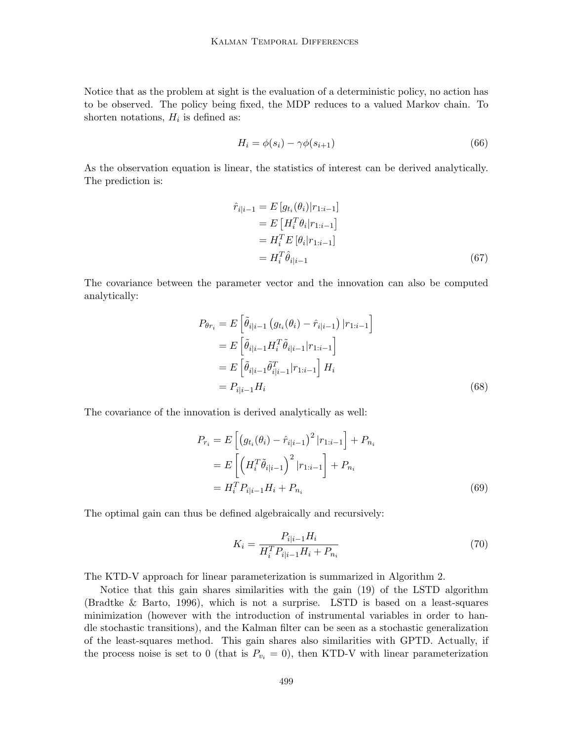Notice that as the problem at sight is the evaluation of a deterministic policy, no action has to be observed. The policy being fixed, the MDP reduces to a valued Markov chain. To shorten notations,  $H_i$  is defined as:

$$
H_i = \phi(s_i) - \gamma \phi(s_{i+1}) \tag{66}
$$

As the observation equation is linear, the statistics of interest can be derived analytically. The prediction is:

$$
\hat{r}_{i|i-1} = E[g_{t_i}(\theta_i)|r_{1:i-1}] \n= E[H_i^T \theta_i|r_{1:i-1}] \n= H_i^T E[\theta_i|r_{1:i-1}] \n= H_i^T \hat{\theta}_{i|i-1}
$$
\n(67)

The covariance between the parameter vector and the innovation can also be computed analytically:

$$
P_{\theta r_i} = E \left[ \tilde{\theta}_{i|i-1} \left( g_{t_i}(\theta_i) - \hat{r}_{i|i-1} \right) | r_{1:i-1} \right]
$$
  
= 
$$
E \left[ \tilde{\theta}_{i|i-1} H_i^T \tilde{\theta}_{i|i-1} | r_{1:i-1} \right]
$$
  
= 
$$
E \left[ \tilde{\theta}_{i|i-1} \tilde{\theta}_{i|i-1}^T | r_{1:i-1} \right] H_i
$$
  
= 
$$
P_{i|i-1} H_i
$$
 (68)

The covariance of the innovation is derived analytically as well:

$$
P_{r_i} = E\left[\left(g_{t_i}(\theta_i) - \hat{r}_{i|i-1}\right)^2 | r_{1:i-1} \right] + P_{n_i}
$$
  
= 
$$
E\left[\left(H_i^T \tilde{\theta}_{i|i-1}\right)^2 | r_{1:i-1} \right] + P_{n_i}
$$
  
= 
$$
H_i^T P_{i|i-1} H_i + P_{n_i}
$$
 (69)

The optimal gain can thus be defined algebraically and recursively:

$$
K_i = \frac{P_{i|i-1}H_i}{H_i^T P_{i|i-1}H_i + P_{n_i}}
$$
\n(70)

The KTD-V approach for linear parameterization is summarized in Algorithm 2.

Notice that this gain shares similarities with the gain (19) of the LSTD algorithm (Bradtke & Barto, 1996), which is not a surprise. LSTD is based on a least-squares minimization (however with the introduction of instrumental variables in order to handle stochastic transitions), and the Kalman filter can be seen as a stochastic generalization of the least-squares method. This gain shares also similarities with GPTD. Actually, if the process noise is set to 0 (that is  $P_{v_i} = 0$ ), then KTD-V with linear parameterization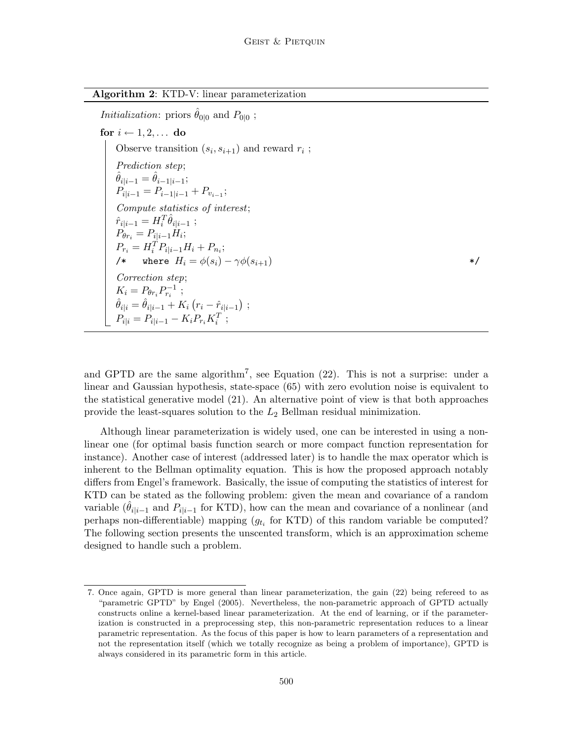| Algorithm 2: KTD-V: linear parameterization |  |  |  |
|---------------------------------------------|--|--|--|
|                                             |  |  |  |

*Initialization*: priors  $\hat{\theta}_{0|0}$  and  $P_{0|0}$ ;

for  $i \leftarrow 1, 2, \ldots$  do Observe transition  $(s_i)$  $, s_{i+1}$ ) and reward  $r_i$ ; Prediction step;  $\hat{\theta}_{i|i-1} = \hat{\theta}_{i-1|i-1};$  $P_{i|i-1} = P_{i-1|i-1} + P_{v_{i-1}};$ Compute statistics of interest;  $\hat{r}_{i|i-1} = H_i^T \hat{\theta}_{i|i-1}$ ;  $P_{\theta r_i} = P_{i|i-1}H_i;$  $P_{r_i} = H_i^T P_{i|i-1} H_i + P_{n_i};$ /\* where  $H_i = \phi(s_i) - \gamma \phi(s_{i+1})$  \*/ Correction step;  $K_i = P_{\theta r_i} P_{r_i}^{-1}$ ;  $\hat{\theta}_{i|i} = \hat{\theta}_{i|i-1} + K_i (r_i - \hat{r}_{i|i-1})$ ;  $P_{i|i} = P_{i|i-1} - K_i P_{r_i} K_i^T;$ 

and GPTD are the same algorithm<sup>7</sup>, see Equation  $(22)$ . This is not a surprise: under a linear and Gaussian hypothesis, state-space (65) with zero evolution noise is equivalent to the statistical generative model (21). An alternative point of view is that both approaches provide the least-squares solution to the  $L_2$  Bellman residual minimization.

Although linear parameterization is widely used, one can be interested in using a nonlinear one (for optimal basis function search or more compact function representation for instance). Another case of interest (addressed later) is to handle the max operator which is inherent to the Bellman optimality equation. This is how the proposed approach notably differs from Engel's framework. Basically, the issue of computing the statistics of interest for KTD can be stated as the following problem: given the mean and covariance of a random variable  $(\hat{\theta}_{i|i-1}$  and  $P_{i|i-1}$  for KTD), how can the mean and covariance of a nonlinear (and perhaps non-differentiable) mapping  $(g_{t_i}$  for KTD) of this random variable be computed? The following section presents the unscented transform, which is an approximation scheme designed to handle such a problem.

<sup>7.</sup> Once again, GPTD is more general than linear parameterization, the gain (22) being refereed to as "parametric GPTD" by Engel (2005). Nevertheless, the non-parametric approach of GPTD actually constructs online a kernel-based linear parameterization. At the end of learning, or if the parameterization is constructed in a preprocessing step, this non-parametric representation reduces to a linear parametric representation. As the focus of this paper is how to learn parameters of a representation and not the representation itself (which we totally recognize as being a problem of importance), GPTD is always considered in its parametric form in this article.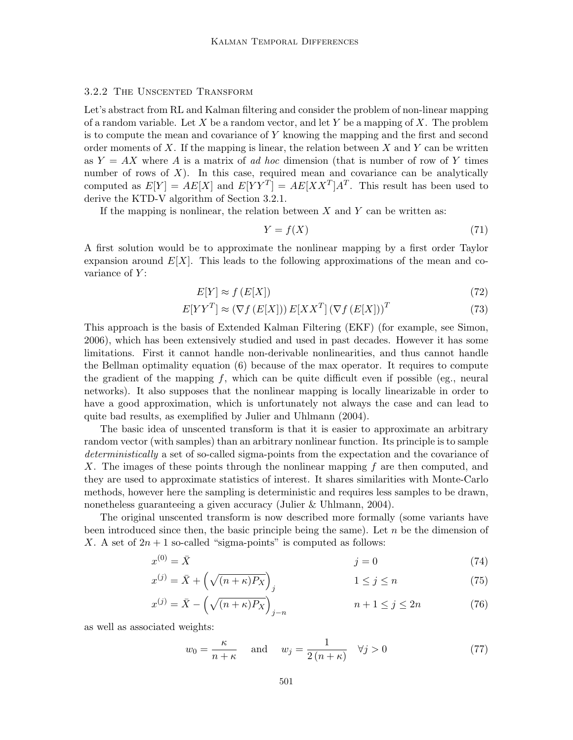### 3.2.2 The Unscented Transform

Let's abstract from RL and Kalman filtering and consider the problem of non-linear mapping of a random variable. Let X be a random vector, and let Y be a mapping of X. The problem is to compute the mean and covariance of Y knowing the mapping and the first and second order moments of  $X$ . If the mapping is linear, the relation between  $X$  and  $Y$  can be written as  $Y = AX$  where A is a matrix of ad hoc dimension (that is number of row of Y times number of rows of  $X$ ). In this case, required mean and covariance can be analytically computed as  $E[Y] = AE[X]$  and  $E[YY^T] = AE[XX^T]A^T$ . This result has been used to derive the KTD-V algorithm of Section 3.2.1.

If the mapping is nonlinear, the relation between  $X$  and  $Y$  can be written as:

$$
Y = f(X) \tag{71}
$$

A first solution would be to approximate the nonlinear mapping by a first order Taylor expansion around  $E[X]$ . This leads to the following approximations of the mean and covariance of  $Y$ :

$$
E[Y] \approx f(E[X]) \tag{72}
$$

$$
E[YYT] \approx (\nabla f(E[X])) E[XXT] (\nabla f(E[X]))T
$$
\n(73)

This approach is the basis of Extended Kalman Filtering (EKF) (for example, see Simon, 2006), which has been extensively studied and used in past decades. However it has some limitations. First it cannot handle non-derivable nonlinearities, and thus cannot handle the Bellman optimality equation (6) because of the max operator. It requires to compute the gradient of the mapping  $f$ , which can be quite difficult even if possible (eg., neural networks). It also supposes that the nonlinear mapping is locally linearizable in order to have a good approximation, which is unfortunately not always the case and can lead to quite bad results, as exemplified by Julier and Uhlmann (2004).

The basic idea of unscented transform is that it is easier to approximate an arbitrary random vector (with samples) than an arbitrary nonlinear function. Its principle is to sample deterministically a set of so-called sigma-points from the expectation and the covariance of X. The images of these points through the nonlinear mapping f are then computed, and they are used to approximate statistics of interest. It shares similarities with Monte-Carlo methods, however here the sampling is deterministic and requires less samples to be drawn, nonetheless guaranteeing a given accuracy (Julier & Uhlmann, 2004).

The original unscented transform is now described more formally (some variants have been introduced since then, the basic principle being the same). Let  $n$  be the dimension of X. A set of  $2n + 1$  so-called "sigma-points" is computed as follows:

$$
x^{(0)} = \bar{X} \tag{74}
$$

$$
x^{(j)} = \bar{X} + \left(\sqrt{(n+\kappa)P_X}\right)_j \qquad \qquad 1 \le j \le n \tag{75}
$$

$$
x^{(j)} = \bar{X} - \left(\sqrt{(n+\kappa)P_X}\right)_{j-n} \qquad n+1 \le j \le 2n \tag{76}
$$

as well as associated weights:

$$
w_0 = \frac{\kappa}{n+\kappa} \quad \text{and} \quad w_j = \frac{1}{2(n+\kappa)} \quad \forall j > 0 \tag{77}
$$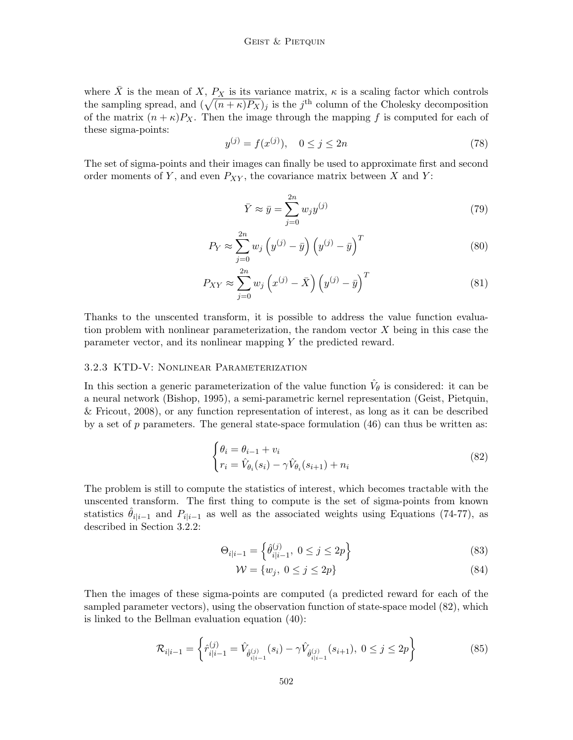where  $\overline{X}$  is the mean of X,  $P_X$  is its variance matrix,  $\kappa$  is a scaling factor which controls the sampling spread, and  $(\sqrt{(n + \kappa)P_X})_j$  is the j<sup>th</sup> column of the Cholesky decomposition of the matrix  $(n + \kappa)P_X$ . Then the image through the mapping f is computed for each of these sigma-points:

$$
y^{(j)} = f(x^{(j)}), \quad 0 \le j \le 2n \tag{78}
$$

The set of sigma-points and their images can finally be used to approximate first and second order moments of Y, and even  $P_{XY}$ , the covariance matrix between X and Y:

$$
\bar{Y} \approx \bar{y} = \sum_{j=0}^{2n} w_j y^{(j)} \tag{79}
$$

$$
P_Y \approx \sum_{j=0}^{2n} w_j \left( y^{(j)} - \bar{y} \right) \left( y^{(j)} - \bar{y} \right)^T
$$
\n(80)

$$
P_{XY} \approx \sum_{j=0}^{2n} w_j \left( x^{(j)} - \bar{X} \right) \left( y^{(j)} - \bar{y} \right)^T
$$
 (81)

Thanks to the unscented transform, it is possible to address the value function evaluation problem with nonlinear parameterization, the random vector  $X$  being in this case the parameter vector, and its nonlinear mapping Y the predicted reward.

#### 3.2.3 KTD-V: Nonlinear Parameterization

In this section a generic parameterization of the value function  $\hat{V}_{\theta}$  is considered: it can be a neural network (Bishop, 1995), a semi-parametric kernel representation (Geist, Pietquin, & Fricout, 2008), or any function representation of interest, as long as it can be described by a set of  $p$  parameters. The general state-space formulation  $(46)$  can thus be written as:

$$
\begin{cases} \theta_i = \theta_{i-1} + v_i \\ r_i = \hat{V}_{\theta_i}(s_i) - \gamma \hat{V}_{\theta_i}(s_{i+1}) + n_i \end{cases}
$$
\n(82)

The problem is still to compute the statistics of interest, which becomes tractable with the unscented transform. The first thing to compute is the set of sigma-points from known statistics  $\hat{\theta}_{i|i-1}$  and  $P_{i|i-1}$  as well as the associated weights using Equations (74-77), as described in Section 3.2.2:

$$
\Theta_{i|i-1} = \left\{ \hat{\theta}_{i|i-1}^{(j)}, \ 0 \le j \le 2p \right\} \tag{83}
$$

$$
\mathcal{W} = \{w_j, \ 0 \le j \le 2p\} \tag{84}
$$

Then the images of these sigma-points are computed (a predicted reward for each of the sampled parameter vectors), using the observation function of state-space model (82), which is linked to the Bellman evaluation equation (40):

$$
\mathcal{R}_{i|i-1} = \left\{ \hat{r}_{i|i-1}^{(j)} = \hat{V}_{\hat{\theta}_{i|i-1}^{(j)}}(s_i) - \gamma \hat{V}_{\hat{\theta}_{i|i-1}^{(j)}}(s_{i+1}), \ 0 \le j \le 2p \right\}
$$
(85)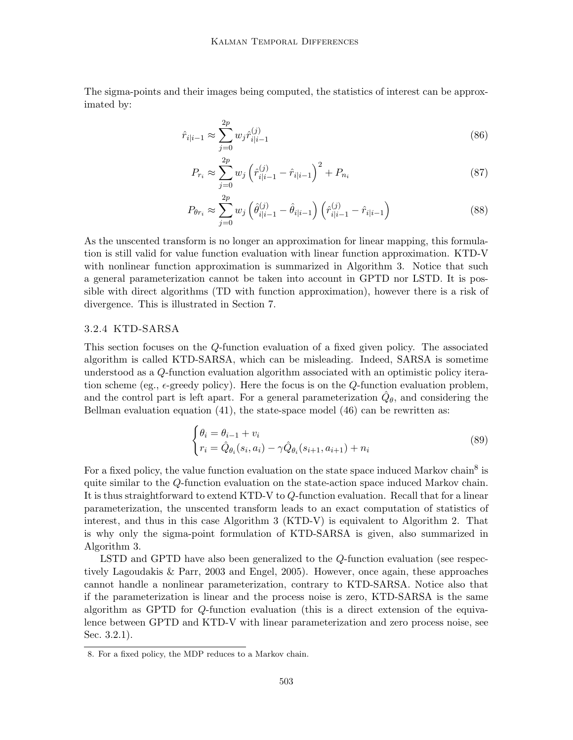The sigma-points and their images being computed, the statistics of interest can be approximated by:

$$
\hat{r}_{i|i-1} \approx \sum_{j=0}^{2p} w_j \hat{r}_{i|i-1}^{(j)} \tag{86}
$$

$$
P_{r_i} \approx \sum_{j=0}^{2p} w_j \left(\hat{r}_{i|i-1}^{(j)} - \hat{r}_{i|i-1}\right)^2 + P_{n_i}
$$
\n(87)

$$
P_{\theta r_i} \approx \sum_{j=0}^{2p} w_j \left( \hat{\theta}_{i|i-1}^{(j)} - \hat{\theta}_{i|i-1} \right) \left( \hat{r}_{i|i-1}^{(j)} - \hat{r}_{i|i-1} \right)
$$
(88)

As the unscented transform is no longer an approximation for linear mapping, this formulation is still valid for value function evaluation with linear function approximation. KTD-V with nonlinear function approximation is summarized in Algorithm 3. Notice that such a general parameterization cannot be taken into account in GPTD nor LSTD. It is possible with direct algorithms (TD with function approximation), however there is a risk of divergence. This is illustrated in Section 7.

## 3.2.4 KTD-SARSA

This section focuses on the Q-function evaluation of a fixed given policy. The associated algorithm is called KTD-SARSA, which can be misleading. Indeed, SARSA is sometime understood as a Q-function evaluation algorithm associated with an optimistic policy iteration scheme (eg.,  $\epsilon$ -greedy policy). Here the focus is on the Q-function evaluation problem, and the control part is left apart. For a general parameterization  $\hat{Q}_{\theta}$ , and considering the Bellman evaluation equation  $(41)$ , the state-space model  $(46)$  can be rewritten as:

$$
\begin{cases} \theta_i = \theta_{i-1} + v_i \\ r_i = \hat{Q}_{\theta_i}(s_i, a_i) - \gamma \hat{Q}_{\theta_i}(s_{i+1}, a_{i+1}) + n_i \end{cases}
$$
(89)

For a fixed policy, the value function evaluation on the state space induced Markov chain<sup>8</sup> is quite similar to the Q-function evaluation on the state-action space induced Markov chain. It is thus straightforward to extend KTD-V to Q-function evaluation. Recall that for a linear parameterization, the unscented transform leads to an exact computation of statistics of interest, and thus in this case Algorithm 3 (KTD-V) is equivalent to Algorithm 2. That is why only the sigma-point formulation of KTD-SARSA is given, also summarized in Algorithm 3.

LSTD and GPTD have also been generalized to the Q-function evaluation (see respectively Lagoudakis & Parr, 2003 and Engel, 2005). However, once again, these approaches cannot handle a nonlinear parameterization, contrary to KTD-SARSA. Notice also that if the parameterization is linear and the process noise is zero, KTD-SARSA is the same algorithm as GPTD for Q-function evaluation (this is a direct extension of the equivalence between GPTD and KTD-V with linear parameterization and zero process noise, see Sec. 3.2.1).

<sup>8.</sup> For a fixed policy, the MDP reduces to a Markov chain.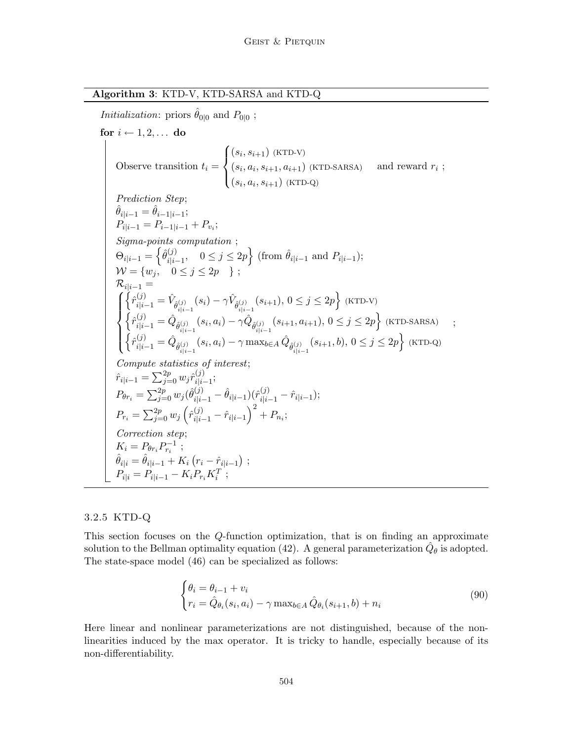## Algorithm 3: KTD-V, KTD-SARSA and KTD-Q

*Initialization*: priors  $\hat{\theta}_{0|0}$  and  $P_{0|0}$ ;

for  $i \leftarrow 1, 2, \ldots$  do Observe transition  $t_i =$  $\sqrt{ }$  $\int$  $(s_i, s_{i+1})$  (KTD-V)  $(s_i, a_i, s_{i+1})$  (KTD-Q)  $(s_i, a_i, s_{i+1}, a_{i+1})$  (KTD-SARSA) and reward  $r_i$ ; Prediction Step;  $\hat{\theta}_{i|i-1} = \hat{\theta}_{i-1|i-1};$  $P_{i|i-1} = P_{i-1|i-1} + P_{v_i};$ Sigma-points computation ;  $\Theta_{i|i-1} = \left\{\hat{\theta}_{i|i}^{(j)}\right\}$  $j_{i|i-1}^{(j)}$ ,  $0 \le j \le 2p$  {from  $\hat{\theta}_{i|i-1}$  and  $P_{i|i-1}$ };  $\mathcal{W} = \{w_j, \quad 0 \le j \le 2p \quad \} ;$  $\mathcal{R}_{i|i-1} =$  $\sqrt{ }$  $\int$  $\overline{\mathcal{L}}$  $\left\{\hat{r}_{i|i-1}^{(j)} = \hat{V}_{\hat{\theta}_{i|i-1}^{(j)}}(s_i) - \gamma \hat{V}_{\hat{\theta}_{i|i-1}^{(j)}}(s_{i+1}), 0 \leq j \leq 2p\right\}$  (KTD-V)  $\left\{\hat{r}_{i|i-1}^{(j)}=\hat{Q}_{\hat{\theta}_{i|i-1}^{(j)}}(s_i,a_i)-\gamma\hat{Q}_{\hat{\theta}_{i|i-1}^{(j)}}(s_{i+1},a_{i+1}),\,0\leq j\leq 2p\right\}$  (ktd-sarsa)  $\left\{\hat{r}_{i|i-1}^{(j)} = \hat{Q}_{\hat{\theta}_{i|i-1}^{(j)}}(s_i, a_i) - \gamma \max_{b \in A} \hat{Q}_{\hat{\theta}_{i|i-1}^{(j)}}(s_{i+1}, b), 0 \le j \le 2p\right\}$  (KTD-Q) ; Compute statistics of interest;  $\hat{r}_{i|i-1} = \sum_{j=0}^{2p} w_j \hat{r}^{(j)}_{i|i}$  $\frac{(J)}{i|i-1};$  $P_{\theta r_i} = \sum_{j=0}^{2p} w_j (\hat{\theta}_{i|i-1}^{(j)} - \hat{\theta}_{i|i-1}) (\hat{r}_{i|i-1}^{(j)} - \hat{r}_{i|i-1});$  $P_{r_i} = \sum_{j=0}^{2p} w_j \left( \hat{r}_{i|i-1}^{(j)} - \hat{r}_{i|i-1} \right)^2 + P_{n_i};$ Correction step;  $K_i = P_{\theta r_i} P_{r_i}^{-1}$ ;  $\hat{\theta}_{i|i} = \hat{\theta}_{i|i-1} + K_i (r_i - \hat{r}_{i|i-1})$ ;  $P_{i|i} = P_{i|i-1} - K_i P_{r_i} K_i^T;$ 

### 3.2.5 KTD-Q

This section focuses on the Q-function optimization, that is on finding an approximate solution to the Bellman optimality equation (42). A general parameterization  $\hat{Q}_{\theta}$  is adopted. The state-space model (46) can be specialized as follows:

$$
\begin{cases} \theta_i = \theta_{i-1} + v_i \\ r_i = \hat{Q}_{\theta_i}(s_i, a_i) - \gamma \max_{b \in A} \hat{Q}_{\theta_i}(s_{i+1}, b) + n_i \end{cases}
$$
\n
$$
(90)
$$

Here linear and nonlinear parameterizations are not distinguished, because of the nonlinearities induced by the max operator. It is tricky to handle, especially because of its non-differentiability.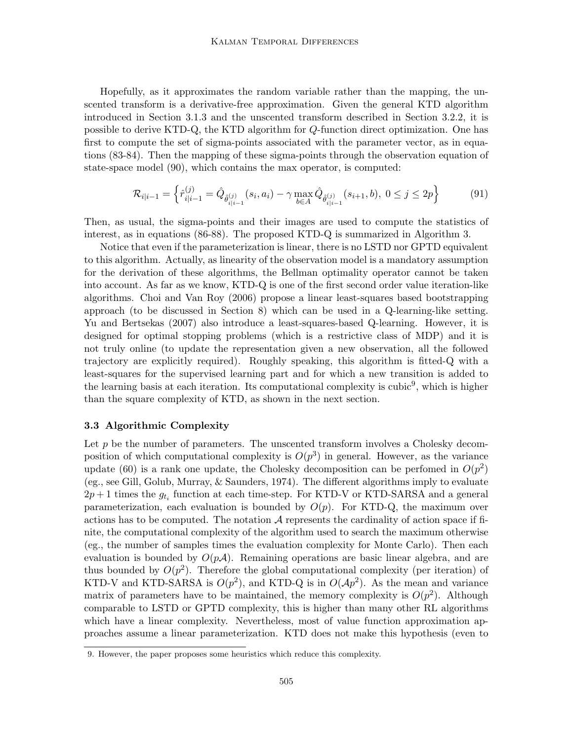Hopefully, as it approximates the random variable rather than the mapping, the unscented transform is a derivative-free approximation. Given the general KTD algorithm introduced in Section 3.1.3 and the unscented transform described in Section 3.2.2, it is possible to derive KTD-Q, the KTD algorithm for Q-function direct optimization. One has first to compute the set of sigma-points associated with the parameter vector, as in equations (83-84). Then the mapping of these sigma-points through the observation equation of state-space model (90), which contains the max operator, is computed:

$$
\mathcal{R}_{i|i-1} = \left\{ \hat{r}_{i|i-1}^{(j)} = \hat{Q}_{\hat{\theta}_{i|i-1}^{(j)}}(s_i, a_i) - \gamma \max_{b \in A} \hat{Q}_{\hat{\theta}_{i|i-1}^{(j)}}(s_{i+1}, b), \ 0 \le j \le 2p \right\}
$$
(91)

Then, as usual, the sigma-points and their images are used to compute the statistics of interest, as in equations (86-88). The proposed KTD-Q is summarized in Algorithm 3.

Notice that even if the parameterization is linear, there is no LSTD nor GPTD equivalent to this algorithm. Actually, as linearity of the observation model is a mandatory assumption for the derivation of these algorithms, the Bellman optimality operator cannot be taken into account. As far as we know, KTD-Q is one of the first second order value iteration-like algorithms. Choi and Van Roy (2006) propose a linear least-squares based bootstrapping approach (to be discussed in Section 8) which can be used in a Q-learning-like setting. Yu and Bertsekas (2007) also introduce a least-squares-based Q-learning. However, it is designed for optimal stopping problems (which is a restrictive class of MDP) and it is not truly online (to update the representation given a new observation, all the followed trajectory are explicitly required). Roughly speaking, this algorithm is fitted-Q with a least-squares for the supervised learning part and for which a new transition is added to the learning basis at each iteration. Its computational complexity is cubic<sup>9</sup>, which is higher than the square complexity of KTD, as shown in the next section.

## 3.3 Algorithmic Complexity

Let  $p$  be the number of parameters. The unscented transform involves a Cholesky decomposition of which computational complexity is  $O(p^3)$  in general. However, as the variance update (60) is a rank one update, the Cholesky decomposition can be perfomed in  $O(p^2)$ (eg., see Gill, Golub, Murray, & Saunders, 1974). The different algorithms imply to evaluate  $2p+1$  times the  $g_{t_i}$  function at each time-step. For KTD-V or KTD-SARSA and a general parameterization, each evaluation is bounded by  $O(p)$ . For KTD-Q, the maximum over actions has to be computed. The notation  $A$  represents the cardinality of action space if finite, the computational complexity of the algorithm used to search the maximum otherwise (eg., the number of samples times the evaluation complexity for Monte Carlo). Then each evaluation is bounded by  $O(pA)$ . Remaining operations are basic linear algebra, and are thus bounded by  $O(p^2)$ . Therefore the global computational complexity (per iteration) of KTD-V and KTD-SARSA is  $O(p^2)$ , and KTD-Q is in  $O(\mathcal{A}p^2)$ . As the mean and variance matrix of parameters have to be maintained, the memory complexity is  $O(p^2)$ . Although comparable to LSTD or GPTD complexity, this is higher than many other RL algorithms which have a linear complexity. Nevertheless, most of value function approximation approaches assume a linear parameterization. KTD does not make this hypothesis (even to

<sup>9.</sup> However, the paper proposes some heuristics which reduce this complexity.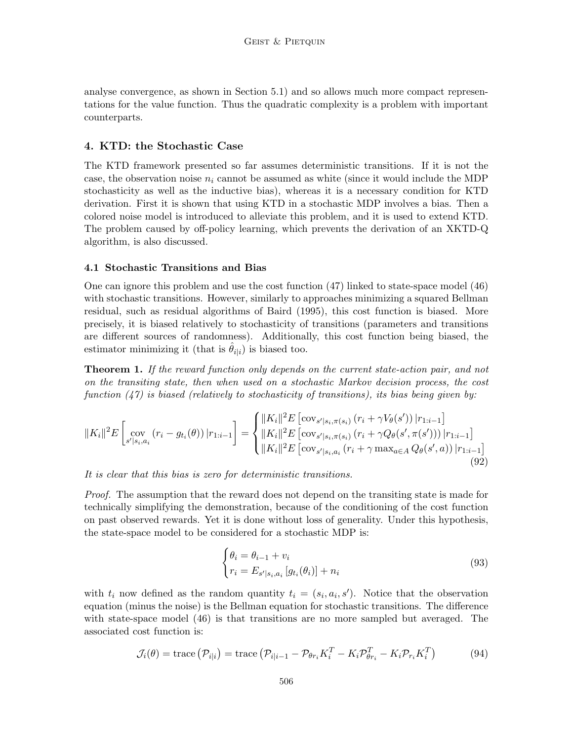analyse convergence, as shown in Section 5.1) and so allows much more compact representations for the value function. Thus the quadratic complexity is a problem with important counterparts.

## 4. KTD: the Stochastic Case

The KTD framework presented so far assumes deterministic transitions. If it is not the case, the observation noise  $n_i$  cannot be assumed as white (since it would include the MDP stochasticity as well as the inductive bias), whereas it is a necessary condition for KTD derivation. First it is shown that using KTD in a stochastic MDP involves a bias. Then a colored noise model is introduced to alleviate this problem, and it is used to extend KTD. The problem caused by off-policy learning, which prevents the derivation of an XKTD-Q algorithm, is also discussed.

### 4.1 Stochastic Transitions and Bias

One can ignore this problem and use the cost function (47) linked to state-space model (46) with stochastic transitions. However, similarly to approaches minimizing a squared Bellman residual, such as residual algorithms of Baird (1995), this cost function is biased. More precisely, it is biased relatively to stochasticity of transitions (parameters and transitions are different sources of randomness). Additionally, this cost function being biased, the estimator minimizing it (that is  $\hat{\theta}_{i|i}$ ) is biased too.

**Theorem 1.** If the reward function only depends on the current state-action pair, and not on the transiting state, then when used on a stochastic Markov decision process, the cost function  $(47)$  is biased (relatively to stochasticity of transitions), its bias being given by:

$$
||K_i||^2 E\left[\sup_{s'|s_i,a_i} (r_i - g_{t_i}(\theta)) |r_{1:i-1}\right] = \begin{cases} ||K_i||^2 E\left[\cos_{s'|s_i,\pi(s_i)} (r_i + \gamma V_{\theta}(s')) |r_{1:i-1}\right] \\ ||K_i||^2 E\left[\cos_{s'|s_i,\pi(s_i)} (r_i + \gamma Q_{\theta}(s',\pi(s'))) |r_{1:i-1}\right] \\ ||K_i||^2 E\left[\cos_{s'|s_i,a_i} (r_i + \gamma \max_{a \in A} Q_{\theta}(s',a)) |r_{1:i-1}\right] \end{cases}
$$
(92)

It is clear that this bias is zero for deterministic transitions.

Proof. The assumption that the reward does not depend on the transiting state is made for technically simplifying the demonstration, because of the conditioning of the cost function on past observed rewards. Yet it is done without loss of generality. Under this hypothesis, the state-space model to be considered for a stochastic MDP is:

$$
\begin{cases} \theta_i = \theta_{i-1} + v_i \\ r_i = E_{s'|s_i, a_i} \left[ g_{t_i}(\theta_i) \right] + n_i \end{cases}
$$
\n(93)

with  $t_i$  now defined as the random quantity  $t_i = (s_i, a_i, s')$ . Notice that the observation equation (minus the noise) is the Bellman equation for stochastic transitions. The difference with state-space model (46) is that transitions are no more sampled but averaged. The associated cost function is:

$$
\mathcal{J}_i(\theta) = \text{trace} \left( \mathcal{P}_{i|i} \right) = \text{trace} \left( \mathcal{P}_{i|i-1} - \mathcal{P}_{\theta r_i} K_i^T - K_i \mathcal{P}_{\theta r_i}^T - K_i \mathcal{P}_{r_i} K_i^T \right) \tag{94}
$$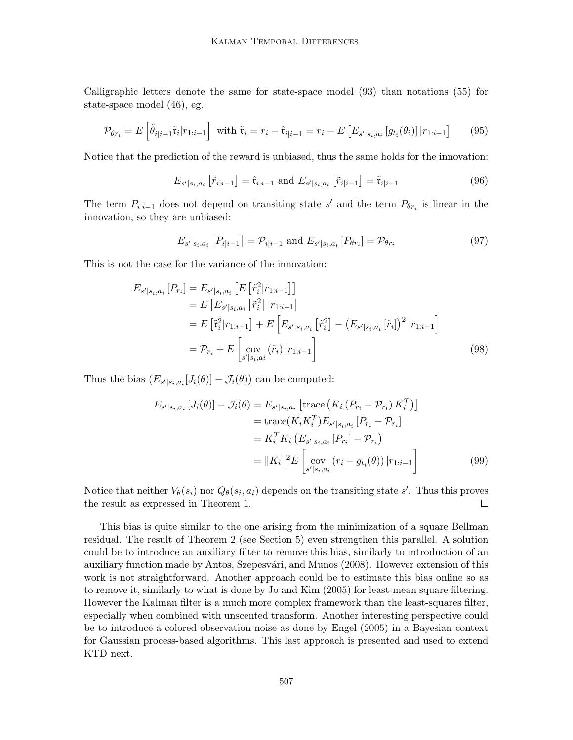Calligraphic letters denote the same for state-space model (93) than notations (55) for state-space model (46), eg.:

$$
\mathcal{P}_{\theta r_i} = E\left[\tilde{\theta}_{i|i-1}\tilde{\mathfrak{r}}_i|r_{1:i-1}\right] \text{ with } \tilde{\mathfrak{r}}_i = r_i - \hat{\mathfrak{r}}_{i|i-1} = r_i - E\left[E_{s'|s_i,a_i}\left[g_{t_i}(\theta_i)\right]|r_{1:i-1}\right] \tag{95}
$$

Notice that the prediction of the reward is unbiased, thus the same holds for the innovation:

$$
E_{s'|s_i, a_i} \left[ \hat{r}_{i|i-1} \right] = \hat{\mathfrak{r}}_{i|i-1} \text{ and } E_{s'|s_i, a_i} \left[ \tilde{r}_{i|i-1} \right] = \tilde{\mathfrak{r}}_{i|i-1} \tag{96}
$$

The term  $P_{i|i-1}$  does not depend on transiting state s' and the term  $P_{\theta r_i}$  is linear in the innovation, so they are unbiased:

$$
E_{s'|s_i, a_i} [P_{i|i-1}] = \mathcal{P}_{i|i-1} \text{ and } E_{s'|s_i, a_i} [P_{\theta r_i}] = \mathcal{P}_{\theta r_i}
$$
\n(97)

This is not the case for the variance of the innovation:

$$
E_{s'|s_i,a_i}[P_{r_i}] = E_{s'|s_i,a_i}[E[\tilde{r}_i^2 | r_{1:i-1}]]
$$
  
\n
$$
= E[E_{s'|s_i,a_i}[\tilde{r}_i^2] | r_{1:i-1}]
$$
  
\n
$$
= E[\tilde{\tau}_i^2 | r_{1:i-1}] + E[E_{s'|s_i,a_i}[\tilde{r}_i^2] - (E_{s'|s_i,a_i}[\tilde{r}_i])^2 | r_{1:i-1}]
$$
  
\n
$$
= P_{r_i} + E\left[\sup_{s'|s_i,a_i} (\tilde{r}_i) | r_{1:i-1}\right]
$$
\n(98)

Thus the bias  $(E_{s'|s_i, a_i}[J_i(\theta)] - \mathcal{J}_i(\theta))$  can be computed:

$$
E_{s'|s_i, a_i} [J_i(\theta)] - \mathcal{J}_i(\theta) = E_{s'|s_i, a_i} [\text{trace} (K_i (P_{r_i} - P_{r_i}) K_i^T)]
$$
  
= trace $(K_i K_i^T) E_{s'|s_i, a_i} [P_{r_i} - P_{r_i}]$   
=  $K_i^T K_i (E_{s'|s_i, a_i} [P_{r_i}] - P_{r_i})$   
=  $||K_i||^2 E \left[ \text{cov} (r_i - g_{t_i}(\theta)) |r_{1:i-1} \right]$  (99)

Notice that neither  $V_{\theta}(s_i)$  nor  $Q_{\theta}(s_i, a_i)$  depends on the transiting state s'. Thus this proves the result as expressed in Theorem 1.  $\Box$ 

This bias is quite similar to the one arising from the minimization of a square Bellman residual. The result of Theorem 2 (see Section 5) even strengthen this parallel. A solution could be to introduce an auxiliary filter to remove this bias, similarly to introduction of an auxiliary function made by Antos, Szepesvári, and Munos (2008). However extension of this work is not straightforward. Another approach could be to estimate this bias online so as to remove it, similarly to what is done by Jo and Kim (2005) for least-mean square filtering. However the Kalman filter is a much more complex framework than the least-squares filter, especially when combined with unscented transform. Another interesting perspective could be to introduce a colored observation noise as done by Engel (2005) in a Bayesian context for Gaussian process-based algorithms. This last approach is presented and used to extend KTD next.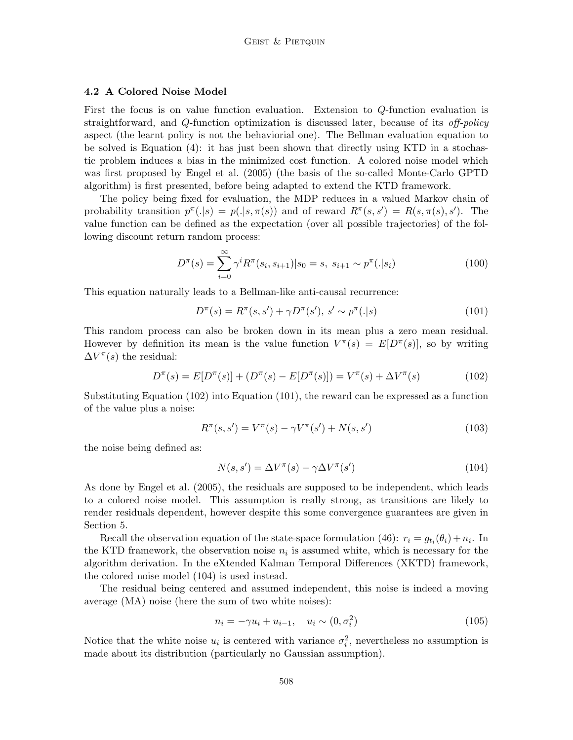## 4.2 A Colored Noise Model

First the focus is on value function evaluation. Extension to Q-function evaluation is straightforward, and Q-function optimization is discussed later, because of its *off-policy* aspect (the learnt policy is not the behaviorial one). The Bellman evaluation equation to be solved is Equation (4): it has just been shown that directly using KTD in a stochastic problem induces a bias in the minimized cost function. A colored noise model which was first proposed by Engel et al. (2005) (the basis of the so-called Monte-Carlo GPTD algorithm) is first presented, before being adapted to extend the KTD framework.

The policy being fixed for evaluation, the MDP reduces in a valued Markov chain of probability transition  $p^{\pi}(.|s) = p(.|s, \pi(s))$  and of reward  $R^{\pi}(s, s') = R(s, \pi(s), s')$ . The value function can be defined as the expectation (over all possible trajectories) of the following discount return random process:

$$
D^{\pi}(s) = \sum_{i=0}^{\infty} \gamma^{i} R^{\pi}(s_i, s_{i+1}) | s_0 = s, \ s_{i+1} \sim p^{\pi}(.|s_i)
$$
 (100)

This equation naturally leads to a Bellman-like anti-causal recurrence:

$$
D^{\pi}(s) = R^{\pi}(s, s') + \gamma D^{\pi}(s'), s' \sim p^{\pi}(.|s)
$$
\n(101)

This random process can also be broken down in its mean plus a zero mean residual. However by definition its mean is the value function  $V^{\pi}(s) = E[D^{\pi}(s)]$ , so by writing  $\Delta V^{\pi}(s)$  the residual:

$$
D^{\pi}(s) = E[D^{\pi}(s)] + (D^{\pi}(s) - E[D^{\pi}(s)]) = V^{\pi}(s) + \Delta V^{\pi}(s)
$$
\n(102)

Substituting Equation (102) into Equation (101), the reward can be expressed as a function of the value plus a noise:

$$
R^{\pi}(s, s') = V^{\pi}(s) - \gamma V^{\pi}(s') + N(s, s')
$$
\n(103)

the noise being defined as:

$$
N(s, s') = \Delta V^{\pi}(s) - \gamma \Delta V^{\pi}(s')
$$
\n(104)

As done by Engel et al. (2005), the residuals are supposed to be independent, which leads to a colored noise model. This assumption is really strong, as transitions are likely to render residuals dependent, however despite this some convergence guarantees are given in Section 5.

Recall the observation equation of the state-space formulation (46):  $r_i = g_{t_i}(\theta_i) + n_i$ . In the KTD framework, the observation noise  $n_i$  is assumed white, which is necessary for the algorithm derivation. In the eXtended Kalman Temporal Differences (XKTD) framework, the colored noise model (104) is used instead.

The residual being centered and assumed independent, this noise is indeed a moving average (MA) noise (here the sum of two white noises):

$$
n_i = -\gamma u_i + u_{i-1}, \quad u_i \sim (0, \sigma_i^2) \tag{105}
$$

Notice that the white noise  $u_i$  is centered with variance  $\sigma_i^2$ , nevertheless no assumption is made about its distribution (particularly no Gaussian assumption).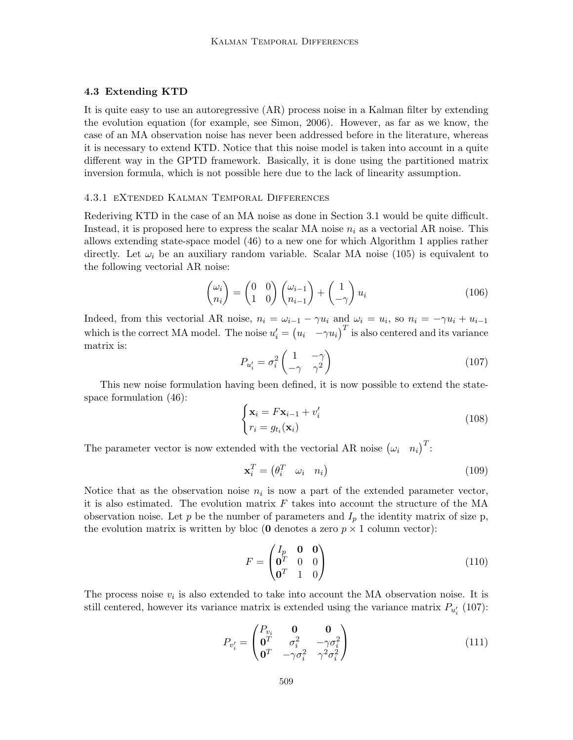#### 4.3 Extending KTD

It is quite easy to use an autoregressive (AR) process noise in a Kalman filter by extending the evolution equation (for example, see Simon, 2006). However, as far as we know, the case of an MA observation noise has never been addressed before in the literature, whereas it is necessary to extend KTD. Notice that this noise model is taken into account in a quite different way in the GPTD framework. Basically, it is done using the partitioned matrix inversion formula, which is not possible here due to the lack of linearity assumption.

#### 4.3.1 eXtended Kalman Temporal Differences

Rederiving KTD in the case of an MA noise as done in Section 3.1 would be quite difficult. Instead, it is proposed here to express the scalar MA noise  $n_i$  as a vectorial AR noise. This allows extending state-space model (46) to a new one for which Algorithm 1 applies rather directly. Let  $\omega_i$  be an auxiliary random variable. Scalar MA noise (105) is equivalent to the following vectorial AR noise:

$$
\begin{pmatrix} \omega_i \\ n_i \end{pmatrix} = \begin{pmatrix} 0 & 0 \\ 1 & 0 \end{pmatrix} \begin{pmatrix} \omega_{i-1} \\ n_{i-1} \end{pmatrix} + \begin{pmatrix} 1 \\ -\gamma \end{pmatrix} u_i \tag{106}
$$

Indeed, from this vectorial AR noise,  $n_i = \omega_{i-1} - \gamma u_i$  and  $\omega_i = u_i$ , so  $n_i = -\gamma u_i + u_{i-1}$ which is the correct MA model. The noise  $u'_i = (u_i - \gamma u_i)^T$  is also centered and its variance matrix is:

$$
P_{u_i'} = \sigma_i^2 \begin{pmatrix} 1 & -\gamma \\ -\gamma & \gamma^2 \end{pmatrix} \tag{107}
$$

This new noise formulation having been defined, it is now possible to extend the statespace formulation (46):

$$
\begin{cases} \mathbf{x}_i = F\mathbf{x}_{i-1} + v'_i\\ r_i = g_{t_i}(\mathbf{x}_i) \end{cases}
$$
\n(108)

The parameter vector is now extended with the vectorial AR noise  $(\omega_i \quad n_i)^T$ :

$$
\mathbf{x}_i^T = \begin{pmatrix} \theta_i^T & \omega_i & n_i \end{pmatrix} \tag{109}
$$

Notice that as the observation noise  $n_i$  is now a part of the extended parameter vector, it is also estimated. The evolution matrix  $F$  takes into account the structure of the MA observation noise. Let p be the number of parameters and  $I_p$  the identity matrix of size p, the evolution matrix is written by bloc (**0** denotes a zero  $p \times 1$  column vector):

$$
F = \begin{pmatrix} I_p & \mathbf{0} & \mathbf{0} \\ \mathbf{0}^T & 0 & 0 \\ \mathbf{0}^T & 1 & 0 \end{pmatrix}
$$
 (110)

The process noise  $v_i$  is also extended to take into account the MA observation noise. It is still centered, however its variance matrix is extended using the variance matrix  $P_{u_i'}$  (107):

$$
P_{v_i'} = \begin{pmatrix} P_{v_i} & \mathbf{0} & \mathbf{0} \\ \mathbf{0}^T & \sigma_i^2 & -\gamma \sigma_i^2 \\ \mathbf{0}^T & -\gamma \sigma_i^2 & \gamma^2 \sigma_i^2 \end{pmatrix}
$$
(111)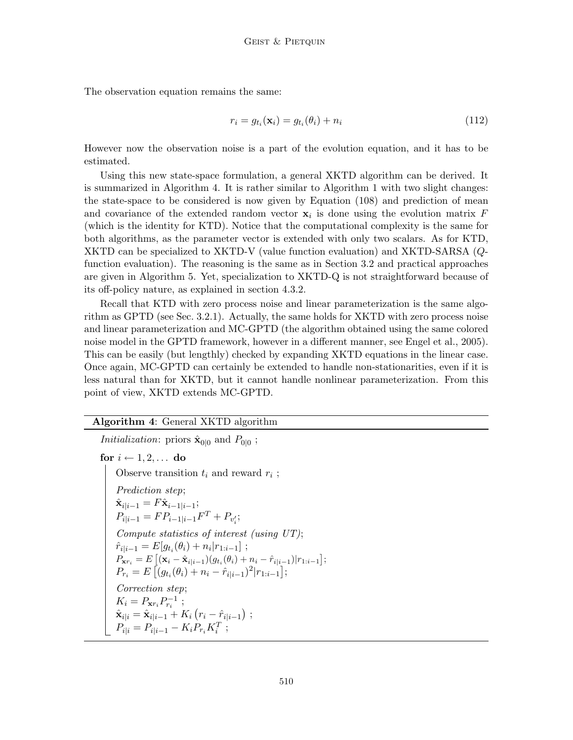The observation equation remains the same:

$$
r_i = g_{t_i}(\mathbf{x}_i) = g_{t_i}(\theta_i) + n_i \tag{112}
$$

However now the observation noise is a part of the evolution equation, and it has to be estimated.

Using this new state-space formulation, a general XKTD algorithm can be derived. It is summarized in Algorithm 4. It is rather similar to Algorithm 1 with two slight changes: the state-space to be considered is now given by Equation (108) and prediction of mean and covariance of the extended random vector  $x_i$  is done using the evolution matrix F (which is the identity for KTD). Notice that the computational complexity is the same for both algorithms, as the parameter vector is extended with only two scalars. As for KTD, XKTD can be specialized to XKTD-V (value function evaluation) and XKTD-SARSA (Qfunction evaluation). The reasoning is the same as in Section 3.2 and practical approaches are given in Algorithm 5. Yet, specialization to XKTD-Q is not straightforward because of its off-policy nature, as explained in section 4.3.2.

Recall that KTD with zero process noise and linear parameterization is the same algorithm as GPTD (see Sec. 3.2.1). Actually, the same holds for XKTD with zero process noise and linear parameterization and MC-GPTD (the algorithm obtained using the same colored noise model in the GPTD framework, however in a different manner, see Engel et al., 2005). This can be easily (but lengthly) checked by expanding XKTD equations in the linear case. Once again, MC-GPTD can certainly be extended to handle non-stationarities, even if it is less natural than for XKTD, but it cannot handle nonlinear parameterization. From this point of view, XKTD extends MC-GPTD.

## Algorithm 4: General XKTD algorithm

*Initialization*: priors  $\hat{\mathbf{x}}_{0|0}$  and  $P_{0|0}$ ; for  $i \leftarrow 1, 2, \ldots$  do Observe transition  $t_i$  and reward  $r_i$ ; Prediction step;  $\hat{\mathbf{x}}_{i|i-1} = F\hat{\mathbf{x}}_{i-1|i-1};$  $P_{i|i-1} = FP_{i-1|i-1}F^{T} + P_{v'_{i}};$ Compute statistics of interest (using UT);  $\hat{r}_{i|i-1} = E[g_{t_i}(\theta_i) + n_i | r_{1:i-1}]$ ;  $P_{\mathbf{x}r_i} = E\left[ (\mathbf{x}_i - \hat{\mathbf{x}}_{i|i-1})(g_{t_i}(\theta_i) + n_i - \hat{r}_{i|i-1}) | r_{1:i-1} \right];$  $P_{r_i} = E\left[ (g_{t_i}(\theta_i) + n_i - \hat{r}_{i|i-1})^2 | r_{1:i-1} \right];$ Correction step;  $K_i = P_{\mathbf{x}r_i} P_{r_i}^{-1}$ ;  $\hat{\mathbf{x}}_{i|i} = \hat{\mathbf{x}}_{i|i-1} + K_i (r_i - \hat{r}_{i|i-1})$ ;  $P_{i|i} = P_{i|i-1} - K_i P_{r_i} K_i^T;$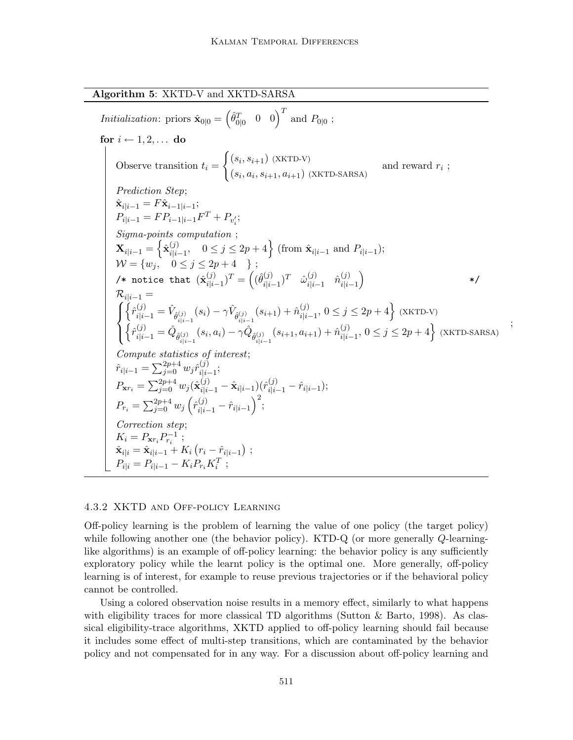Algorithm 5: XKTD-V and XKTD-SARSA

Initialization: priors  $\hat{\mathbf{x}}_{0|0} = \begin{pmatrix} \hat{\theta}_{0|0}^T & 0 & 0 \end{pmatrix}^T$  and  $P_{0|0}$ ; for  $i \leftarrow 1, 2, \ldots$  do Observe transition  $t_i =$  $\int (s_i, s_{i+1})$  (XKTD-V)  $(s_i, a_i, s_{i+1}, a_{i+1})$  (XKTD-SARSA) and reward  $r_i$ ; Prediction Step;  $\hat{\mathbf{x}}_{i|i-1} = F\hat{\mathbf{x}}_{i-1|i-1};$  $P_{i|i-1} = FP_{i-1|i-1}F^{T} + P_{v'_{i}};$ Sigma-points computation ;  $\mathbf{X}_{i|i-1} = \left\{ \hat{\mathbf{x}}_{i|i}^{(j)} \right\}$  $i_{i,j-1}^{(j)}$ ,  $0 \leq j \leq 2p+4$  (from  $\hat{\mathbf{x}}_{i|i-1}$  and  $P_{i|i-1}$ );  $\mathcal{W} = \{w_j, \quad 0 \le j \le 2p+4 \quad \}$ ; /\* notice that  $(\hat{\mathbf{x}}_{i|i}^{(j)}$  $\binom{(j)}{i|i-1}^T = \left( \binom{\hat{\theta}}{i|i}^T \right)$  $(\begin{matrix} (j)\ i \end{matrix})^T \quad \hat{\omega}_{i|i}^{(j)}$  $\hat{n}_{i|i-1}^{(j)}$   $\hat{n}_{i|i}^{(j)}$  $\binom{(j)}{i|i-1}$ \*/  $\mathcal{R}_{i|i-1} =$  $\sqrt{ }$  $\int$  $\mathcal{L}$  $\Big\{ \hat{r}_{i|i-1}^{(j)} = \hat{V}_{\hat{\theta}_{i|i-1}^{(j)}}(s_i) - \gamma \hat{V}_{\hat{\theta}_{i|i-1}^{(j)}}(s_{i+1}) + \hat{n}_{i|i}^{(j)} \Big\}$  $_{i|i-1}^{(j)}$ ,  $0 \le j \le 2p+4$  (XKTD-V)  $\left\{\hat{r}_{i|i-1}^{(j)}=\hat{Q}_{\hat{\theta}_{i|i-1}^{(j)}}(s_{i},a_{i})-\gamma\hat{Q}_{\hat{\theta}_{i|i-1}^{(j)}}(s_{i+1},a_{i+1})+\hat{n}_{i|i}^{(j)}\right\}$  $j_{i|i-1}^{(j)}, 0 \le j \le 2p+4$  (XKTD-SARSA) Compute statistics of interest;  $\hat{r}_{i|i-1} = \sum_{j=0}^{2p+4} w_j \hat{r}_{i|i}^{(j)}$  $\frac{(J)}{i|i-1};$  $P_{\mathbf{x}r_i} = \sum_{j=0}^{2p+4} w_j (\hat{\mathbf{x}}_{i|i-1}^{(j)} - \hat{\mathbf{x}}_{i|i-1}) (\hat{r}_{i|i-1}^{(j)} - \hat{r}_{i|i-1});$  $P_{r_i} = \sum_{j=0}^{2p+4} w_j \left( \hat{r}_{i|i-1}^{(j)} - \hat{r}_{i|i-1} \right)^2;$ Correction step;  $K_i = P_{\mathbf{x}r_i} P_{r_i}^{-1}$ ;  $\hat{\mathbf{x}}_{i|i} = \hat{\mathbf{x}}_{i|i-1} + K_i (r_i - \hat{r}_{i|i-1})$ ;  $P_{i|i} = P_{i|i-1} - K_i P_{r_i} K_i^T;$ 

;

#### 4.3.2 XKTD and Off-policy Learning

Off-policy learning is the problem of learning the value of one policy (the target policy) while following another one (the behavior policy). KTD-Q (or more generally  $Q$ -learninglike algorithms) is an example of off-policy learning: the behavior policy is any sufficiently exploratory policy while the learnt policy is the optimal one. More generally, off-policy learning is of interest, for example to reuse previous trajectories or if the behavioral policy cannot be controlled.

Using a colored observation noise results in a memory effect, similarly to what happens with eligibility traces for more classical TD algorithms (Sutton  $\&$  Barto, 1998). As classical eligibility-trace algorithms, XKTD applied to off-policy learning should fail because it includes some effect of multi-step transitions, which are contaminated by the behavior policy and not compensated for in any way. For a discussion about off-policy learning and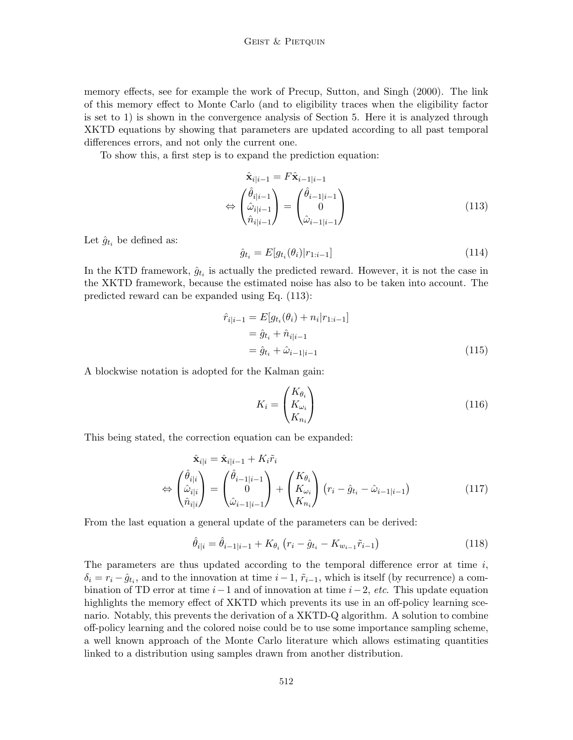memory effects, see for example the work of Precup, Sutton, and Singh (2000). The link of this memory effect to Monte Carlo (and to eligibility traces when the eligibility factor is set to 1) is shown in the convergence analysis of Section 5. Here it is analyzed through XKTD equations by showing that parameters are updated according to all past temporal differences errors, and not only the current one.

To show this, a first step is to expand the prediction equation:

$$
\hat{\mathbf{x}}_{i|i-1} = F\hat{\mathbf{x}}_{i-1|i-1}
$$
\n
$$
\Leftrightarrow \begin{pmatrix} \hat{\theta}_{i|i-1} \\ \hat{\omega}_{i|i-1} \\ \hat{n}_{i|i-1} \end{pmatrix} = \begin{pmatrix} \hat{\theta}_{i-1|i-1} \\ 0 \\ \hat{\omega}_{i-1|i-1} \end{pmatrix}
$$
\n(113)

Let  $\hat{g}_{t_i}$  be defined as:

$$
\hat{g}_{t_i} = E[g_{t_i}(\theta_i)|r_{1:i-1}] \tag{114}
$$

In the KTD framework,  $\hat{g}_{t_i}$  is actually the predicted reward. However, it is not the case in the XKTD framework, because the estimated noise has also to be taken into account. The predicted reward can be expanded using Eq. (113):

$$
\hat{r}_{i|i-1} = E[g_{t_i}(\theta_i) + n_i | r_{1:i-1}] \n= \hat{g}_{t_i} + \hat{n}_{i|i-1} \n= \hat{g}_{t_i} + \hat{\omega}_{i-1|i-1}
$$
\n(115)

A blockwise notation is adopted for the Kalman gain:

$$
K_i = \begin{pmatrix} K_{\theta_i} \\ K_{\omega_i} \\ K_{n_i} \end{pmatrix} \tag{116}
$$

This being stated, the correction equation can be expanded:

$$
\hat{\mathbf{x}}_{i|i} = \hat{\mathbf{x}}_{i|i-1} + K_i \tilde{r}_i
$$
\n
$$
\Leftrightarrow \begin{pmatrix} \hat{\theta}_{i|i} \\ \hat{\omega}_{i|i} \\ \hat{n}_{i|i} \end{pmatrix} = \begin{pmatrix} \hat{\theta}_{i-1|i-1} \\ 0 \\ \hat{\omega}_{i-1|i-1} \end{pmatrix} + \begin{pmatrix} K_{\theta_i} \\ K_{\omega_i} \\ K_{n_i} \end{pmatrix} (r_i - \hat{g}_{t_i} - \hat{\omega}_{i-1|i-1})
$$
\n(117)

From the last equation a general update of the parameters can be derived:

$$
\hat{\theta}_{i|i} = \hat{\theta}_{i-1|i-1} + K_{\theta_i} \left( r_i - \hat{g}_{t_i} - K_{w_{i-1}} \tilde{r}_{i-1} \right)
$$
\n(118)

The parameters are thus updated according to the temporal difference error at time  $i$ ,  $\delta_i = r_i - \hat{g}_{t_i}$ , and to the innovation at time  $i - 1$ ,  $\tilde{r}_{i-1}$ , which is itself (by recurrence) a combination of TD error at time  $i-1$  and of innovation at time  $i-2$ , etc. This update equation highlights the memory effect of XKTD which prevents its use in an off-policy learning scenario. Notably, this prevents the derivation of a XKTD-Q algorithm. A solution to combine off-policy learning and the colored noise could be to use some importance sampling scheme, a well known approach of the Monte Carlo literature which allows estimating quantities linked to a distribution using samples drawn from another distribution.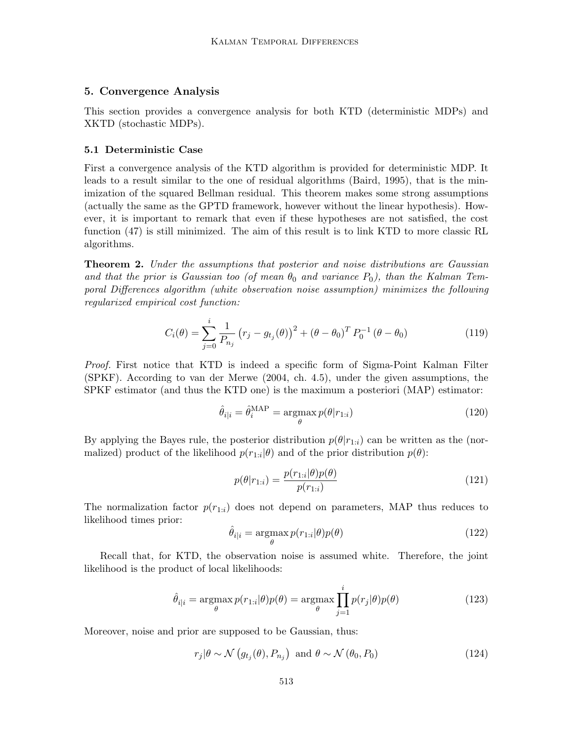## 5. Convergence Analysis

This section provides a convergence analysis for both KTD (deterministic MDPs) and XKTD (stochastic MDPs).

#### 5.1 Deterministic Case

First a convergence analysis of the KTD algorithm is provided for deterministic MDP. It leads to a result similar to the one of residual algorithms (Baird, 1995), that is the minimization of the squared Bellman residual. This theorem makes some strong assumptions (actually the same as the GPTD framework, however without the linear hypothesis). However, it is important to remark that even if these hypotheses are not satisfied, the cost function (47) is still minimized. The aim of this result is to link KTD to more classic RL algorithms.

**Theorem 2.** Under the assumptions that posterior and noise distributions are Gaussian and that the prior is Gaussian too (of mean  $\theta_0$  and variance  $P_0$ ), than the Kalman Temporal Differences algorithm (white observation noise assumption) minimizes the following regularized empirical cost function:

$$
C_i(\theta) = \sum_{j=0}^i \frac{1}{P_{n_j}} (r_j - g_{t_j}(\theta))^2 + (\theta - \theta_0)^T P_0^{-1} (\theta - \theta_0)
$$
 (119)

Proof. First notice that KTD is indeed a specific form of Sigma-Point Kalman Filter (SPKF). According to van der Merwe (2004, ch. 4.5), under the given assumptions, the SPKF estimator (and thus the KTD one) is the maximum a posteriori (MAP) estimator:

$$
\hat{\theta}_{i|i} = \hat{\theta}_i^{\text{MAP}} = \underset{\theta}{\text{argmax}} p(\theta|r_{1:i})
$$
\n(120)

By applying the Bayes rule, the posterior distribution  $p(\theta|r_{1:i})$  can be written as the (normalized) product of the likelihood  $p(r_{1:i}|\theta)$  and of the prior distribution  $p(\theta)$ :

$$
p(\theta|r_{1:i}) = \frac{p(r_{1:i}|\theta)p(\theta)}{p(r_{1:i})}
$$
\n(121)

The normalization factor  $p(r_{1:i})$  does not depend on parameters, MAP thus reduces to likelihood times prior:

$$
\hat{\theta}_{i|i} = \underset{\theta}{\operatorname{argmax}} p(r_{1:i}|\theta)p(\theta) \tag{122}
$$

Recall that, for KTD, the observation noise is assumed white. Therefore, the joint likelihood is the product of local likelihoods:

$$
\hat{\theta}_{i|i} = \underset{\theta}{\operatorname{argmax}} p(r_{1:i}|\theta)p(\theta) = \underset{\theta}{\operatorname{argmax}} \prod_{j=1}^{i} p(r_j|\theta)p(\theta)
$$
\n(123)

Moreover, noise and prior are supposed to be Gaussian, thus:

$$
r_j|\theta \sim \mathcal{N}\left(g_{t_j}(\theta), P_{n_j}\right) \text{ and } \theta \sim \mathcal{N}\left(\theta_0, P_0\right) \tag{124}
$$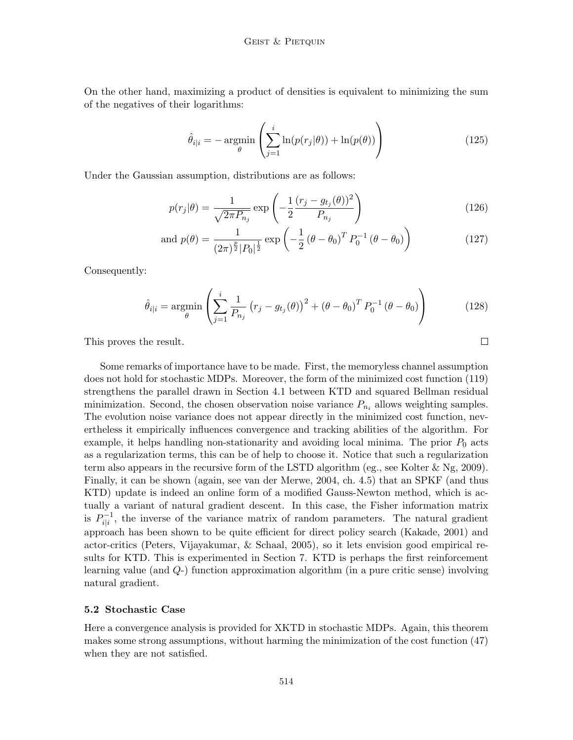On the other hand, maximizing a product of densities is equivalent to minimizing the sum of the negatives of their logarithms:

$$
\hat{\theta}_{i|i} = -\operatorname*{argmin}_{\theta} \left( \sum_{j=1}^{i} \ln(p(r_j|\theta)) + \ln(p(\theta)) \right)
$$
\n(125)

Under the Gaussian assumption, distributions are as follows:

$$
p(r_j|\theta) = \frac{1}{\sqrt{2\pi P_{n_j}}} \exp\left(-\frac{1}{2} \frac{(r_j - g_{t_j}(\theta))^2}{P_{n_j}}\right)
$$
(126)

and 
$$
p(\theta) = \frac{1}{(2\pi)^{\frac{p}{2}} |P_0|^{\frac{1}{2}}} \exp\left(-\frac{1}{2} (\theta - \theta_0)^T P_0^{-1} (\theta - \theta_0)\right)
$$
 (127)

Consequently:

$$
\hat{\theta}_{i|i} = \underset{\theta}{\text{argmin}} \left( \sum_{j=1}^{i} \frac{1}{P_{n_j}} \left( r_j - g_{t_j}(\theta) \right)^2 + (\theta - \theta_0)^T P_0^{-1} (\theta - \theta_0) \right) \tag{128}
$$

This proves the result.

Some remarks of importance have to be made. First, the memoryless channel assumption does not hold for stochastic MDPs. Moreover, the form of the minimized cost function (119) strengthens the parallel drawn in Section 4.1 between KTD and squared Bellman residual minimization. Second, the chosen observation noise variance  $P_{n_i}$  allows weighting samples. The evolution noise variance does not appear directly in the minimized cost function, nevertheless it empirically influences convergence and tracking abilities of the algorithm. For example, it helps handling non-stationarity and avoiding local minima. The prior  $P_0$  acts as a regularization terms, this can be of help to choose it. Notice that such a regularization term also appears in the recursive form of the LSTD algorithm (eg., see Kolter  $\&$  Ng, 2009). Finally, it can be shown (again, see van der Merwe, 2004, ch. 4.5) that an SPKF (and thus KTD) update is indeed an online form of a modified Gauss-Newton method, which is actually a variant of natural gradient descent. In this case, the Fisher information matrix is  $P_{i|i}^{-1}$  $\hat{i}_{i|i}^{-1}$ , the inverse of the variance matrix of random parameters. The natural gradient approach has been shown to be quite efficient for direct policy search (Kakade, 2001) and actor-critics (Peters, Vijayakumar, & Schaal, 2005), so it lets envision good empirical results for KTD. This is experimented in Section 7. KTD is perhaps the first reinforcement learning value (and Q-) function approximation algorithm (in a pure critic sense) involving natural gradient.

#### 5.2 Stochastic Case

Here a convergence analysis is provided for XKTD in stochastic MDPs. Again, this theorem makes some strong assumptions, without harming the minimization of the cost function (47) when they are not satisfied.

 $\Box$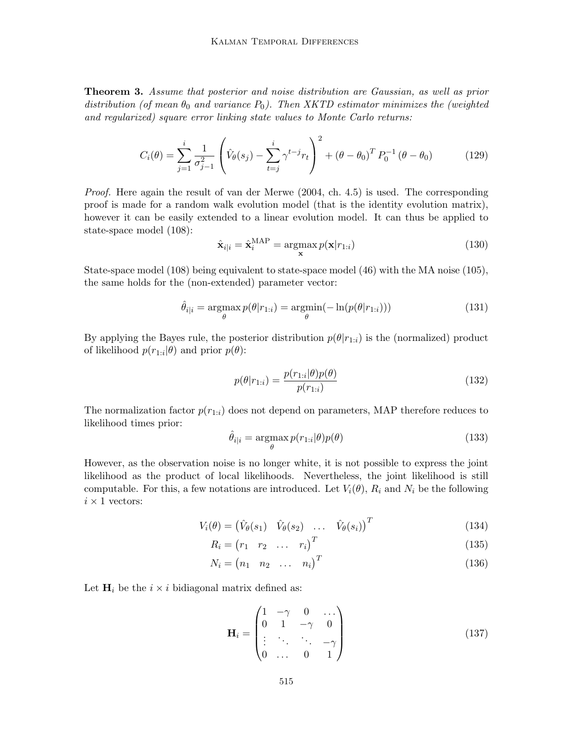Theorem 3. Assume that posterior and noise distribution are Gaussian, as well as prior distribution (of mean  $\theta_0$  and variance  $P_0$ ). Then XKTD estimator minimizes the (weighted and regularized) square error linking state values to Monte Carlo returns:

$$
C_i(\theta) = \sum_{j=1}^i \frac{1}{\sigma_{j-1}^2} \left( \hat{V}_{\theta}(s_j) - \sum_{t=j}^i \gamma^{t-j} r_t \right)^2 + (\theta - \theta_0)^T P_0^{-1} (\theta - \theta_0)
$$
(129)

Proof. Here again the result of van der Merwe (2004, ch. 4.5) is used. The corresponding proof is made for a random walk evolution model (that is the identity evolution matrix), however it can be easily extended to a linear evolution model. It can thus be applied to state-space model (108):

$$
\hat{\mathbf{x}}_{i|i} = \hat{\mathbf{x}}_i^{\text{MAP}} = \underset{\mathbf{x}}{\operatorname{argmax}} p(\mathbf{x}|r_{1:i})
$$
\n(130)

State-space model (108) being equivalent to state-space model (46) with the MA noise (105), the same holds for the (non-extended) parameter vector:

$$
\hat{\theta}_{i|i} = \underset{\theta}{\operatorname{argmax}} p(\theta|r_{1:i}) = \underset{\theta}{\operatorname{argmin}} (-\ln(p(\theta|r_{1:i}))) \tag{131}
$$

By applying the Bayes rule, the posterior distribution  $p(\theta | r_{1,i})$  is the (normalized) product of likelihood  $p(r_{1:i}|\theta)$  and prior  $p(\theta)$ :

$$
p(\theta|r_{1:i}) = \frac{p(r_{1:i}|\theta)p(\theta)}{p(r_{1:i})}
$$
\n(132)

The normalization factor  $p(r_{1:i})$  does not depend on parameters, MAP therefore reduces to likelihood times prior:

$$
\hat{\theta}_{i|i} = \underset{\theta}{\operatorname{argmax}} p(r_{1:i}|\theta)p(\theta)
$$
\n(133)

However, as the observation noise is no longer white, it is not possible to express the joint likelihood as the product of local likelihoods. Nevertheless, the joint likelihood is still computable. For this, a few notations are introduced. Let  $V_i(\theta)$ ,  $R_i$  and  $N_i$  be the following  $i \times 1$  vectors:

$$
V_i(\theta) = \begin{pmatrix} \hat{V}_{\theta}(s_1) & \hat{V}_{\theta}(s_2) & \dots & \hat{V}_{\theta}(s_i) \end{pmatrix}^T
$$
\n(134)

$$
R_i = \begin{pmatrix} r_1 & r_2 & \dots & r_i \end{pmatrix}^T \tag{135}
$$

$$
N_i = \begin{pmatrix} n_1 & n_2 & \dots & n_i \end{pmatrix}^T
$$
\n(136)

Let  $H_i$  be the  $i \times i$  bidiagonal matrix defined as:

$$
\mathbf{H}_{i} = \begin{pmatrix} 1 & -\gamma & 0 & \cdots \\ 0 & 1 & -\gamma & 0 \\ \vdots & \ddots & \ddots & -\gamma \\ 0 & \cdots & 0 & 1 \end{pmatrix}
$$
(137)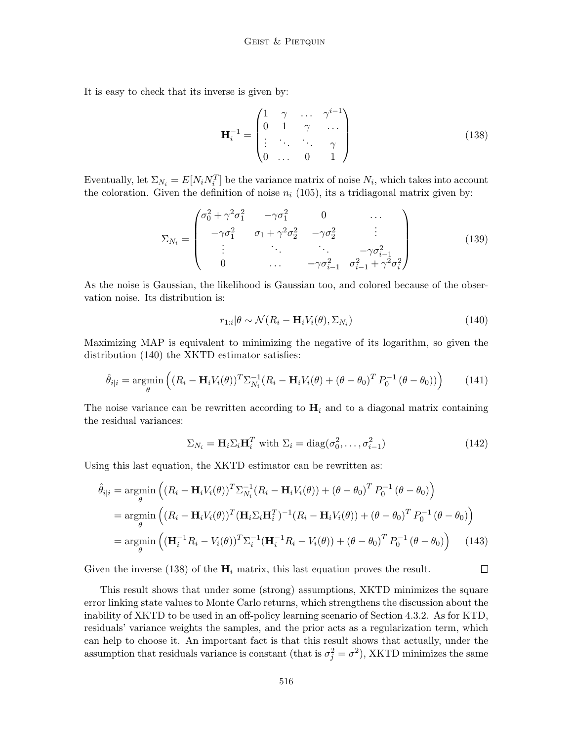It is easy to check that its inverse is given by:

$$
\mathbf{H}_i^{-1} = \begin{pmatrix} 1 & \gamma & \dots & \gamma^{i-1} \\ 0 & 1 & \gamma & \dots \\ \vdots & \ddots & \ddots & \gamma \\ 0 & \dots & 0 & 1 \end{pmatrix} \tag{138}
$$

Eventually, let  $\Sigma_{N_i} = E[N_i N_i^T]$  be the variance matrix of noise  $N_i$ , which takes into account the coloration. Given the definition of noise  $n_i$  (105), its a tridiagonal matrix given by:

$$
\Sigma_{N_i} = \begin{pmatrix}\n\sigma_0^2 + \gamma^2 \sigma_1^2 & -\gamma \sigma_1^2 & 0 & \cdots \\
-\gamma \sigma_1^2 & \sigma_1 + \gamma^2 \sigma_2^2 & -\gamma \sigma_2^2 & \vdots \\
\vdots & \ddots & \ddots & -\gamma \sigma_{i-1}^2 \\
0 & \cdots & -\gamma \sigma_{i-1}^2 & \sigma_{i-1}^2 + \gamma^2 \sigma_i^2\n\end{pmatrix}
$$
\n(139)

As the noise is Gaussian, the likelihood is Gaussian too, and colored because of the observation noise. Its distribution is:

$$
r_{1:i}|\theta \sim \mathcal{N}(R_i - \mathbf{H}_i V_i(\theta), \Sigma_{N_i})
$$
\n(140)

Maximizing MAP is equivalent to minimizing the negative of its logarithm, so given the distribution (140) the XKTD estimator satisfies:

$$
\hat{\theta}_{i|i} = \underset{\theta}{\operatorname{argmin}} \left( (R_i - \mathbf{H}_i V_i(\theta))^T \Sigma_{N_i}^{-1} (R_i - \mathbf{H}_i V_i(\theta) + (\theta - \theta_0)^T P_0^{-1} (\theta - \theta_0)) \right) \tag{141}
$$

The noise variance can be rewritten according to  $H_i$  and to a diagonal matrix containing the residual variances:

$$
\Sigma_{N_i} = \mathbf{H}_i \Sigma_i \mathbf{H}_i^T \text{ with } \Sigma_i = \text{diag}(\sigma_0^2, \dots, \sigma_{i-1}^2)
$$
 (142)

 $\Box$ 

Using this last equation, the XKTD estimator can be rewritten as:

$$
\hat{\theta}_{i|i} = \underset{\theta}{\operatorname{argmin}} \left( (R_i - \mathbf{H}_i V_i(\theta))^T \Sigma_{N_i}^{-1} (R_i - \mathbf{H}_i V_i(\theta)) + (\theta - \theta_0)^T P_0^{-1} (\theta - \theta_0) \right)
$$
\n
$$
= \underset{\theta}{\operatorname{argmin}} \left( (R_i - \mathbf{H}_i V_i(\theta))^T (\mathbf{H}_i \Sigma_i \mathbf{H}_i^T)^{-1} (R_i - \mathbf{H}_i V_i(\theta)) + (\theta - \theta_0)^T P_0^{-1} (\theta - \theta_0) \right)
$$
\n
$$
= \underset{\theta}{\operatorname{argmin}} \left( (\mathbf{H}_i^{-1} R_i - V_i(\theta))^T \Sigma_i^{-1} (\mathbf{H}_i^{-1} R_i - V_i(\theta)) + (\theta - \theta_0)^T P_0^{-1} (\theta - \theta_0) \right) \tag{143}
$$

Given the inverse (138) of the  $H_i$  matrix, this last equation proves the result.

This result shows that under some (strong) assumptions, XKTD minimizes the square error linking state values to Monte Carlo returns, which strengthens the discussion about the inability of XKTD to be used in an off-policy learning scenario of Section 4.3.2. As for KTD, residuals' variance weights the samples, and the prior acts as a regularization term, which can help to choose it. An important fact is that this result shows that actually, under the assumption that residuals variance is constant (that is  $\sigma_j^2 = \sigma^2$ ), XKTD minimizes the same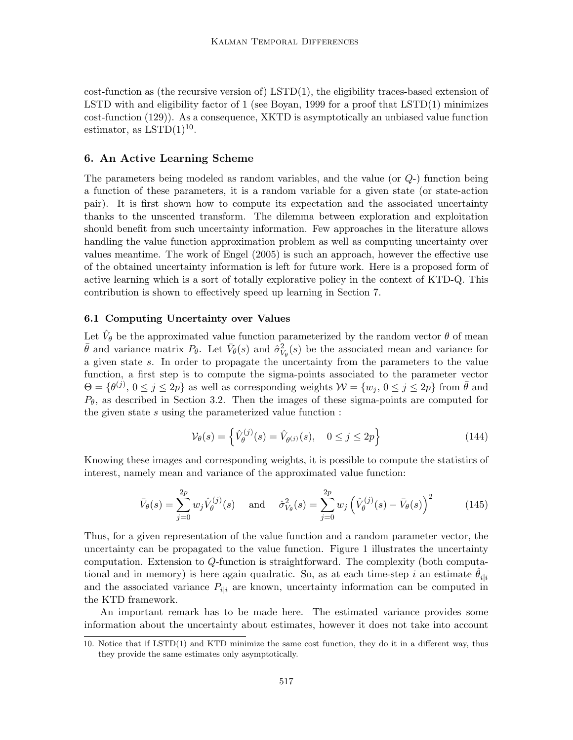$cost\text{-}function$  as (the recursive version of) LSTD(1), the eligibility traces-based extension of LSTD with and eligibility factor of 1 (see Boyan, 1999 for a proof that LSTD(1) minimizes cost-function (129)). As a consequence, XKTD is asymptotically an unbiased value function estimator, as  $LSTD(1)^{10}$ .

## 6. An Active Learning Scheme

The parameters being modeled as random variables, and the value (or Q-) function being a function of these parameters, it is a random variable for a given state (or state-action pair). It is first shown how to compute its expectation and the associated uncertainty thanks to the unscented transform. The dilemma between exploration and exploitation should benefit from such uncertainty information. Few approaches in the literature allows handling the value function approximation problem as well as computing uncertainty over values meantime. The work of Engel (2005) is such an approach, however the effective use of the obtained uncertainty information is left for future work. Here is a proposed form of active learning which is a sort of totally explorative policy in the context of KTD-Q. This contribution is shown to effectively speed up learning in Section 7.

## 6.1 Computing Uncertainty over Values

Let  $\hat{V}_{\theta}$  be the approximated value function parameterized by the random vector  $\theta$  of mean  $\bar{\theta}$  and variance matrix  $P_{\theta}$ . Let  $\bar{V}_{\theta}(s)$  and  $\hat{\sigma}_{V_{\theta}}^{2}(s)$  be the associated mean and variance for a given state s. In order to propagate the uncertainty from the parameters to the value function, a first step is to compute the sigma-points associated to the parameter vector  $\Theta = \{\theta^{(j)}, 0 \le j \le 2p\}$  as well as corresponding weights  $\mathcal{W} = \{w_j, 0 \le j \le 2p\}$  from  $\bar{\theta}$  and  $P_{\theta}$ , as described in Section 3.2. Then the images of these sigma-points are computed for the given state s using the parameterized value function :

$$
\mathcal{V}_{\theta}(s) = \left\{ \hat{V}_{\theta}^{(j)}(s) = \hat{V}_{\theta^{(j)}}(s), \quad 0 \le j \le 2p \right\} \tag{144}
$$

Knowing these images and corresponding weights, it is possible to compute the statistics of interest, namely mean and variance of the approximated value function:

$$
\bar{V}_{\theta}(s) = \sum_{j=0}^{2p} w_j \hat{V}_{\theta}^{(j)}(s) \quad \text{and} \quad \hat{\sigma}_{V_{\theta}}^2(s) = \sum_{j=0}^{2p} w_j \left( \hat{V}_{\theta}^{(j)}(s) - \bar{V}_{\theta}(s) \right)^2 \tag{145}
$$

Thus, for a given representation of the value function and a random parameter vector, the uncertainty can be propagated to the value function. Figure 1 illustrates the uncertainty computation. Extension to Q-function is straightforward. The complexity (both computational and in memory) is here again quadratic. So, as at each time-step i an estimate  $\theta_{i|i}$ and the associated variance  $P_{i|i}$  are known, uncertainty information can be computed in the KTD framework.

An important remark has to be made here. The estimated variance provides some information about the uncertainty about estimates, however it does not take into account

<sup>10.</sup> Notice that if LSTD(1) and KTD minimize the same cost function, they do it in a different way, thus they provide the same estimates only asymptotically.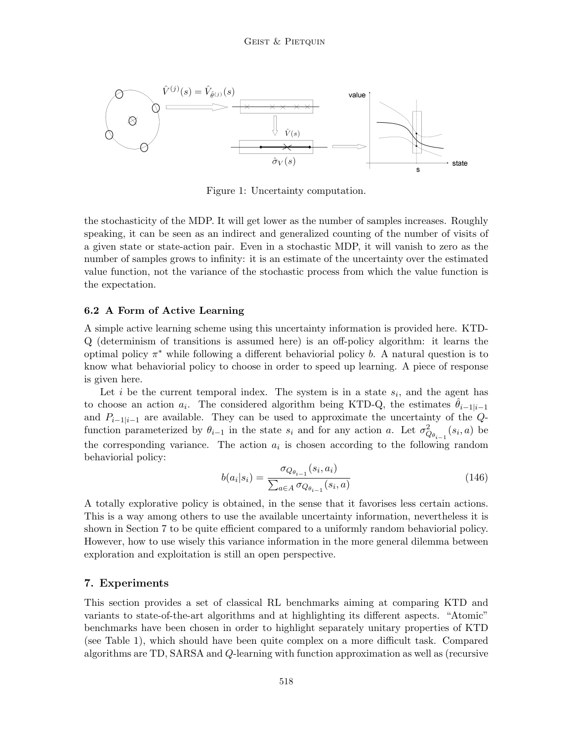

Figure 1: Uncertainty computation.

the stochasticity of the MDP. It will get lower as the number of samples increases. Roughly speaking, it can be seen as an indirect and generalized counting of the number of visits of a given state or state-action pair. Even in a stochastic MDP, it will vanish to zero as the number of samples grows to infinity: it is an estimate of the uncertainty over the estimated value function, not the variance of the stochastic process from which the value function is the expectation.

### 6.2 A Form of Active Learning

A simple active learning scheme using this uncertainty information is provided here. KTD-Q (determinism of transitions is assumed here) is an off-policy algorithm: it learns the optimal policy  $\pi^*$  while following a different behaviorial policy b. A natural question is to know what behaviorial policy to choose in order to speed up learning. A piece of response is given here.

Let i be the current temporal index. The system is in a state  $s_i$ , and the agent has to choose an action  $a_i$ . The considered algorithm being KTD-Q, the estimates  $\hat{\theta}_{i-1|i-1}$ and  $P_{i-1|i-1}$  are available. They can be used to approximate the uncertainty of the Qfunction parameterized by  $\theta_{i-1}$  in the state  $s_i$  and for any action a. Let  $\sigma_{Q_{\theta_{i-1}}}^2(s_i, a)$  be the corresponding variance. The action  $a_i$  is chosen according to the following random behaviorial policy:

$$
b(a_i|s_i) = \frac{\sigma_{Q_{\theta_{i-1}}}(s_i, a_i)}{\sum_{a \in A} \sigma_{Q_{\theta_{i-1}}}(s_i, a)}
$$
(146)

A totally explorative policy is obtained, in the sense that it favorises less certain actions. This is a way among others to use the available uncertainty information, nevertheless it is shown in Section 7 to be quite efficient compared to a uniformly random behaviorial policy. However, how to use wisely this variance information in the more general dilemma between exploration and exploitation is still an open perspective.

## 7. Experiments

This section provides a set of classical RL benchmarks aiming at comparing KTD and variants to state-of-the-art algorithms and at highlighting its different aspects. "Atomic" benchmarks have been chosen in order to highlight separately unitary properties of KTD (see Table 1), which should have been quite complex on a more difficult task. Compared algorithms are TD, SARSA and Q-learning with function approximation as well as (recursive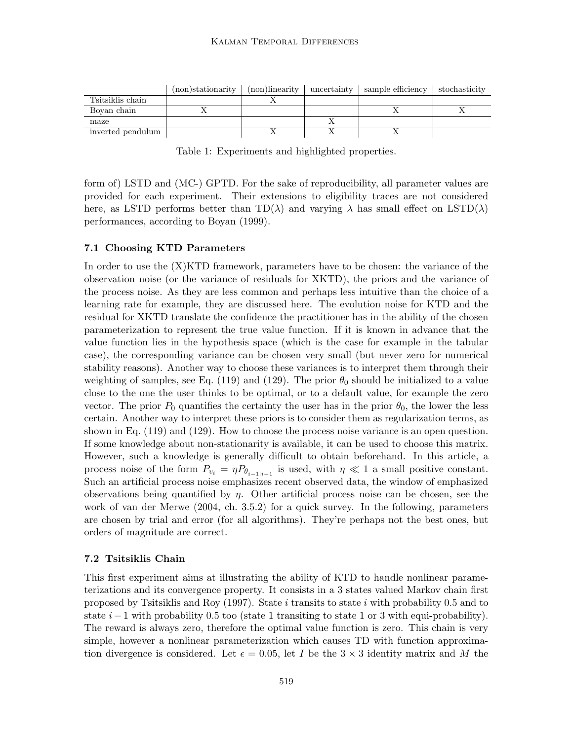|                   | (non)stationarity | (non)linearity | uncertainty | sample efficiency | stochasticity |
|-------------------|-------------------|----------------|-------------|-------------------|---------------|
| Tsitsiklis chain  |                   |                |             |                   |               |
| Boyan chain       |                   |                |             |                   |               |
| maze              |                   |                |             |                   |               |
| inverted pendulum |                   |                |             |                   |               |

Table 1: Experiments and highlighted properties.

form of) LSTD and (MC-) GPTD. For the sake of reproducibility, all parameter values are provided for each experiment. Their extensions to eligibility traces are not considered here, as LSTD performs better than  $TD(\lambda)$  and varying  $\lambda$  has small effect on LSTD( $\lambda$ ) performances, according to Boyan (1999).

### 7.1 Choosing KTD Parameters

In order to use the (X)KTD framework, parameters have to be chosen: the variance of the observation noise (or the variance of residuals for XKTD), the priors and the variance of the process noise. As they are less common and perhaps less intuitive than the choice of a learning rate for example, they are discussed here. The evolution noise for KTD and the residual for XKTD translate the confidence the practitioner has in the ability of the chosen parameterization to represent the true value function. If it is known in advance that the value function lies in the hypothesis space (which is the case for example in the tabular case), the corresponding variance can be chosen very small (but never zero for numerical stability reasons). Another way to choose these variances is to interpret them through their weighting of samples, see Eq. (119) and (129). The prior  $\theta_0$  should be initialized to a value close to the one the user thinks to be optimal, or to a default value, for example the zero vector. The prior  $P_0$  quantifies the certainty the user has in the prior  $\theta_0$ , the lower the less certain. Another way to interpret these priors is to consider them as regularization terms, as shown in Eq. (119) and (129). How to choose the process noise variance is an open question. If some knowledge about non-stationarity is available, it can be used to choose this matrix. However, such a knowledge is generally difficult to obtain beforehand. In this article, a process noise of the form  $P_{v_i} = \eta P_{\theta_{i-1|i-1}}$  is used, with  $\eta \ll 1$  a small positive constant. Such an artificial process noise emphasizes recent observed data, the window of emphasized observations being quantified by  $\eta$ . Other artificial process noise can be chosen, see the work of van der Merwe (2004, ch. 3.5.2) for a quick survey. In the following, parameters are chosen by trial and error (for all algorithms). They're perhaps not the best ones, but orders of magnitude are correct.

### 7.2 Tsitsiklis Chain

This first experiment aims at illustrating the ability of KTD to handle nonlinear parameterizations and its convergence property. It consists in a 3 states valued Markov chain first proposed by Tsitsiklis and Roy (1997). State i transits to state i with probability 0.5 and to state  $i-1$  with probability 0.5 too (state 1 transiting to state 1 or 3 with equi-probability). The reward is always zero, therefore the optimal value function is zero. This chain is very simple, however a nonlinear parameterization which causes TD with function approximation divergence is considered. Let  $\epsilon = 0.05$ , let I be the  $3 \times 3$  identity matrix and M the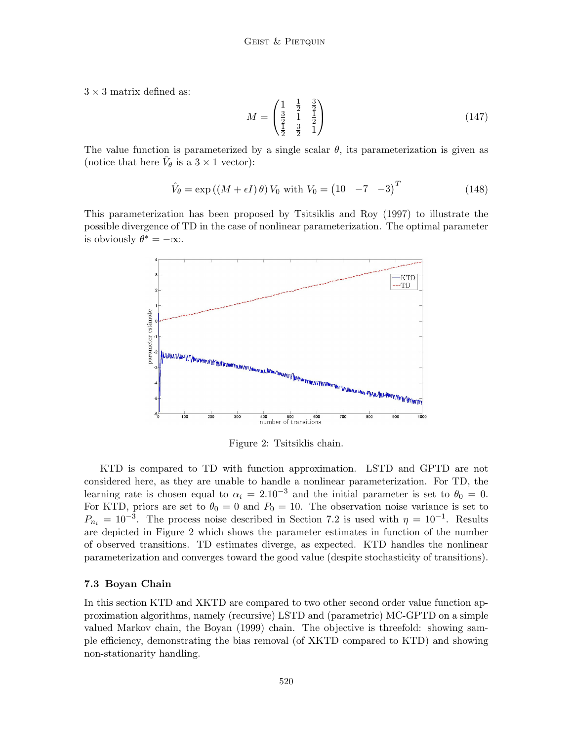$3 \times 3$  matrix defined as:

$$
M = \begin{pmatrix} 1 & \frac{1}{2} & \frac{3}{2} \\ \frac{3}{2} & 1 & \frac{1}{2} \\ \frac{1}{2} & \frac{3}{2} & 1 \end{pmatrix}
$$
 (147)

The value function is parameterized by a single scalar  $\theta$ , its parameterization is given as (notice that here  $\hat{V}_{\theta}$  is a  $3 \times 1$  vector):

$$
\hat{V}_{\theta} = \exp\left(\left(M + \epsilon I\right)\theta\right)V_0 \text{ with } V_0 = \begin{pmatrix} 10 & -7 & -3 \end{pmatrix}^T \tag{148}
$$

This parameterization has been proposed by Tsitsiklis and Roy (1997) to illustrate the possible divergence of TD in the case of nonlinear parameterization. The optimal parameter is obviously  $\theta^* = -\infty$ .



Figure 2: Tsitsiklis chain.

KTD is compared to TD with function approximation. LSTD and GPTD are not considered here, as they are unable to handle a nonlinear parameterization. For TD, the learning rate is chosen equal to  $\alpha_i = 2.10^{-3}$  and the initial parameter is set to  $\theta_0 = 0$ . For KTD, priors are set to  $\theta_0 = 0$  and  $P_0 = 10$ . The observation noise variance is set to  $P_{n_i} = 10^{-3}$ . The process noise described in Section 7.2 is used with  $\eta = 10^{-1}$ . Results are depicted in Figure 2 which shows the parameter estimates in function of the number of observed transitions. TD estimates diverge, as expected. KTD handles the nonlinear parameterization and converges toward the good value (despite stochasticity of transitions).

### 7.3 Boyan Chain

In this section KTD and XKTD are compared to two other second order value function approximation algorithms, namely (recursive) LSTD and (parametric) MC-GPTD on a simple valued Markov chain, the Boyan (1999) chain. The objective is threefold: showing sample efficiency, demonstrating the bias removal (of XKTD compared to KTD) and showing non-stationarity handling.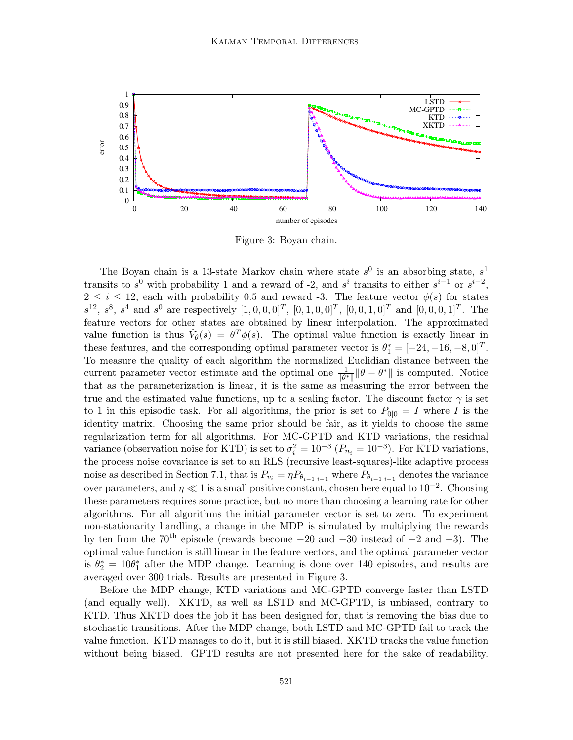

Figure 3: Boyan chain.

The Boyan chain is a 13-state Markov chain where state  $s^0$  is an absorbing state,  $s^1$ transits to  $s^0$  with probability 1 and a reward of -2, and  $s^i$  transits to either  $s^{i-1}$  or  $s^{i-2}$ ,  $2 \leq i \leq 12$ , each with probability 0.5 and reward -3. The feature vector  $\phi(s)$  for states  $s^{12}, s^8, s^4$  and  $s^0$  are respectively  $[1, 0, 0, 0]^T$ ,  $[0, 1, 0, 0]^T$ ,  $[0, 0, 1, 0]^T$  and  $[0, 0, 0, 1]^T$ . The feature vectors for other states are obtained by linear interpolation. The approximated value function is thus  $\hat{V}_{\theta}(s) = \theta^T \phi(s)$ . The optimal value function is exactly linear in these features, and the corresponding optimal parameter vector is  $\theta_1^* = [-24, -16, -8, 0]^T$ . To measure the quality of each algorithm the normalized Euclidian distance between the current parameter vector estimate and the optimal one  $\frac{1}{\|\theta^*\|} \|\theta - \theta^*\|$  is computed. Notice that as the parameterization is linear, it is the same as measuring the error between the true and the estimated value functions, up to a scaling factor. The discount factor  $\gamma$  is set to 1 in this episodic task. For all algorithms, the prior is set to  $P_{0|0} = I$  where I is the identity matrix. Choosing the same prior should be fair, as it yields to choose the same regularization term for all algorithms. For MC-GPTD and KTD variations, the residual variance (observation noise for KTD) is set to  $\sigma_i^2 = 10^{-3}$   $(P_{n_i} = 10^{-3})$ . For KTD variations, the process noise covariance is set to an RLS (recursive least-squares)-like adaptive process noise as described in Section 7.1, that is  $P_{v_i} = \eta P_{\theta_{i-1|i-1}}$  where  $P_{\theta_{i-1|i-1}}$  denotes the variance over parameters, and  $\eta \ll 1$  is a small positive constant, chosen here equal to  $10^{-2}$ . Choosing these parameters requires some practice, but no more than choosing a learning rate for other algorithms. For all algorithms the initial parameter vector is set to zero. To experiment non-stationarity handling, a change in the MDP is simulated by multiplying the rewards by ten from the  $70<sup>th</sup>$  episode (rewards become  $-20$  and  $-30$  instead of  $-2$  and  $-3$ ). The optimal value function is still linear in the feature vectors, and the optimal parameter vector is  $\theta_2^* = 10\theta_1^*$  after the MDP change. Learning is done over 140 episodes, and results are averaged over 300 trials. Results are presented in Figure 3.

Before the MDP change, KTD variations and MC-GPTD converge faster than LSTD (and equally well). XKTD, as well as LSTD and MC-GPTD, is unbiased, contrary to KTD. Thus XKTD does the job it has been designed for, that is removing the bias due to stochastic transitions. After the MDP change, both LSTD and MC-GPTD fail to track the value function. KTD manages to do it, but it is still biased. XKTD tracks the value function without being biased. GPTD results are not presented here for the sake of readability.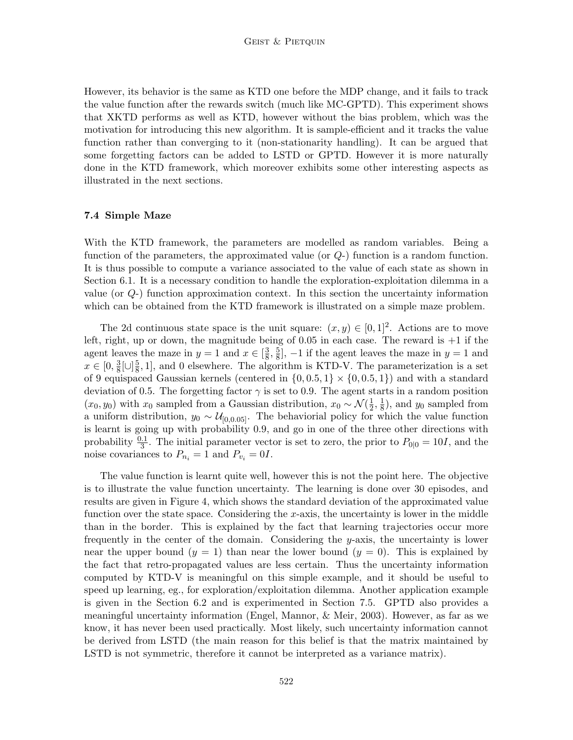However, its behavior is the same as KTD one before the MDP change, and it fails to track the value function after the rewards switch (much like MC-GPTD). This experiment shows that XKTD performs as well as KTD, however without the bias problem, which was the motivation for introducing this new algorithm. It is sample-efficient and it tracks the value function rather than converging to it (non-stationarity handling). It can be argued that some forgetting factors can be added to LSTD or GPTD. However it is more naturally done in the KTD framework, which moreover exhibits some other interesting aspects as illustrated in the next sections.

## 7.4 Simple Maze

With the KTD framework, the parameters are modelled as random variables. Being a function of the parameters, the approximated value (or  $Q$ -) function is a random function. It is thus possible to compute a variance associated to the value of each state as shown in Section 6.1. It is a necessary condition to handle the exploration-exploitation dilemma in a value (or  $Q$ -) function approximation context. In this section the uncertainty information which can be obtained from the KTD framework is illustrated on a simple maze problem.

The 2d continuous state space is the unit square:  $(x, y) \in [0, 1]^2$ . Actions are to move left, right, up or down, the magnitude being of  $0.05$  in each case. The reward is  $+1$  if the agent leaves the maze in  $y = 1$  and  $x \in \left[\frac{3}{8}\right]$  $\frac{3}{8}, \frac{5}{8}$  $\frac{5}{8}$ , -1 if the agent leaves the maze in  $y = 1$  and  $x \in [0, \frac{3}{8}]$  $\frac{3}{8}[\cup]\frac{5}{8}$  $\frac{5}{8}$ , 1], and 0 elsewhere. The algorithm is KTD-V. The parameterization is a set of 9 equispaced Gaussian kernels (centered in  $\{0, 0.5, 1\} \times \{0, 0.5, 1\}$ ) and with a standard deviation of 0.5. The forgetting factor  $\gamma$  is set to 0.9. The agent starts in a random position  $(x_0, y_0)$  with  $x_0$  sampled from a Gaussian distribution,  $x_0 \sim \mathcal{N}(\frac{1}{2})$  $\frac{1}{2}, \frac{1}{8}$  $\frac{1}{8}$ , and  $y_0$  sampled from a uniform distribution,  $y_0 \sim \mathcal{U}_{[0,0.05]}$ . The behaviorial policy for which the value function is learnt is going up with probability 0.9, and go in one of the three other directions with probability  $\frac{0.1}{3}$ . The initial parameter vector is set to zero, the prior to  $P_{0|0} = 10I$ , and the noise covariances to  $P_{n_i} = 1$  and  $P_{v_i} = 0I$ .

The value function is learnt quite well, however this is not the point here. The objective is to illustrate the value function uncertainty. The learning is done over 30 episodes, and results are given in Figure 4, which shows the standard deviation of the approximated value function over the state space. Considering the  $x$ -axis, the uncertainty is lower in the middle than in the border. This is explained by the fact that learning trajectories occur more frequently in the center of the domain. Considering the y-axis, the uncertainty is lower near the upper bound  $(y = 1)$  than near the lower bound  $(y = 0)$ . This is explained by the fact that retro-propagated values are less certain. Thus the uncertainty information computed by KTD-V is meaningful on this simple example, and it should be useful to speed up learning, eg., for exploration/exploitation dilemma. Another application example is given in the Section 6.2 and is experimented in Section 7.5. GPTD also provides a meaningful uncertainty information (Engel, Mannor, & Meir, 2003). However, as far as we know, it has never been used practically. Most likely, such uncertainty information cannot be derived from LSTD (the main reason for this belief is that the matrix maintained by LSTD is not symmetric, therefore it cannot be interpreted as a variance matrix).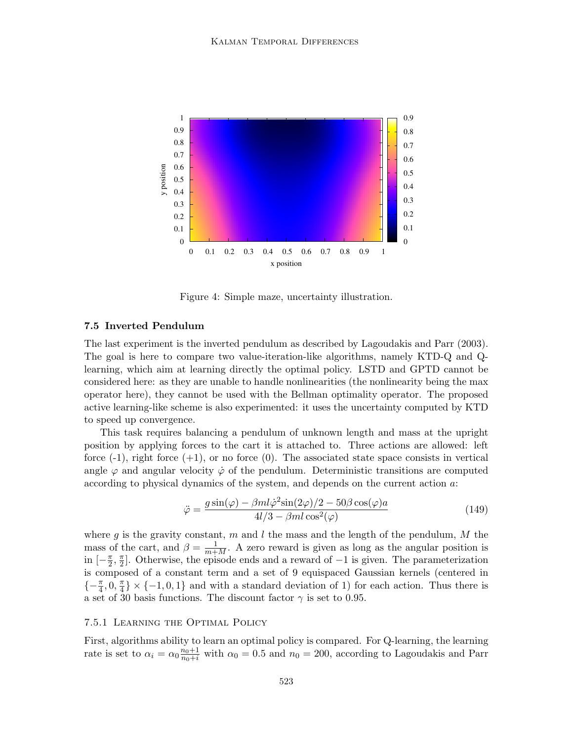

Figure 4: Simple maze, uncertainty illustration.

## 7.5 Inverted Pendulum

The last experiment is the inverted pendulum as described by Lagoudakis and Parr (2003). The goal is here to compare two value-iteration-like algorithms, namely KTD-Q and Qlearning, which aim at learning directly the optimal policy. LSTD and GPTD cannot be considered here: as they are unable to handle nonlinearities (the nonlinearity being the max operator here), they cannot be used with the Bellman optimality operator. The proposed active learning-like scheme is also experimented: it uses the uncertainty computed by KTD to speed up convergence.

This task requires balancing a pendulum of unknown length and mass at the upright position by applying forces to the cart it is attached to. Three actions are allowed: left force  $(-1)$ , right force  $(+1)$ , or no force  $(0)$ . The associated state space consists in vertical angle  $\varphi$  and angular velocity  $\dot{\varphi}$  of the pendulum. Deterministic transitions are computed according to physical dynamics of the system, and depends on the current action a:

$$
\ddot{\varphi} = \frac{g\sin(\varphi) - \beta m l \dot{\varphi}^2 \sin(2\varphi)/2 - 50\beta \cos(\varphi)a}{4l/3 - \beta m l \cos^2(\varphi)}
$$
(149)

where g is the gravity constant, m and l the mass and the length of the pendulum, M the mass of the cart, and  $\beta = \frac{1}{m+M}$ . A zero reward is given as long as the angular position is  $\ln$   $\left[-\frac{\pi}{2}\right]$  $\frac{\pi}{2}$ ,  $\frac{\pi}{2}$  $\frac{\pi}{2}$ . Otherwise, the episode ends and a reward of  $-1$  is given. The parameterization is composed of a constant term and a set of 9 equispaced Gaussian kernels (centered in  $\{-\frac{\pi}{4}, 0, \frac{\pi}{4}$  $\frac{\pi}{4}$  × {-1, 0, 1} and with a standard deviation of 1) for each action. Thus there is a set of 30 basis functions. The discount factor  $\gamma$  is set to 0.95.

## 7.5.1 Learning the Optimal Policy

First, algorithms ability to learn an optimal policy is compared. For Q-learning, the learning rate is set to  $\alpha_i = \alpha_0 \frac{n_0+1}{n_0+i}$  with  $\alpha_0 = 0.5$  and  $n_0 = 200$ , according to Lagoudakis and Parr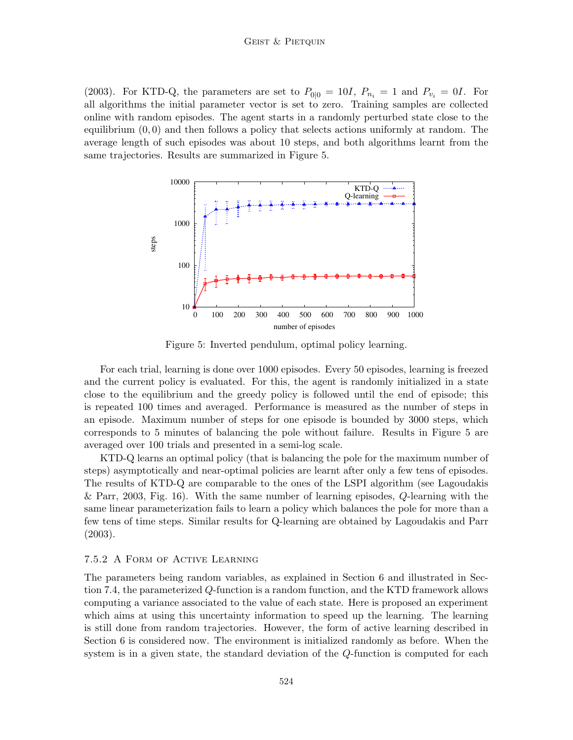#### GEIST & PIETQUIN

(2003). For KTD-Q, the parameters are set to  $P_{0|0} = 10I$ ,  $P_{n_i} = 1$  and  $P_{v_i} = 0I$ . For all algorithms the initial parameter vector is set to zero. Training samples are collected online with random episodes. The agent starts in a randomly perturbed state close to the equilibrium  $(0, 0)$  and then follows a policy that selects actions uniformly at random. The average length of such episodes was about 10 steps, and both algorithms learnt from the same trajectories. Results are summarized in Figure 5.



Figure 5: Inverted pendulum, optimal policy learning.

For each trial, learning is done over 1000 episodes. Every 50 episodes, learning is freezed and the current policy is evaluated. For this, the agent is randomly initialized in a state close to the equilibrium and the greedy policy is followed until the end of episode; this is repeated 100 times and averaged. Performance is measured as the number of steps in an episode. Maximum number of steps for one episode is bounded by 3000 steps, which corresponds to 5 minutes of balancing the pole without failure. Results in Figure 5 are averaged over 100 trials and presented in a semi-log scale.

KTD-Q learns an optimal policy (that is balancing the pole for the maximum number of steps) asymptotically and near-optimal policies are learnt after only a few tens of episodes. The results of KTD-Q are comparable to the ones of the LSPI algorithm (see Lagoudakis & Parr, 2003, Fig. 16). With the same number of learning episodes, Q-learning with the same linear parameterization fails to learn a policy which balances the pole for more than a few tens of time steps. Similar results for Q-learning are obtained by Lagoudakis and Parr (2003).

#### 7.5.2 A Form of Active Learning

The parameters being random variables, as explained in Section 6 and illustrated in Section 7.4, the parameterized Q-function is a random function, and the KTD framework allows computing a variance associated to the value of each state. Here is proposed an experiment which aims at using this uncertainty information to speed up the learning. The learning is still done from random trajectories. However, the form of active learning described in Section 6 is considered now. The environment is initialized randomly as before. When the system is in a given state, the standard deviation of the Q-function is computed for each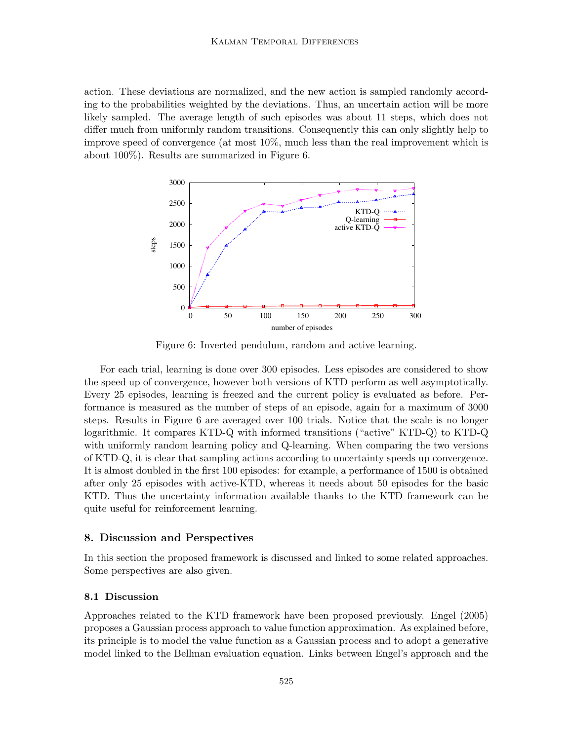action. These deviations are normalized, and the new action is sampled randomly according to the probabilities weighted by the deviations. Thus, an uncertain action will be more likely sampled. The average length of such episodes was about 11 steps, which does not differ much from uniformly random transitions. Consequently this can only slightly help to improve speed of convergence (at most 10%, much less than the real improvement which is about 100%). Results are summarized in Figure 6.



Figure 6: Inverted pendulum, random and active learning.

For each trial, learning is done over 300 episodes. Less episodes are considered to show the speed up of convergence, however both versions of KTD perform as well asymptotically. Every 25 episodes, learning is freezed and the current policy is evaluated as before. Performance is measured as the number of steps of an episode, again for a maximum of 3000 steps. Results in Figure 6 are averaged over 100 trials. Notice that the scale is no longer logarithmic. It compares KTD-Q with informed transitions ("active" KTD-Q) to KTD-Q with uniformly random learning policy and Q-learning. When comparing the two versions of KTD-Q, it is clear that sampling actions according to uncertainty speeds up convergence. It is almost doubled in the first 100 episodes: for example, a performance of 1500 is obtained after only 25 episodes with active-KTD, whereas it needs about 50 episodes for the basic KTD. Thus the uncertainty information available thanks to the KTD framework can be quite useful for reinforcement learning.

## 8. Discussion and Perspectives

In this section the proposed framework is discussed and linked to some related approaches. Some perspectives are also given.

## 8.1 Discussion

Approaches related to the KTD framework have been proposed previously. Engel (2005) proposes a Gaussian process approach to value function approximation. As explained before, its principle is to model the value function as a Gaussian process and to adopt a generative model linked to the Bellman evaluation equation. Links between Engel's approach and the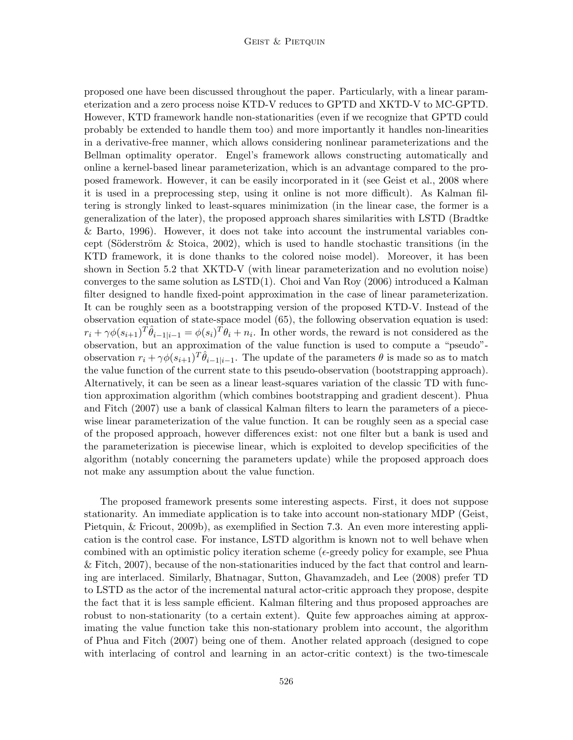proposed one have been discussed throughout the paper. Particularly, with a linear parameterization and a zero process noise KTD-V reduces to GPTD and XKTD-V to MC-GPTD. However, KTD framework handle non-stationarities (even if we recognize that GPTD could probably be extended to handle them too) and more importantly it handles non-linearities in a derivative-free manner, which allows considering nonlinear parameterizations and the Bellman optimality operator. Engel's framework allows constructing automatically and online a kernel-based linear parameterization, which is an advantage compared to the proposed framework. However, it can be easily incorporated in it (see Geist et al., 2008 where it is used in a preprocessing step, using it online is not more difficult). As Kalman filtering is strongly linked to least-squares minimization (in the linear case, the former is a generalization of the later), the proposed approach shares similarities with LSTD (Bradtke & Barto, 1996). However, it does not take into account the instrumental variables concept (Söderström & Stoica, 2002), which is used to handle stochastic transitions (in the KTD framework, it is done thanks to the colored noise model). Moreover, it has been shown in Section 5.2 that XKTD-V (with linear parameterization and no evolution noise) converges to the same solution as  $\mathrm{LSTD}(1)$ . Choi and Van Roy (2006) introduced a Kalman filter designed to handle fixed-point approximation in the case of linear parameterization. It can be roughly seen as a bootstrapping version of the proposed KTD-V. Instead of the observation equation of state-space model (65), the following observation equation is used:  $r_i + \gamma \phi(s_{i+1})^T \hat{\theta}_{i-1|i-1} = \phi(s_i)^T \theta_i + n_i$ . In other words, the reward is not considered as the observation, but an approximation of the value function is used to compute a "pseudo" observation  $r_i + \gamma \phi(s_{i+1})^T \hat{\theta}_{i-1|i-1}$ . The update of the parameters  $\theta$  is made so as to match the value function of the current state to this pseudo-observation (bootstrapping approach). Alternatively, it can be seen as a linear least-squares variation of the classic TD with function approximation algorithm (which combines bootstrapping and gradient descent). Phua and Fitch (2007) use a bank of classical Kalman filters to learn the parameters of a piecewise linear parameterization of the value function. It can be roughly seen as a special case of the proposed approach, however differences exist: not one filter but a bank is used and the parameterization is piecewise linear, which is exploited to develop specificities of the algorithm (notably concerning the parameters update) while the proposed approach does not make any assumption about the value function.

The proposed framework presents some interesting aspects. First, it does not suppose stationarity. An immediate application is to take into account non-stationary MDP (Geist, Pietquin, & Fricout, 2009b), as exemplified in Section 7.3. An even more interesting application is the control case. For instance, LSTD algorithm is known not to well behave when combined with an optimistic policy iteration scheme ( $\epsilon$ -greedy policy for example, see Phua & Fitch, 2007), because of the non-stationarities induced by the fact that control and learning are interlaced. Similarly, Bhatnagar, Sutton, Ghavamzadeh, and Lee (2008) prefer TD to LSTD as the actor of the incremental natural actor-critic approach they propose, despite the fact that it is less sample efficient. Kalman filtering and thus proposed approaches are robust to non-stationarity (to a certain extent). Quite few approaches aiming at approximating the value function take this non-stationary problem into account, the algorithm of Phua and Fitch (2007) being one of them. Another related approach (designed to cope with interlacing of control and learning in an actor-critic context) is the two-timescale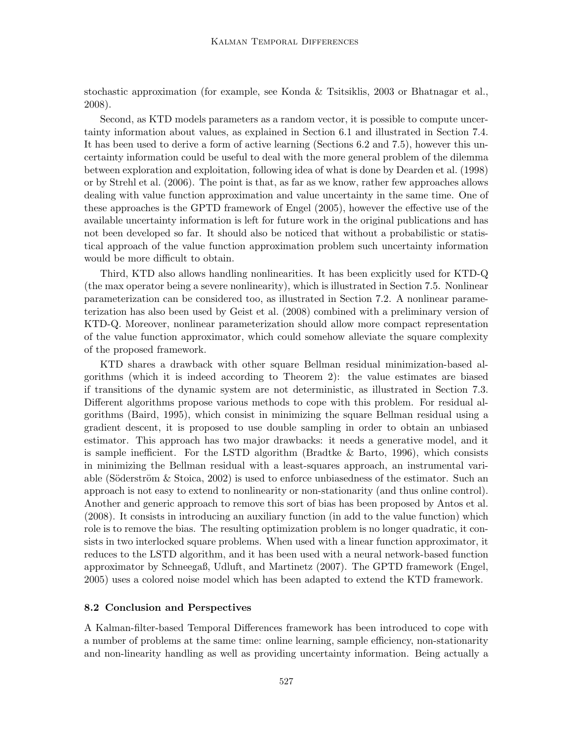stochastic approximation (for example, see Konda & Tsitsiklis, 2003 or Bhatnagar et al., 2008).

Second, as KTD models parameters as a random vector, it is possible to compute uncertainty information about values, as explained in Section 6.1 and illustrated in Section 7.4. It has been used to derive a form of active learning (Sections 6.2 and 7.5), however this uncertainty information could be useful to deal with the more general problem of the dilemma between exploration and exploitation, following idea of what is done by Dearden et al. (1998) or by Strehl et al. (2006). The point is that, as far as we know, rather few approaches allows dealing with value function approximation and value uncertainty in the same time. One of these approaches is the GPTD framework of Engel (2005), however the effective use of the available uncertainty information is left for future work in the original publications and has not been developed so far. It should also be noticed that without a probabilistic or statistical approach of the value function approximation problem such uncertainty information would be more difficult to obtain.

Third, KTD also allows handling nonlinearities. It has been explicitly used for KTD-Q (the max operator being a severe nonlinearity), which is illustrated in Section 7.5. Nonlinear parameterization can be considered too, as illustrated in Section 7.2. A nonlinear parameterization has also been used by Geist et al. (2008) combined with a preliminary version of KTD-Q. Moreover, nonlinear parameterization should allow more compact representation of the value function approximator, which could somehow alleviate the square complexity of the proposed framework.

KTD shares a drawback with other square Bellman residual minimization-based algorithms (which it is indeed according to Theorem 2): the value estimates are biased if transitions of the dynamic system are not deterministic, as illustrated in Section 7.3. Different algorithms propose various methods to cope with this problem. For residual algorithms (Baird, 1995), which consist in minimizing the square Bellman residual using a gradient descent, it is proposed to use double sampling in order to obtain an unbiased estimator. This approach has two major drawbacks: it needs a generative model, and it is sample inefficient. For the LSTD algorithm (Bradtke  $\&$  Barto, 1996), which consists in minimizing the Bellman residual with a least-squares approach, an instrumental variable (Söderström  $\&$  Stoica, 2002) is used to enforce unbiasedness of the estimator. Such an approach is not easy to extend to nonlinearity or non-stationarity (and thus online control). Another and generic approach to remove this sort of bias has been proposed by Antos et al. (2008). It consists in introducing an auxiliary function (in add to the value function) which role is to remove the bias. The resulting optimization problem is no longer quadratic, it consists in two interlocked square problems. When used with a linear function approximator, it reduces to the LSTD algorithm, and it has been used with a neural network-based function approximator by Schneegaß, Udluft, and Martinetz (2007). The GPTD framework (Engel, 2005) uses a colored noise model which has been adapted to extend the KTD framework.

### 8.2 Conclusion and Perspectives

A Kalman-filter-based Temporal Differences framework has been introduced to cope with a number of problems at the same time: online learning, sample efficiency, non-stationarity and non-linearity handling as well as providing uncertainty information. Being actually a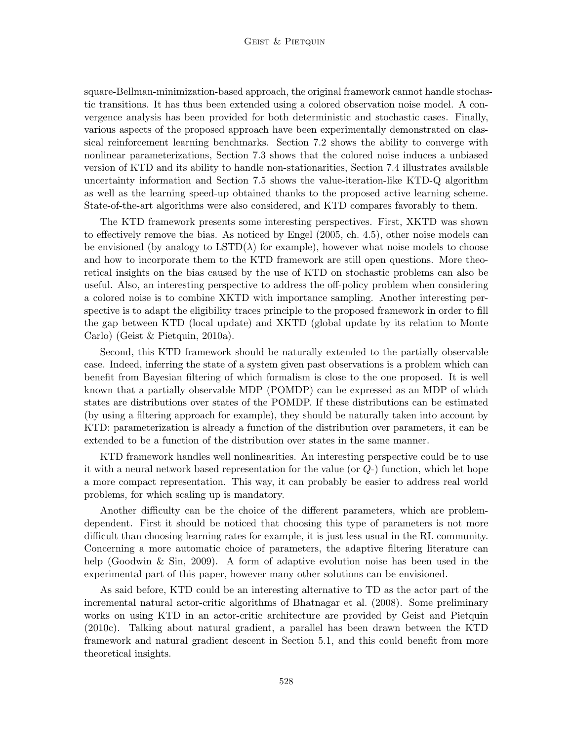square-Bellman-minimization-based approach, the original framework cannot handle stochastic transitions. It has thus been extended using a colored observation noise model. A convergence analysis has been provided for both deterministic and stochastic cases. Finally, various aspects of the proposed approach have been experimentally demonstrated on classical reinforcement learning benchmarks. Section 7.2 shows the ability to converge with nonlinear parameterizations, Section 7.3 shows that the colored noise induces a unbiased version of KTD and its ability to handle non-stationarities, Section 7.4 illustrates available uncertainty information and Section 7.5 shows the value-iteration-like KTD-Q algorithm as well as the learning speed-up obtained thanks to the proposed active learning scheme. State-of-the-art algorithms were also considered, and KTD compares favorably to them.

The KTD framework presents some interesting perspectives. First, XKTD was shown to effectively remove the bias. As noticed by Engel (2005, ch. 4.5), other noise models can be envisioned (by analogy to  $\text{LSTD}(\lambda)$  for example), however what noise models to choose and how to incorporate them to the KTD framework are still open questions. More theoretical insights on the bias caused by the use of KTD on stochastic problems can also be useful. Also, an interesting perspective to address the off-policy problem when considering a colored noise is to combine XKTD with importance sampling. Another interesting perspective is to adapt the eligibility traces principle to the proposed framework in order to fill the gap between KTD (local update) and XKTD (global update by its relation to Monte Carlo) (Geist & Pietquin, 2010a).

Second, this KTD framework should be naturally extended to the partially observable case. Indeed, inferring the state of a system given past observations is a problem which can benefit from Bayesian filtering of which formalism is close to the one proposed. It is well known that a partially observable MDP (POMDP) can be expressed as an MDP of which states are distributions over states of the POMDP. If these distributions can be estimated (by using a filtering approach for example), they should be naturally taken into account by KTD: parameterization is already a function of the distribution over parameters, it can be extended to be a function of the distribution over states in the same manner.

KTD framework handles well nonlinearities. An interesting perspective could be to use it with a neural network based representation for the value (or Q-) function, which let hope a more compact representation. This way, it can probably be easier to address real world problems, for which scaling up is mandatory.

Another difficulty can be the choice of the different parameters, which are problemdependent. First it should be noticed that choosing this type of parameters is not more difficult than choosing learning rates for example, it is just less usual in the RL community. Concerning a more automatic choice of parameters, the adaptive filtering literature can help (Goodwin & Sin, 2009). A form of adaptive evolution noise has been used in the experimental part of this paper, however many other solutions can be envisioned.

As said before, KTD could be an interesting alternative to TD as the actor part of the incremental natural actor-critic algorithms of Bhatnagar et al. (2008). Some preliminary works on using KTD in an actor-critic architecture are provided by Geist and Pietquin (2010c). Talking about natural gradient, a parallel has been drawn between the KTD framework and natural gradient descent in Section 5.1, and this could benefit from more theoretical insights.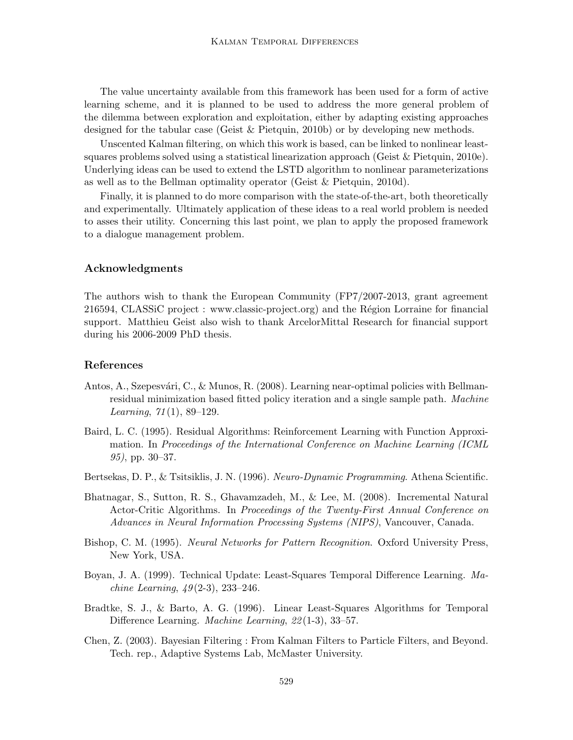The value uncertainty available from this framework has been used for a form of active learning scheme, and it is planned to be used to address the more general problem of the dilemma between exploration and exploitation, either by adapting existing approaches designed for the tabular case (Geist & Pietquin, 2010b) or by developing new methods.

Unscented Kalman filtering, on which this work is based, can be linked to nonlinear leastsquares problems solved using a statistical linearization approach (Geist & Pietquin, 2010e). Underlying ideas can be used to extend the LSTD algorithm to nonlinear parameterizations as well as to the Bellman optimality operator (Geist & Pietquin, 2010d).

Finally, it is planned to do more comparison with the state-of-the-art, both theoretically and experimentally. Ultimately application of these ideas to a real world problem is needed to asses their utility. Concerning this last point, we plan to apply the proposed framework to a dialogue management problem.

## Acknowledgments

The authors wish to thank the European Community (FP7/2007-2013, grant agreement 216594, CLASSiC project : www.classic-project.org) and the Région Lorraine for financial support. Matthieu Geist also wish to thank ArcelorMittal Research for financial support during his 2006-2009 PhD thesis.

## References

- Antos, A., Szepesvári, C., & Munos, R. (2008). Learning near-optimal policies with Bellmanresidual minimization based fitted policy iteration and a single sample path. Machine Learning,  $71(1)$ , 89–129.
- Baird, L. C. (1995). Residual Algorithms: Reinforcement Learning with Function Approximation. In Proceedings of the International Conference on Machine Learning (ICML 95), pp. 30–37.
- Bertsekas, D. P., & Tsitsiklis, J. N. (1996). Neuro-Dynamic Programming. Athena Scientific.
- Bhatnagar, S., Sutton, R. S., Ghavamzadeh, M., & Lee, M. (2008). Incremental Natural Actor-Critic Algorithms. In Proceedings of the Twenty-First Annual Conference on Advances in Neural Information Processing Systems (NIPS), Vancouver, Canada.
- Bishop, C. M. (1995). Neural Networks for Pattern Recognition. Oxford University Press, New York, USA.
- Boyan, J. A. (1999). Technical Update: Least-Squares Temporal Difference Learning. Ma*chine Learning,*  $49(2-3)$ ,  $233-246$ .
- Bradtke, S. J., & Barto, A. G. (1996). Linear Least-Squares Algorithms for Temporal Difference Learning. *Machine Learning*, 22(1-3), 33–57.
- Chen, Z. (2003). Bayesian Filtering : From Kalman Filters to Particle Filters, and Beyond. Tech. rep., Adaptive Systems Lab, McMaster University.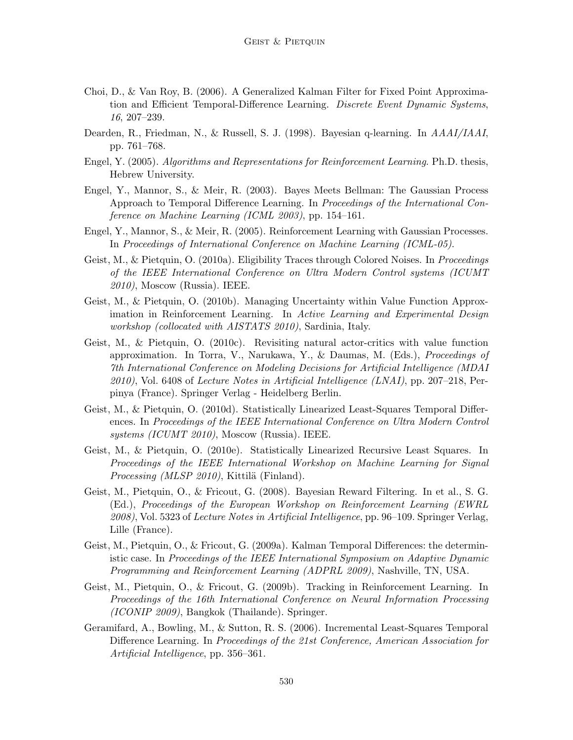- Choi, D., & Van Roy, B. (2006). A Generalized Kalman Filter for Fixed Point Approximation and Efficient Temporal-Difference Learning. Discrete Event Dynamic Systems, 16, 207–239.
- Dearden, R., Friedman, N., & Russell, S. J. (1998). Bayesian q-learning. In AAAI/IAAI, pp. 761–768.
- Engel, Y. (2005). Algorithms and Representations for Reinforcement Learning. Ph.D. thesis, Hebrew University.
- Engel, Y., Mannor, S., & Meir, R. (2003). Bayes Meets Bellman: The Gaussian Process Approach to Temporal Difference Learning. In Proceedings of the International Conference on Machine Learning (ICML 2003), pp. 154–161.
- Engel, Y., Mannor, S., & Meir, R. (2005). Reinforcement Learning with Gaussian Processes. In Proceedings of International Conference on Machine Learning (ICML-05).
- Geist, M., & Pietquin, O. (2010a). Eligibility Traces through Colored Noises. In *Proceedings* of the IEEE International Conference on Ultra Modern Control systems (ICUMT  $2010$ , Moscow (Russia). IEEE.
- Geist, M., & Pietquin, O. (2010b). Managing Uncertainty within Value Function Approximation in Reinforcement Learning. In Active Learning and Experimental Design workshop (collocated with AISTATS 2010), Sardinia, Italy.
- Geist, M., & Pietquin, O. (2010c). Revisiting natural actor-critics with value function approximation. In Torra, V., Narukawa, Y., & Daumas, M. (Eds.), Proceedings of 7th International Conference on Modeling Decisions for Artificial Intelligence (MDAI  $2010$ , Vol. 6408 of Lecture Notes in Artificial Intelligence (LNAI), pp. 207–218, Perpinya (France). Springer Verlag - Heidelberg Berlin.
- Geist, M., & Pietquin, O. (2010d). Statistically Linearized Least-Squares Temporal Differences. In Proceedings of the IEEE International Conference on Ultra Modern Control systems (ICUMT 2010), Moscow (Russia). IEEE.
- Geist, M., & Pietquin, O. (2010e). Statistically Linearized Recursive Least Squares. In Proceedings of the IEEE International Workshop on Machine Learning for Signal *Processing (MLSP 2010)*, Kittilä (Finland).
- Geist, M., Pietquin, O., & Fricout, G. (2008). Bayesian Reward Filtering. In et al., S. G. (Ed.), Proceedings of the European Workshop on Reinforcement Learning (EWRL 2008), Vol. 5323 of Lecture Notes in Artificial Intelligence, pp. 96–109. Springer Verlag, Lille (France).
- Geist, M., Pietquin, O., & Fricout, G. (2009a). Kalman Temporal Differences: the deterministic case. In Proceedings of the IEEE International Symposium on Adaptive Dynamic Programming and Reinforcement Learning (ADPRL 2009), Nashville, TN, USA.
- Geist, M., Pietquin, O., & Fricout, G. (2009b). Tracking in Reinforcement Learning. In Proceedings of the 16th International Conference on Neural Information Processing (ICONIP 2009), Bangkok (Thailande). Springer.
- Geramifard, A., Bowling, M., & Sutton, R. S. (2006). Incremental Least-Squares Temporal Difference Learning. In Proceedings of the 21st Conference, American Association for Artificial Intelligence, pp. 356–361.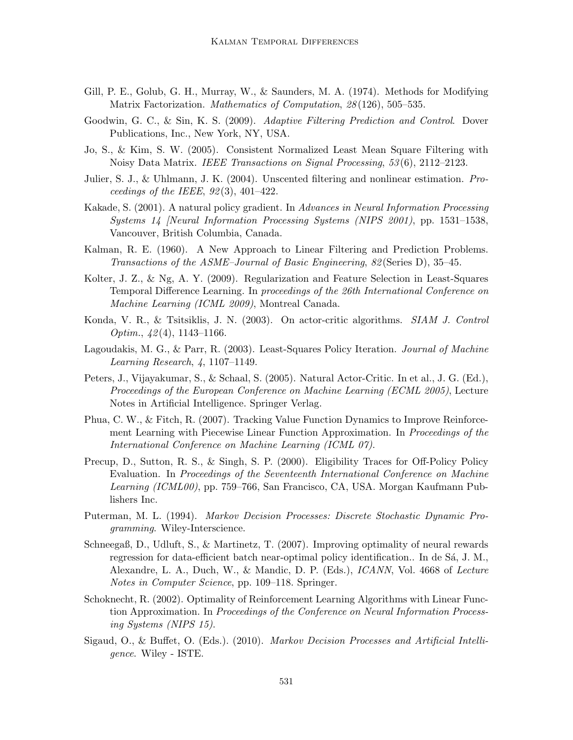- Gill, P. E., Golub, G. H., Murray, W., & Saunders, M. A. (1974). Methods for Modifying Matrix Factorization. Mathematics of Computation, 28(126), 505-535.
- Goodwin, G. C., & Sin, K. S. (2009). Adaptive Filtering Prediction and Control. Dover Publications, Inc., New York, NY, USA.
- Jo, S., & Kim, S. W. (2005). Consistent Normalized Least Mean Square Filtering with Noisy Data Matrix. IEEE Transactions on Signal Processing, 53 (6), 2112–2123.
- Julier, S. J., & Uhlmann, J. K. (2004). Unscented filtering and nonlinear estimation. Proceedings of the IEEE,  $92(3)$ ,  $401-422$ .
- Kakade, S. (2001). A natural policy gradient. In Advances in Neural Information Processing Systems 14 [Neural Information Processing Systems (NIPS 2001), pp. 1531–1538, Vancouver, British Columbia, Canada.
- Kalman, R. E. (1960). A New Approach to Linear Filtering and Prediction Problems. Transactions of the ASME–Journal of Basic Engineering, 82 (Series D), 35–45.
- Kolter, J. Z., & Ng, A. Y. (2009). Regularization and Feature Selection in Least-Squares Temporal Difference Learning. In proceedings of the 26th International Conference on Machine Learning (ICML 2009), Montreal Canada.
- Konda, V. R., & Tsitsiklis, J. N. (2003). On actor-critic algorithms. SIAM J. Control Optim.,  $42(4)$ , 1143–1166.
- Lagoudakis, M. G., & Parr, R. (2003). Least-Squares Policy Iteration. *Journal of Machine* Learning Research, 4, 1107–1149.
- Peters, J., Vijayakumar, S., & Schaal, S. (2005). Natural Actor-Critic. In et al., J. G. (Ed.), Proceedings of the European Conference on Machine Learning (ECML 2005), Lecture Notes in Artificial Intelligence. Springer Verlag.
- Phua, C. W., & Fitch, R. (2007). Tracking Value Function Dynamics to Improve Reinforcement Learning with Piecewise Linear Function Approximation. In Proceedings of the International Conference on Machine Learning (ICML 07).
- Precup, D., Sutton, R. S., & Singh, S. P. (2000). Eligibility Traces for Off-Policy Policy Evaluation. In Proceedings of the Seventeenth International Conference on Machine Learning (ICML00), pp. 759–766, San Francisco, CA, USA. Morgan Kaufmann Publishers Inc.
- Puterman, M. L. (1994). Markov Decision Processes: Discrete Stochastic Dynamic Programming. Wiley-Interscience.
- Schneegaß, D., Udluft, S., & Martinetz, T. (2007). Improving optimality of neural rewards regression for data-efficient batch near-optimal policy identification.. In de Sá, J. M., Alexandre, L. A., Duch, W., & Mandic, D. P. (Eds.), ICANN, Vol. 4668 of Lecture Notes in Computer Science, pp. 109–118. Springer.
- Schoknecht, R. (2002). Optimality of Reinforcement Learning Algorithms with Linear Function Approximation. In Proceedings of the Conference on Neural Information Processing Systems (NIPS 15).
- Sigaud, O., & Buffet, O. (Eds.). (2010). Markov Decision Processes and Artificial Intelligence. Wiley - ISTE.